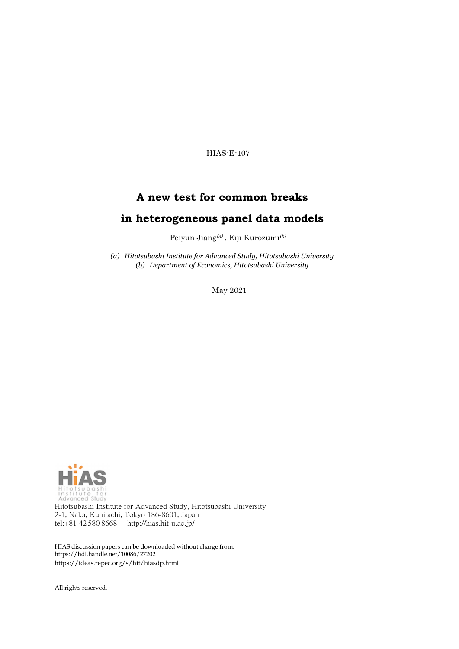HIAS-E-107

# **A new test for common breaks**

# **in heterogeneous panel data models**

Peiyun Jiang<br/>@), Eiji Kurozumi $^{(b)}$ 

*(a) Hitotsubashi Institute for Advanced Study, Hitotsubashi University (b) Department of Economics, Hitotsubashi University*

May 2021



Hitotsubashi Institute for Advanced Study, Hitotsubashi University 2-1, Naka, Kunitachi, Tokyo 186-8601, Japan tel:+81 42 580 8668 <http://hias.hit-u.ac.jp/>

HIAS discussion papers can be downloaded without charge from: [https://hdl.handle.net/10086/27202](http://hdl.handle.net/10086/27202) https://ideas.repec.org/s/hit/hiasdp.html

All rights reserved.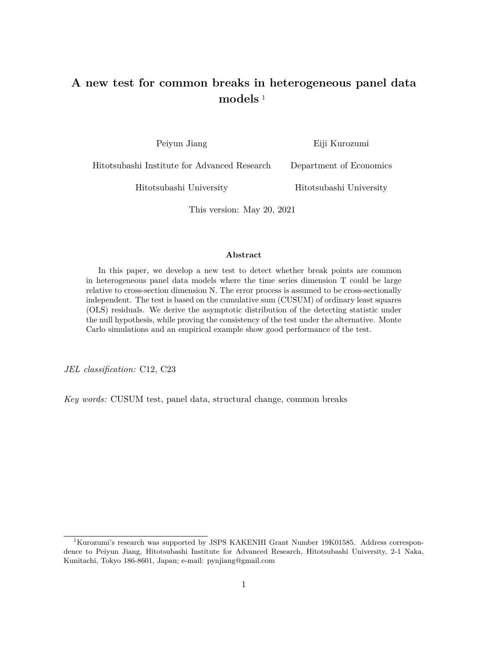# **A new test for common breaks in heterogeneous panel data models** <sup>1</sup>

Peiyun Jiang Eiji Kurozumi

Hitotsubashi Institute for Advanced Research Department of Economics

Hitotsubashi University Hitotsubashi University

This version: May 20, 2021

#### **Abstract**

In this paper, we develop a new test to detect whether break points are common in heterogeneous panel data models where the time series dimension T could be large relative to cross-section dimension N. The error process is assumed to be cross-sectionally independent. The test is based on the cumulative sum (CUSUM) of ordinary least squares (OLS) residuals. We derive the asymptotic distribution of the detecting statistic under the null hypothesis, while proving the consistency of the test under the alternative. Monte Carlo simulations and an empirical example show good performance of the test.

*JEL classification:* C12, C23

*Key words:* CUSUM test, panel data, structural change, common breaks

<sup>&</sup>lt;sup>1</sup>Kurozumi's research was supported by JSPS KAKENHI Grant Number 19K01585. Address correspondence to Peiyun Jiang, Hitotsubashi Institute for Advanced Research, Hitotsubashi University, 2-1 Naka, Kunitachi, Tokyo 186-8601, Japan; e-mail: pynjiang@gmail.com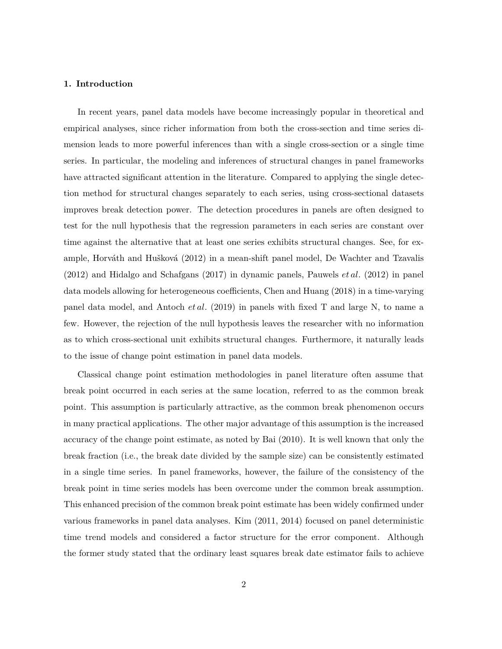### **1. Introduction**

In recent years, panel data models have become increasingly popular in theoretical and empirical analyses, since richer information from both the cross-section and time series dimension leads to more powerful inferences than with a single cross-section or a single time series. In particular, the modeling and inferences of structural changes in panel frameworks have attracted significant attention in the literature. Compared to applying the single detection method for structural changes separately to each series, using cross-sectional datasets improves break detection power. The detection procedures in panels are often designed to test for the null hypothesis that the regression parameters in each series are constant over time against the alternative that at least one series exhibits structural changes. See, for example, Horváth and Hušková (2012) in a mean-shift panel model, De Wachter and Tzavalis (2012) and Hidalgo and Schafgans (2017) in dynamic panels, Pauwels *et al.* (2012) in panel data models allowing for heterogeneous coefficients, Chen and Huang (2018) in a time-varying panel data model, and Antoch *et al.* (2019) in panels with fixed T and large N, to name a few. However, the rejection of the null hypothesis leaves the researcher with no information as to which cross-sectional unit exhibits structural changes. Furthermore, it naturally leads to the issue of change point estimation in panel data models.

Classical change point estimation methodologies in panel literature often assume that break point occurred in each series at the same location, referred to as the common break point. This assumption is particularly attractive, as the common break phenomenon occurs in many practical applications. The other major advantage of this assumption is the increased accuracy of the change point estimate, as noted by Bai (2010). It is well known that only the break fraction (i.e., the break date divided by the sample size) can be consistently estimated in a single time series. In panel frameworks, however, the failure of the consistency of the break point in time series models has been overcome under the common break assumption. This enhanced precision of the common break point estimate has been widely confirmed under various frameworks in panel data analyses. Kim (2011, 2014) focused on panel deterministic time trend models and considered a factor structure for the error component. Although the former study stated that the ordinary least squares break date estimator fails to achieve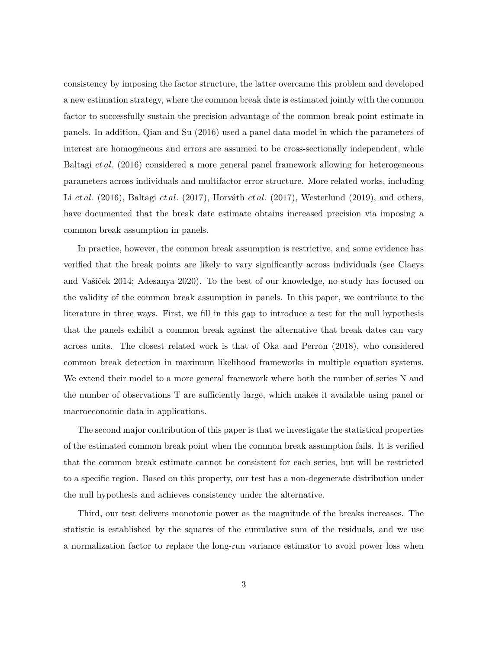consistency by imposing the factor structure, the latter overcame this problem and developed a new estimation strategy, where the common break date is estimated jointly with the common factor to successfully sustain the precision advantage of the common break point estimate in panels. In addition, Qian and Su (2016) used a panel data model in which the parameters of interest are homogeneous and errors are assumed to be cross-sectionally independent, while Baltagi *et al.* (2016) considered a more general panel framework allowing for heterogeneous parameters across individuals and multifactor error structure. More related works, including Li *et al.* (2016), Baltagi *et al.* (2017), Horváth *et al.* (2017), Westerlund (2019), and others, have documented that the break date estimate obtains increased precision via imposing a common break assumption in panels.

In practice, however, the common break assumption is restrictive, and some evidence has verified that the break points are likely to vary significantly across individuals (see Claeys and Vašíček 2014; Adesanya 2020). To the best of our knowledge, no study has focused on the validity of the common break assumption in panels. In this paper, we contribute to the literature in three ways. First, we fill in this gap to introduce a test for the null hypothesis that the panels exhibit a common break against the alternative that break dates can vary across units. The closest related work is that of Oka and Perron (2018), who considered common break detection in maximum likelihood frameworks in multiple equation systems. We extend their model to a more general framework where both the number of series N and the number of observations T are sufficiently large, which makes it available using panel or macroeconomic data in applications.

The second major contribution of this paper is that we investigate the statistical properties of the estimated common break point when the common break assumption fails. It is verified that the common break estimate cannot be consistent for each series, but will be restricted to a specific region. Based on this property, our test has a non-degenerate distribution under the null hypothesis and achieves consistency under the alternative.

Third, our test delivers monotonic power as the magnitude of the breaks increases. The statistic is established by the squares of the cumulative sum of the residuals, and we use a normalization factor to replace the long-run variance estimator to avoid power loss when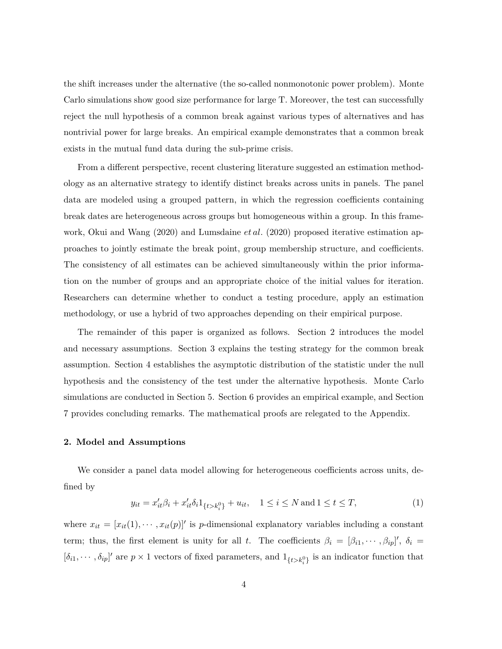the shift increases under the alternative (the so-called nonmonotonic power problem). Monte Carlo simulations show good size performance for large T. Moreover, the test can successfully reject the null hypothesis of a common break against various types of alternatives and has nontrivial power for large breaks. An empirical example demonstrates that a common break exists in the mutual fund data during the sub-prime crisis.

From a different perspective, recent clustering literature suggested an estimation methodology as an alternative strategy to identify distinct breaks across units in panels. The panel data are modeled using a grouped pattern, in which the regression coefficients containing break dates are heterogeneous across groups but homogeneous within a group. In this framework, Okui and Wang (2020) and Lumsdaine *et al.* (2020) proposed iterative estimation approaches to jointly estimate the break point, group membership structure, and coefficients. The consistency of all estimates can be achieved simultaneously within the prior information on the number of groups and an appropriate choice of the initial values for iteration. Researchers can determine whether to conduct a testing procedure, apply an estimation methodology, or use a hybrid of two approaches depending on their empirical purpose.

The remainder of this paper is organized as follows. Section 2 introduces the model and necessary assumptions. Section 3 explains the testing strategy for the common break assumption. Section 4 establishes the asymptotic distribution of the statistic under the null hypothesis and the consistency of the test under the alternative hypothesis. Monte Carlo simulations are conducted in Section 5. Section 6 provides an empirical example, and Section 7 provides concluding remarks. The mathematical proofs are relegated to the Appendix.

### **2. Model and Assumptions**

We consider a panel data model allowing for heterogeneous coefficients across units, defined by

$$
y_{it} = x'_{it}\beta_i + x'_{it}\delta_i 1_{\{t > k_i^0\}} + u_{it}, \quad 1 \le i \le N \text{ and } 1 \le t \le T,
$$
 (1)

where  $x_{it} = [x_{it}(1), \dots, x_{it}(p)]'$  is *p*-dimensional explanatory variables including a constant term; thus, the first element is unity for all *t*. The coefficients  $\beta_i = [\beta_{i1}, \cdots, \beta_{ip}]'$ ,  $\delta_i =$  $[\delta_{i1}, \cdots, \delta_{ip}]'$  are  $p \times 1$  vectors of fixed parameters, and  $1_{\{t > k_i^0\}}$  is an indicator function that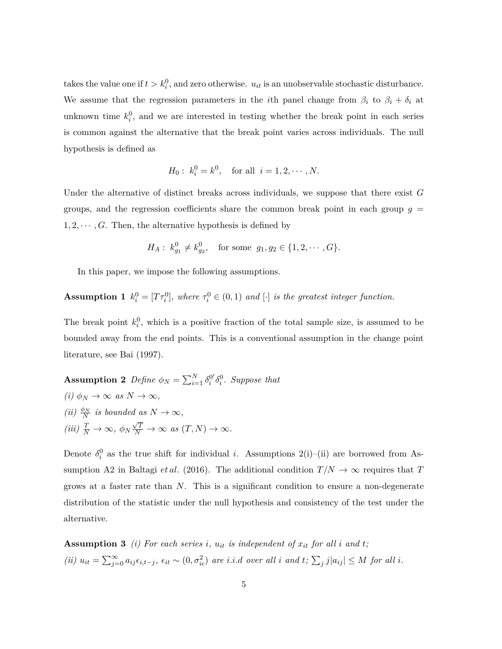takes the value one if  $t > k_i^0$ , and zero otherwise.  $u_{it}$  is an unobservable stochastic disturbance. We assume that the regression parameters in the *i*th panel change from  $\beta_i$  to  $\beta_i + \delta_i$  at unknown time  $k_i^0$ , and we are interested in testing whether the break point in each series is common against the alternative that the break point varies across individuals. The null hypothesis is defined as

$$
H_0: k_i^0 = k^0
$$
, for all  $i = 1, 2, \dots, N$ .

Under the alternative of distinct breaks across individuals, we suppose that there exist *G* groups, and the regression coefficients share the common break point in each group  $g =$  $1, 2, \cdots, G$ . Then, the alternative hypothesis is defined by

$$
H_A: k_{g_1}^0 \neq k_{g_2}^0, \text{ for some } g_1, g_2 \in \{1, 2, \cdots, G\}.
$$

In this paper, we impose the following assumptions.

**Assumption 1**  $k_i^0 = [T\tau_i^0]$ , where  $\tau_i^0 \in (0,1)$  and  $[\cdot]$  is the greatest integer function.

The break point  $k_i^0$ , which is a positive fraction of the total sample size, is assumed to be bounded away from the end points. This is a conventional assumption in the change point literature, see Bai (1997).

**Assumption 2** Define  $\phi_N = \sum_{i=1}^N \delta_i^{0'} \delta_i^0$ . Suppose that  $(i) \phi_N \to \infty \text{ as } N \to \infty$ , *(ii)*  $\frac{\phi_N}{N}$  *is bounded as*  $N \to \infty$ *,*  $(iii) \frac{T}{N} \rightarrow \infty, \ \phi_N$  $\frac{\sqrt{T}}{N}$  → ∞ *as*  $(T, N)$  → ∞.

Denote  $\delta_i^0$  as the true shift for individual *i*. Assumptions 2(i)–(ii) are borrowed from Assumption A2 in Baltagi *et al.* (2016). The additional condition  $T/N \to \infty$  requires that *T* grows at a faster rate than *N*. This is a significant condition to ensure a non-degenerate distribution of the statistic under the null hypothesis and consistency of the test under the alternative.

**Assumption 3** *(i)* For each series *i*,  $u_{it}$  *is independent of*  $x_{it}$  *for all i* and *t*; (ii)  $u_{it} = \sum_{j=0}^{\infty} a_{ij} \epsilon_{i,t-j}, \epsilon_{it} \sim (0, \sigma_{ie}^2)$  are i.i.d over all i and  $t; \sum_j j |a_{ij}| \leq M$  for all i.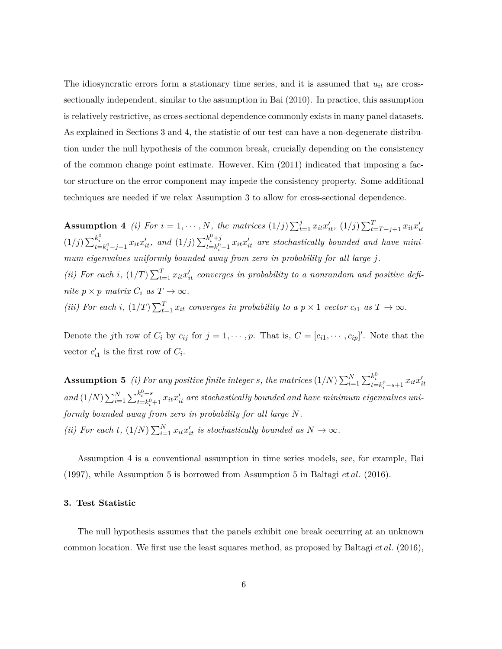The idiosyncratic errors form a stationary time series, and it is assumed that  $u_{it}$  are crosssectionally independent, similar to the assumption in Bai (2010). In practice, this assumption is relatively restrictive, as cross-sectional dependence commonly exists in many panel datasets. As explained in Sections 3 and 4, the statistic of our test can have a non-degenerate distribution under the null hypothesis of the common break, crucially depending on the consistency of the common change point estimate. However, Kim (2011) indicated that imposing a factor structure on the error component may impede the consistency property. Some additional techniques are needed if we relax Assumption 3 to allow for cross-sectional dependence.

**Assumption 4** (i) For  $i = 1, \dots, N$ , the matrices  $(1/j) \sum_{t=1}^{j} x_{it} x'_{it}$ ,  $(1/j) \sum_{t=T-j+1}^{T} x_{it} x'_{it}$  $(1/j) \sum_{t=k_i^0-j+1}^{k_i^0} x_{it}x'_{it}$ , and  $(1/j) \sum_{t=k_i^0}^{k_i^0+j}$  $\sum_{t=k_i^0+1}^{k_i^0+1} x_{it}x_{it}'$  are stochastically bounded and have mini*mum eigenvalues uniformly bounded away from zero in probability for all large j.* (*ii*) For each *i*,  $(1/T)\sum_{t=1}^{T} x_{it}x_{it}'$  converges in probability to a nonrandom and positive defi*nite*  $p \times p$  *matrix*  $C_i$  *as*  $T \to \infty$ *. (iii)* For each *i*,  $(1/T) \sum_{t=1}^{T} x_{it}$  converges in probability to a  $p \times 1$  vector  $c_{i1}$  as  $T \to \infty$ .

Denote the *j*th row of  $C_i$  by  $c_{ij}$  for  $j = 1, \dots, p$ . That is,  $C = [c_{i1}, \dots, c_{ip}]'$ . Note that the vector  $c'_{i1}$  is the first row of  $C_i$ .

**Assumption 5** (i) For any positive finite integer s, the matrices  $(1/N)\sum_{i=1}^{N}\sum_{t=k_{i}^{0}-s+1}^{k_{i}^{0}}x_{it}x_{it}'$ *and*  $(1/N) \sum_{i=1}^{N} \sum_{t=k}^{k_i^0+s}$  $\sum_{t=k^0_i+1}^{k^{\alpha}_i+s} x_{it}x_{it}'$  are stochastically bounded and have minimum eigenvalues uni*formly bounded away from zero in probability for all large N. (ii)* For each *t*,  $(1/N) \sum_{i=1}^{N} x_i x_i'$  *is stochastically bounded as*  $N \to \infty$ *.* 

Assumption 4 is a conventional assumption in time series models, see, for example, Bai (1997), while Assumption 5 is borrowed from Assumption 5 in Baltagi *et al.* (2016).

### **3. Test Statistic**

The null hypothesis assumes that the panels exhibit one break occurring at an unknown common location. We first use the least squares method, as proposed by Baltagi *et al.* (2016),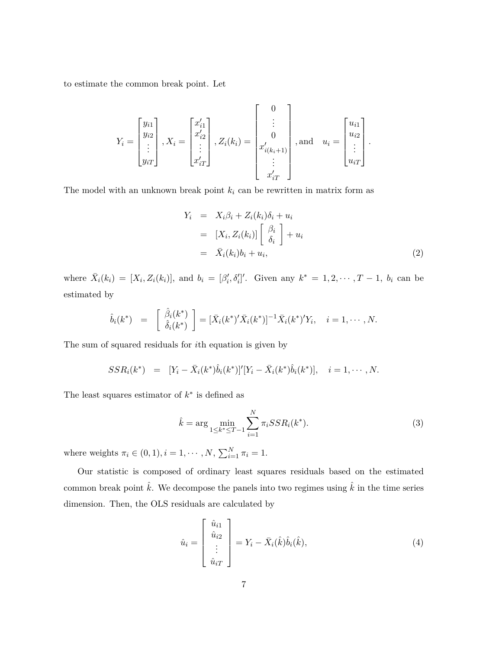to estimate the common break point. Let

$$
Y_{i} = \begin{bmatrix} y_{i1} \\ y_{i2} \\ \vdots \\ y_{iT} \end{bmatrix}, X_{i} = \begin{bmatrix} x'_{i1} \\ x'_{i2} \\ \vdots \\ x'_{iT} \end{bmatrix}, Z_{i}(k_{i}) = \begin{bmatrix} 0 \\ \vdots \\ 0 \\ x'_{i(k_{i}+1)} \\ \vdots \\ x'_{iT} \end{bmatrix}, \text{and} \quad u_{i} = \begin{bmatrix} u_{i1} \\ u_{i2} \\ \vdots \\ u_{iT} \end{bmatrix}.
$$

The model with an unknown break point  $k_i$  can be rewritten in matrix form as

$$
Y_i = X_i \beta_i + Z_i(k_i) \delta_i + u_i
$$
  
\n
$$
= [X_i, Z_i(k_i)] \begin{bmatrix} \beta_i \\ \delta_i \end{bmatrix} + u_i
$$
  
\n
$$
= \bar{X}_i(k_i) b_i + u_i,
$$
 (2)

where  $\bar{X}_i(k_i) = [X_i, Z_i(k_i)],$  and  $b_i = [\beta'_i, \delta'_i]'$ . Given any  $k^* = 1, 2, \dots, T-1$ ,  $b_i$  can be estimated by

$$
\hat{b}_i(k^*) = \begin{bmatrix} \hat{\beta}_i(k^*) \\ \hat{\delta}_i(k^*) \end{bmatrix} = [\bar{X}_i(k^*)'\bar{X}_i(k^*)]^{-1}\bar{X}_i(k^*)'Y_i, \quad i = 1, \cdots, N.
$$

The sum of squared residuals for *i*th equation is given by

$$
SSR_i(k^*) = [Y_i - \bar{X}_i(k^*)\hat{b}_i(k^*)]'[Y_i - \bar{X}_i(k^*)\hat{b}_i(k^*)], \quad i = 1, \cdots, N.
$$

The least squares estimator of  $k^*$  is defined as

$$
\hat{k} = \arg \min_{1 \le k^* \le T-1} \sum_{i=1}^N \pi_i S S R_i(k^*). \tag{3}
$$

where weights  $\pi_i \in (0, 1), i = 1, \dots, N, \sum_{i=1}^{N} \pi_i = 1.$ 

Our statistic is composed of ordinary least squares residuals based on the estimated common break point  $\hat{k}$ . We decompose the panels into two regimes using  $\hat{k}$  in the time series dimension. Then, the OLS residuals are calculated by

$$
\hat{u}_i = \begin{bmatrix} \hat{u}_{i1} \\ \hat{u}_{i2} \\ \vdots \\ \hat{u}_{iT} \end{bmatrix} = Y_i - \bar{X}_i(\hat{k})\hat{b}_i(\hat{k}), \tag{4}
$$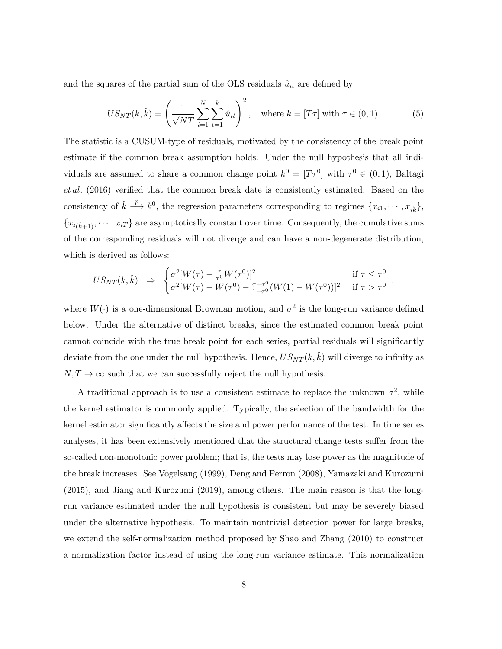and the squares of the partial sum of the OLS residuals  $\hat{u}_{it}$  are defined by

$$
US_{NT}(k, \hat{k}) = \left(\frac{1}{\sqrt{NT}} \sum_{i=1}^{N} \sum_{t=1}^{k} \hat{u}_{it}\right)^2, \text{ where } k = [T\tau] \text{ with } \tau \in (0, 1). \tag{5}
$$

The statistic is a CUSUM-type of residuals, motivated by the consistency of the break point estimate if the common break assumption holds. Under the null hypothesis that all individuals are assumed to share a common change point  $k^0 = [T\tau^0]$  with  $\tau^0 \in (0,1)$ , Baltagi *et al.* (2016) verified that the common break date is consistently estimated. Based on the consistency of  $\hat{k} \stackrel{p}{\longrightarrow} k^0$ , the regression parameters corresponding to regimes  $\{x_{i1}, \dots, x_{i\hat{k}}\},\$  ${x_{i(k+1)}, \cdots, x_{iT}}$  are asymptotically constant over time. Consequently, the cumulative sums of the corresponding residuals will not diverge and can have a non-degenerate distribution, which is derived as follows:

$$
US_{NT}(k, \hat{k}) \Rightarrow \begin{cases} \sigma^2 [W(\tau) - \frac{\tau}{\tau^0} W(\tau^0)]^2 & \text{if } \tau \le \tau^0 \\ \sigma^2 [W(\tau) - W(\tau^0) - \frac{\tau - \tau^0}{1 - \tau^0} (W(1) - W(\tau^0))]^2 & \text{if } \tau > \tau^0 \end{cases}
$$

*,*

where  $W(\cdot)$  is a one-dimensional Brownian motion, and  $\sigma^2$  is the long-run variance defined below. Under the alternative of distinct breaks, since the estimated common break point cannot coincide with the true break point for each series, partial residuals will significantly deviate from the one under the null hypothesis. Hence,  $US_{NT}(k, k)$  will diverge to infinity as  $N, T \rightarrow \infty$  such that we can successfully reject the null hypothesis.

A traditional approach is to use a consistent estimate to replace the unknown  $\sigma^2$ , while the kernel estimator is commonly applied. Typically, the selection of the bandwidth for the kernel estimator significantly affects the size and power performance of the test. In time series analyses, it has been extensively mentioned that the structural change tests suffer from the so-called non-monotonic power problem; that is, the tests may lose power as the magnitude of the break increases. See Vogelsang (1999), Deng and Perron (2008), Yamazaki and Kurozumi (2015), and Jiang and Kurozumi (2019), among others. The main reason is that the longrun variance estimated under the null hypothesis is consistent but may be severely biased under the alternative hypothesis. To maintain nontrivial detection power for large breaks, we extend the self-normalization method proposed by Shao and Zhang (2010) to construct a normalization factor instead of using the long-run variance estimate. This normalization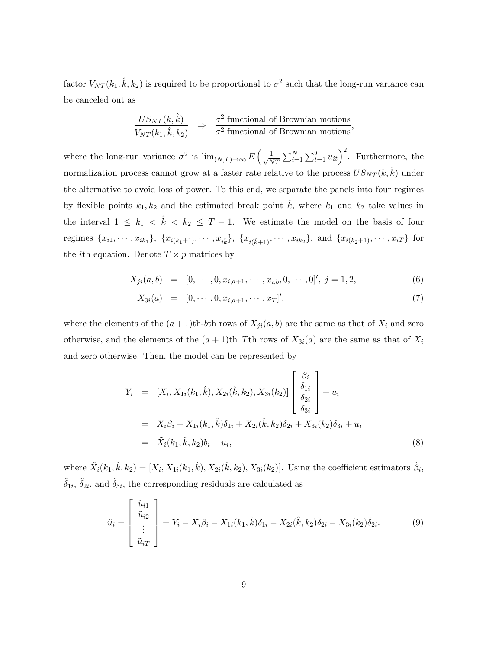factor  $V_{NT}(k_1, \hat{k}, k_2)$  is required to be proportional to  $\sigma^2$  such that the long-run variance can be canceled out as

$$
\frac{US_{NT}(k, \hat{k})}{V_{NT}(k_1, \hat{k}, k_2)} \Rightarrow \frac{\sigma^2 \text{ functional of Brownian motions}}{\sigma^2 \text{ functional of Brownian motions}},
$$

where the long-run variance  $\sigma^2$  is  $\lim_{(N,T)\to\infty} E\left(\frac{1}{\sqrt{N}}\right)$  $\frac{1}{NT} \sum_{i=1}^{N} \sum_{t=1}^{T} u_{it} \bigg)^2$ . Furthermore, the normalization process cannot grow at a faster rate relative to the process  $US_{NT}(k, \hat{k})$  under the alternative to avoid loss of power. To this end, we separate the panels into four regimes by flexible points  $k_1, k_2$  and the estimated break point  $\hat{k}$ , where  $k_1$  and  $k_2$  take values in the interval  $1 \leq k_1 < \hat{k} < k_2 \leq T-1$ . We estimate the model on the basis of four regimes  $\{x_{i1}, \dots, x_{ik_1}\}, \{x_{i(k_1+1)}, \dots, x_{i\hat{k}}\}, \{x_{i(\hat{k}+1)}, \dots, x_{ik_2}\}, \text{ and } \{x_{i(k_2+1)}, \dots, x_{iT}\}\text{ for }$ the *i*th equation. Denote  $T \times p$  matrices by

$$
X_{ji}(a,b) = [0, \cdots, 0, x_{i,a+1}, \cdots, x_{i,b}, 0, \cdots, 0], j = 1, 2,
$$
\n(6)

$$
X_{3i}(a) = [0, \cdots, 0, x_{i,a+1}, \cdots, x_T]', \tag{7}
$$

where the elements of the  $(a+1)$ th-b<sup>th</sup> rows of  $X_{ji}(a, b)$  are the same as that of  $X_i$  and zero otherwise, and the elements of the  $(a + 1)$ th–*T*th rows of  $X_{3i}(a)$  are the same as that of  $X_i$ and zero otherwise. Then, the model can be represented by

$$
Y_i = [X_i, X_{1i}(k_1, \hat{k}), X_{2i}(\hat{k}, k_2), X_{3i}(k_2)] \begin{bmatrix} \beta_i \\ \delta_{1i} \\ \delta_{2i} \\ \delta_{3i} \end{bmatrix} + u_i
$$
  
\n
$$
= X_i \beta_i + X_{1i}(k_1, \hat{k}) \delta_{1i} + X_{2i}(\hat{k}, k_2) \delta_{2i} + X_{3i}(k_2) \delta_{3i} + u_i
$$
  
\n
$$
= \tilde{X}_i(k_1, \hat{k}, k_2) b_i + u_i,
$$
\n(8)

where  $\tilde{X}_i(k_1, \hat{k}, k_2) = [X_i, X_{1i}(k_1, \hat{k}), X_{2i}(\hat{k}, k_2), X_{3i}(k_2)].$  Using the coefficient estimators  $\tilde{\beta}_i$ ,  $\tilde{\delta}_{1i}$ ,  $\tilde{\delta}_{2i}$ , and  $\tilde{\delta}_{3i}$ , the corresponding residuals are calculated as

$$
\tilde{u}_i = \begin{bmatrix} \tilde{u}_{i1} \\ \tilde{u}_{i2} \\ \vdots \\ \tilde{u}_{iT} \end{bmatrix} = Y_i - X_i \tilde{\beta}_i - X_{1i}(k_1, \hat{k}) \tilde{\delta}_{1i} - X_{2i}(\hat{k}, k_2) \tilde{\delta}_{2i} - X_{3i}(k_2) \tilde{\delta}_{2i}.
$$
\n(9)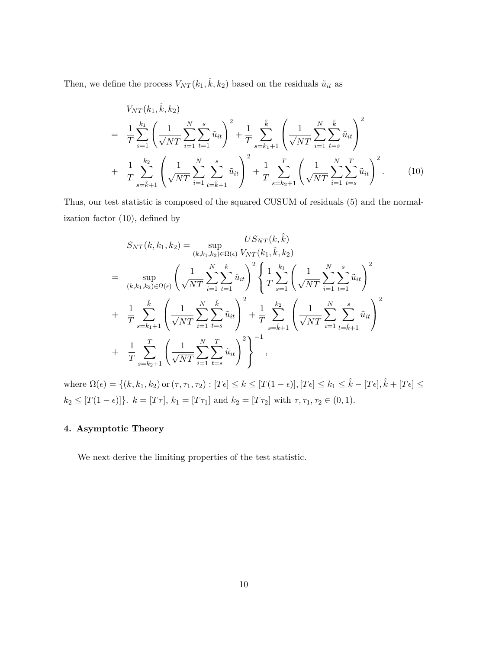Then, we define the process  $V_{NT}(k_1, \hat{k}, k_2)$  based on the residuals  $\tilde{u}_{it}$  as

$$
V_{NT}(k_1, \hat{k}, k_2)
$$
\n
$$
= \frac{1}{T} \sum_{s=1}^{k_1} \left( \frac{1}{\sqrt{NT}} \sum_{i=1}^N \sum_{t=1}^s \tilde{u}_{it} \right)^2 + \frac{1}{T} \sum_{s=k_1+1}^{\hat{k}} \left( \frac{1}{\sqrt{NT}} \sum_{i=1}^N \sum_{t=s}^{\hat{k}} \tilde{u}_{it} \right)^2 + \frac{1}{T} \sum_{s=k_1+1}^{k_2} \left( \frac{1}{\sqrt{NT}} \sum_{i=1}^N \sum_{t=s}^T \tilde{u}_{it} \right)^2 + \frac{1}{T} \sum_{s=k_2+1}^T \left( \frac{1}{\sqrt{NT}} \sum_{i=1}^N \sum_{t=s}^T \tilde{u}_{it} \right)^2.
$$
\n(10)

Thus, our test statistic is composed of the squared CUSUM of residuals (5) and the normalization factor (10), defined by

$$
S_{NT}(k, k_1, k_2) = \sup_{(k, k_1, k_2) \in \Omega(\epsilon)} \frac{US_{NT}(k, \hat{k})}{V_{NT}(k_1, \hat{k}, k_2)}
$$
  
\n
$$
= \sup_{(k, k_1, k_2) \in \Omega(\epsilon)} \left( \frac{1}{\sqrt{NT}} \sum_{i=1}^N \sum_{t=1}^k \hat{u}_{it} \right)^2 \left\{ \frac{1}{T} \sum_{s=1}^{k_1} \left( \frac{1}{\sqrt{NT}} \sum_{i=1}^N \sum_{t=1}^s \tilde{u}_{it} \right)^2 \right\}
$$
  
\n
$$
+ \frac{1}{T} \sum_{s=k_1+1}^{\hat{k}} \left( \frac{1}{\sqrt{NT}} \sum_{i=1}^N \sum_{t=s}^{\hat{k}} \tilde{u}_{it} \right)^2 + \frac{1}{T} \sum_{s=\hat{k}+1}^{k_2} \left( \frac{1}{\sqrt{NT}} \sum_{i=1}^N \sum_{t=\hat{k}+1}^s \tilde{u}_{it} \right)^2
$$
  
\n
$$
+ \frac{1}{T} \sum_{s=k_2+1}^T \left( \frac{1}{\sqrt{NT}} \sum_{i=1}^N \sum_{t=s}^T \tilde{u}_{it} \right)^2 \right\}^{-1},
$$

where  $\Omega(\epsilon) = \{(k, k_1, k_2) \text{ or } (\tau, \tau_1, \tau_2) : [T\epsilon] \leq k \leq [T(1-\epsilon)], [T\epsilon] \leq k_1 \leq \hat{k} - [T\epsilon], \hat{k} + [T\epsilon] \leq$  $k_2 \leq [T(1 - \epsilon)]$ }.  $k = [T\tau]$ ,  $k_1 = [T\tau_1]$  and  $k_2 = [T\tau_2]$  with  $\tau, \tau_1, \tau_2 \in (0, 1)$ .

### **4. Asymptotic Theory**

We next derive the limiting properties of the test statistic.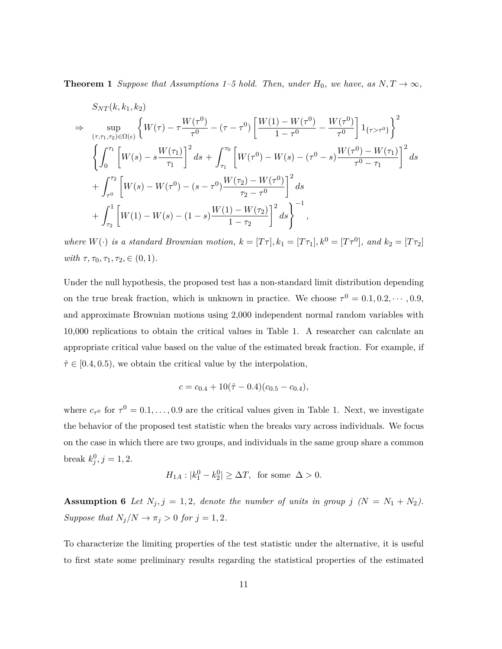**Theorem 1** *Suppose that Assumptions 1–5 hold. Then, under*  $H_0$ *, we have, as*  $N, T \rightarrow \infty$ *,* 

$$
S_{NT}(k, k_1, k_2)
$$
\n
$$
\Rightarrow \sup_{(\tau, \tau_1, \tau_2) \in \Omega(\epsilon)} \left\{ W(\tau) - \tau \frac{W(\tau^0)}{\tau^0} - (\tau - \tau^0) \left[ \frac{W(1) - W(\tau^0)}{1 - \tau^0} - \frac{W(\tau^0)}{\tau^0} \right] \mathbf{1}_{\{\tau > \tau^0\}} \right\}^2
$$
\n
$$
\left\{ \int_0^{\tau_1} \left[ W(s) - s \frac{W(\tau_1)}{\tau_1} \right]^2 ds + \int_{\tau_1}^{\tau_0} \left[ W(\tau^0) - W(s) - (\tau^0 - s) \frac{W(\tau^0) - W(\tau_1)}{\tau^0 - \tau_1} \right]^2 ds + \int_{\tau_2}^{\tau_2} \left[ W(s) - W(\tau^0) - (s - \tau^0) \frac{W(\tau_2) - W(\tau^0)}{\tau_2 - \tau^0} \right]^2 ds + \int_{\tau_2}^1 \left[ W(1) - W(s) - (1 - s) \frac{W(1) - W(\tau_2)}{1 - \tau_2} \right]^2 ds \right\}^{-1},
$$

*where*  $W(\cdot)$  *is a standard Brownian motion,*  $k = [T\tau], k_1 = [T\tau_1], k^0 = [T\tau^0],$  and  $k_2 = [T\tau_2]$  $with \tau, \tau_0, \tau_1, \tau_2, \in (0, 1).$ 

Under the null hypothesis, the proposed test has a non-standard limit distribution depending on the true break fraction, which is unknown in practice. We choose  $\tau^0 = 0.1, 0.2, \dots, 0.9$ , and approximate Brownian motions using 2,000 independent normal random variables with 10,000 replications to obtain the critical values in Table 1. A researcher can calculate an appropriate critical value based on the value of the estimated break fraction. For example, if  $\hat{\tau} \in [0.4, 0.5)$ , we obtain the critical value by the interpolation,

$$
c = c_{0.4} + 10(\hat{\tau} - 0.4)(c_{0.5} - c_{0.4}),
$$

where  $c_{\tau^0}$  for  $\tau^0 = 0.1, \ldots, 0.9$  are the critical values given in Table 1. Next, we investigate the behavior of the proposed test statistic when the breaks vary across individuals. We focus on the case in which there are two groups, and individuals in the same group share a common break  $k_j^0, j = 1, 2$ .

$$
H_{1A}: |k_1^0 - k_2^0| \ge \Delta T, \text{ for some } \Delta > 0.
$$

**Assumption 6** *Let*  $N_j$ ,  $j = 1, 2$ , denote the number of units in group  $j$   $(N = N_1 + N_2)$ . *Suppose that*  $N_j/N \to \pi_j > 0$  *for*  $j = 1, 2$ *.* 

To characterize the limiting properties of the test statistic under the alternative, it is useful to first state some preliminary results regarding the statistical properties of the estimated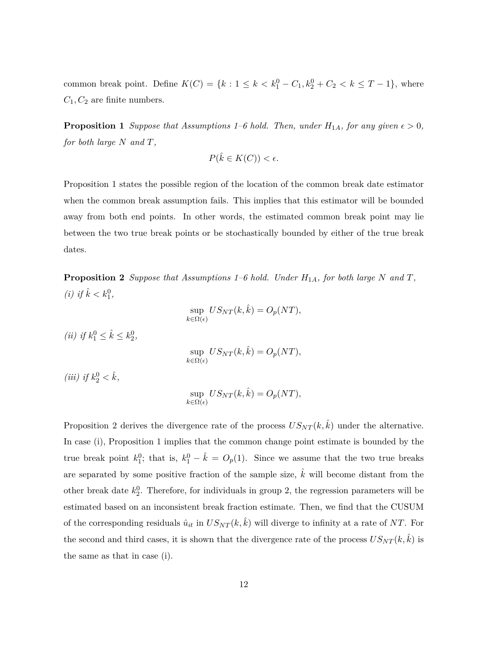common break point. Define  $K(C) = \{k : 1 \leq k < k_1^0 - C_1, k_2^0 + C_2 < k \leq T - 1\}$ , where  $C_1, C_2$  are finite numbers.

**Proposition 1** *Suppose that Assumptions 1–6 hold. Then, under*  $H_{1A}$ *, for any given*  $\epsilon > 0$ *, for both large N and T,*

$$
P(\hat{k} \in K(C)) < \epsilon.
$$

Proposition 1 states the possible region of the location of the common break date estimator when the common break assumption fails. This implies that this estimator will be bounded away from both end points. In other words, the estimated common break point may lie between the two true break points or be stochastically bounded by either of the true break dates.

**Proposition 2** *Suppose that Assumptions 1–6 hold. Under*  $H_{1A}$ *, for both large*  $N$  *and*  $T$ *, (i)* if  $\hat{k} < k_1^0$ ,

$$
\sup_{k \in \Omega(\epsilon)} US_{NT}(k, \hat{k}) = O_p(NT),
$$

*(ii) if*  $k_1^0 \leq \hat{k} \leq k_2^0$ ,

$$
\sup_{k \in \Omega(\epsilon)} US_{NT}(k, \hat{k}) = O_p(NT),
$$

*(iii) if*  $k_2^0 < \hat{k}$ ,

$$
\sup_{k \in \Omega(\epsilon)} US_{NT}(k, \hat{k}) = O_p(NT),
$$

Proposition 2 derives the divergence rate of the process  $US_{NT}(k, \hat{k})$  under the alternative. In case (i), Proposition 1 implies that the common change point estimate is bounded by the true break point  $k_1^0$ ; that is,  $k_1^0 - \hat{k} = O_p(1)$ . Since we assume that the two true breaks are separated by some positive fraction of the sample size,  $\hat{k}$  will become distant from the other break date  $k_2^0$ . Therefore, for individuals in group 2, the regression parameters will be estimated based on an inconsistent break fraction estimate. Then, we find that the CUSUM of the corresponding residuals  $\hat{u}_{it}$  in  $US_{NT}(k, \hat{k})$  will diverge to infinity at a rate of NT. For the second and third cases, it is shown that the divergence rate of the process  $US_{NT}(k, k)$  is the same as that in case (i).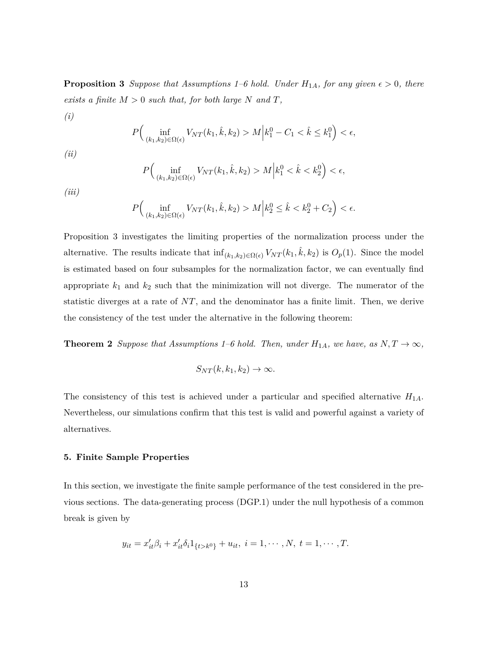**Proposition 3** *Suppose that Assumptions 1–6 hold. Under*  $H_{1A}$ *, for any given*  $\epsilon > 0$ *, there exists a finite*  $M > 0$  *such that, for both large*  $N$  *and*  $T$ *,* 

(i)  
\n
$$
P\Big(\inf_{(k_1,k_2)\in\Omega(\epsilon)} V_{NT}(k_1,\hat{k},k_2) > M \Big| k_1^0 - C_1 < \hat{k} \le k_1^0 \Big) < \epsilon,
$$
\n(ii)

$$
P\Big(\inf_{(k_1,k_2)\in\Omega(\epsilon)} V_{NT}(k_1,\hat{k},k_2) > M \Big| k_1^0 < \hat{k} < k_2^0 \Big) < \epsilon,
$$

*(iii)*

$$
P\Big(\inf_{(k_1,k_2)\in\Omega(\epsilon)} V_{NT}(k_1,\hat{k},k_2) > M \Big| k_2^0 \leq \hat{k} < k_2^0 + C_2 \Big) < \epsilon.
$$

Proposition 3 investigates the limiting properties of the normalization process under the alternative. The results indicate that  $\inf_{(k_1,k_2)\in\Omega(\epsilon)} V_{NT}(k_1,\hat{k},k_2)$  is  $O_p(1)$ . Since the model is estimated based on four subsamples for the normalization factor, we can eventually find appropriate  $k_1$  and  $k_2$  such that the minimization will not diverge. The numerator of the statistic diverges at a rate of *NT*, and the denominator has a finite limit. Then, we derive the consistency of the test under the alternative in the following theorem:

**Theorem 2** *Suppose that Assumptions 1–6 hold. Then, under*  $H_{1A}$ *, we have, as*  $N, T \rightarrow \infty$ *,* 

$$
S_{NT}(k, k_1, k_2) \to \infty.
$$

The consistency of this test is achieved under a particular and specified alternative *H*1*A*. Nevertheless, our simulations confirm that this test is valid and powerful against a variety of alternatives.

### **5. Finite Sample Properties**

In this section, we investigate the finite sample performance of the test considered in the previous sections. The data-generating process (DGP.1) under the null hypothesis of a common break is given by

$$
y_{it} = x'_{it}\beta_i + x'_{it}\delta_i 1_{\{t > k^0\}} + u_{it}, \ i = 1, \cdots, N, \ t = 1, \cdots, T.
$$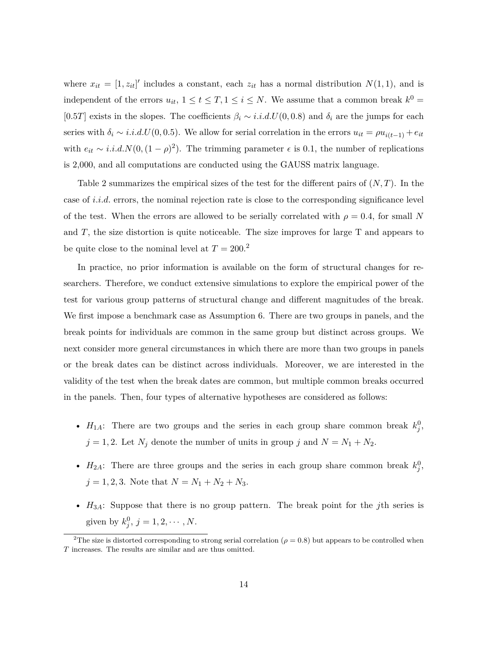where  $x_{it} = [1, z_{it}]'$  includes a constant, each  $z_{it}$  has a normal distribution  $N(1, 1)$ , and is independent of the errors  $u_{it}$ ,  $1 \le t \le T$ ,  $1 \le i \le N$ . We assume that a common break  $k^0 =$ [0*.5T*] exists in the slopes. The coefficients  $\beta_i \sim i.i.d.$   $U(0,0.8)$  and  $\delta_i$  are the jumps for each series with  $\delta_i \sim i.i.d.U(0,0.5)$ . We allow for serial correlation in the errors  $u_{it} = \rho u_{i(t-1)} + e_{it}$ with  $e_{it} \sim i.i.d. N(0, (1-\rho)^2)$ . The trimming parameter  $\epsilon$  is 0.1, the number of replications is 2,000, and all computations are conducted using the GAUSS matrix language.

Table 2 summarizes the empirical sizes of the test for the different pairs of (*N, T*). In the case of *i.i.d.* errors, the nominal rejection rate is close to the corresponding significance level of the test. When the errors are allowed to be serially correlated with  $\rho = 0.4$ , for small N and *T*, the size distortion is quite noticeable. The size improves for large T and appears to be quite close to the nominal level at  $T = 200$ <sup>2</sup>

In practice, no prior information is available on the form of structural changes for researchers. Therefore, we conduct extensive simulations to explore the empirical power of the test for various group patterns of structural change and different magnitudes of the break. We first impose a benchmark case as Assumption 6. There are two groups in panels, and the break points for individuals are common in the same group but distinct across groups. We next consider more general circumstances in which there are more than two groups in panels or the break dates can be distinct across individuals. Moreover, we are interested in the validity of the test when the break dates are common, but multiple common breaks occurred in the panels. Then, four types of alternative hypotheses are considered as follows:

- $H_{1A}$ : There are two groups and the series in each group share common break  $k_j^0$ ,  $j = 1, 2$ . Let  $N_j$  denote the number of units in group  $j$  and  $N = N_1 + N_2$ .
- $H_{2A}$ : There are three groups and the series in each group share common break  $k_j^0$ ,  $j = 1, 2, 3$ . Note that  $N = N_1 + N_2 + N_3$ .
- *H*3*A*: Suppose that there is no group pattern. The break point for the *j*th series is given by  $k_j^0$ ,  $j = 1, 2, \dots, N$ .

<sup>&</sup>lt;sup>2</sup>The size is distorted corresponding to strong serial correlation ( $\rho = 0.8$ ) but appears to be controlled when *T* increases. The results are similar and are thus omitted.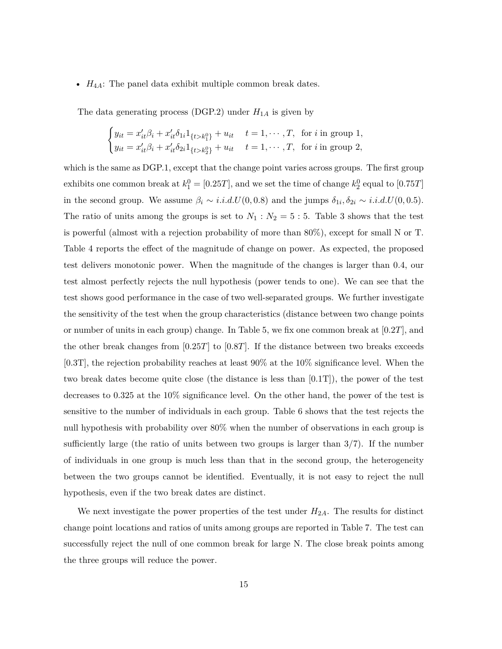• *H*4*A*: The panel data exhibit multiple common break dates.

The data generating process (DGP.2) under  $H_{1A}$  is given by

$$
\begin{cases} y_{it} = x'_{it}\beta_i + x'_{it}\delta_{1i}1_{\{t > k_1^0\}} + u_{it} & t = 1, \cdots, T, \text{ for } i \text{ in group } 1, \\ y_{it} = x'_{it}\beta_i + x'_{it}\delta_{2i}1_{\{t > k_2^0\}} + u_{it} & t = 1, \cdots, T, \text{ for } i \text{ in group } 2, \end{cases}
$$

which is the same as DGP.1, except that the change point varies across groups. The first group exhibits one common break at  $k_1^0 = [0.25T]$ , and we set the time of change  $k_2^0$  equal to  $[0.75T]$ in the second group. We assume  $\beta_i \sim i.i.d. U(0, 0.8)$  and the jumps  $\delta_{1i}, \delta_{2i} \sim i.i.d. U(0, 0.5)$ . The ratio of units among the groups is set to  $N_1$ :  $N_2 = 5:5$ . Table 3 shows that the test is powerful (almost with a rejection probability of more than 80%), except for small N or T. Table 4 reports the effect of the magnitude of change on power. As expected, the proposed test delivers monotonic power. When the magnitude of the changes is larger than 0.4, our test almost perfectly rejects the null hypothesis (power tends to one). We can see that the test shows good performance in the case of two well-separated groups. We further investigate the sensitivity of the test when the group characteristics (distance between two change points or number of units in each group) change. In Table 5, we fix one common break at [0*.*2*T*], and the other break changes from [0*.*25*T*] to [0*.*8*T*]. If the distance between two breaks exceeds [0.3T], the rejection probability reaches at least 90% at the 10% significance level. When the two break dates become quite close (the distance is less than [0.1T]), the power of the test decreases to 0.325 at the 10% significance level. On the other hand, the power of the test is sensitive to the number of individuals in each group. Table 6 shows that the test rejects the null hypothesis with probability over 80% when the number of observations in each group is sufficiently large (the ratio of units between two groups is larger than 3*/*7). If the number of individuals in one group is much less than that in the second group, the heterogeneity between the two groups cannot be identified. Eventually, it is not easy to reject the null hypothesis, even if the two break dates are distinct.

We next investigate the power properties of the test under *H*2*A*. The results for distinct change point locations and ratios of units among groups are reported in Table 7. The test can successfully reject the null of one common break for large N. The close break points among the three groups will reduce the power.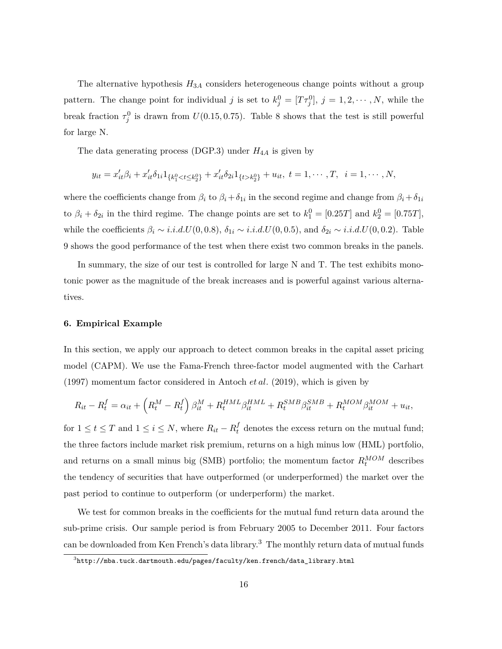The alternative hypothesis *H*3*<sup>A</sup>* considers heterogeneous change points without a group pattern. The change point for individual *j* is set to  $k_j^0 = [T\tau_j^0], j = 1, 2, \cdots, N$ , while the break fraction  $\tau_j^0$  is drawn from  $U(0.15, 0.75)$ . Table 8 shows that the test is still powerful for large N.

The data generating process (DGP.3) under  $H_{4A}$  is given by

$$
y_{it} = x'_{it}\beta_i + x'_{it}\delta_{1i}1_{\{k_1^0 < t \leq k_2^0\}} + x'_{it}\delta_{2i}1_{\{t > k_2^0\}} + u_{it}, \ t = 1, \cdots, T, \ i = 1, \cdots, N,
$$

where the coefficients change from  $\beta_i$  to  $\beta_i + \delta_{1i}$  in the second regime and change from  $\beta_i + \delta_{1i}$ to  $\beta_i + \delta_{2i}$  in the third regime. The change points are set to  $k_1^0 = [0.25T]$  and  $k_2^0 = [0.75T]$ , while the coefficients  $\beta_i \sim i.i.d.U(0,0.8), \delta_{1i} \sim i.i.d.U(0,0.5),$  and  $\delta_{2i} \sim i.i.d.U(0,0.2)$ . Table 9 shows the good performance of the test when there exist two common breaks in the panels.

In summary, the size of our test is controlled for large N and T. The test exhibits monotonic power as the magnitude of the break increases and is powerful against various alternatives.

### **6. Empirical Example**

In this section, we apply our approach to detect common breaks in the capital asset pricing model (CAPM). We use the Fama-French three-factor model augmented with the Carhart (1997) momentum factor considered in Antoch *et al.* (2019), which is given by

$$
R_{it} - R_t^f = \alpha_{it} + \left(R_t^M - R_t^f\right)\beta_{it}^M + R_t^{HML}\beta_{it}^{HML} + R_t^{SMB}\beta_{it}^{SMB} + R_t^{MOM}\beta_{it}^{MOM} + u_{it},
$$

for  $1 \le t \le T$  and  $1 \le i \le N$ , where  $R_{it} - R_t^f$  denotes the excess return on the mutual fund; the three factors include market risk premium, returns on a high minus low (HML) portfolio, and returns on a small minus big (SMB) portfolio; the momentum factor  $R_t^{MOM}$  describes the tendency of securities that have outperformed (or underperformed) the market over the past period to continue to outperform (or underperform) the market.

We test for common breaks in the coefficients for the mutual fund return data around the sub-prime crisis. Our sample period is from February 2005 to December 2011. Four factors can be downloaded from Ken French's data library.<sup>3</sup> The monthly return data of mutual funds

 $^3$ http://mba.tuck.dartmouth.edu/pages/faculty/ken.french/data\_library.html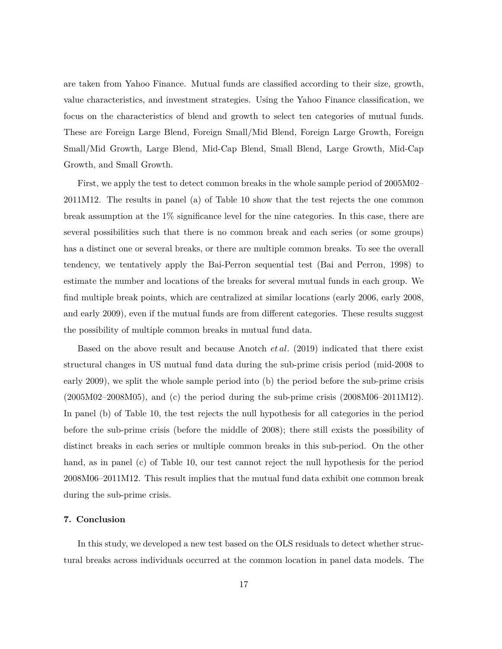are taken from Yahoo Finance. Mutual funds are classified according to their size, growth, value characteristics, and investment strategies. Using the Yahoo Finance classification, we focus on the characteristics of blend and growth to select ten categories of mutual funds. These are Foreign Large Blend, Foreign Small/Mid Blend, Foreign Large Growth, Foreign Small/Mid Growth, Large Blend, Mid-Cap Blend, Small Blend, Large Growth, Mid-Cap Growth, and Small Growth.

First, we apply the test to detect common breaks in the whole sample period of 2005M02– 2011M12. The results in panel (a) of Table 10 show that the test rejects the one common break assumption at the 1% significance level for the nine categories. In this case, there are several possibilities such that there is no common break and each series (or some groups) has a distinct one or several breaks, or there are multiple common breaks. To see the overall tendency, we tentatively apply the Bai-Perron sequential test (Bai and Perron, 1998) to estimate the number and locations of the breaks for several mutual funds in each group. We find multiple break points, which are centralized at similar locations (early 2006, early 2008, and early 2009), even if the mutual funds are from different categories. These results suggest the possibility of multiple common breaks in mutual fund data.

Based on the above result and because Anotch *et al.* (2019) indicated that there exist structural changes in US mutual fund data during the sub-prime crisis period (mid-2008 to early 2009), we split the whole sample period into (b) the period before the sub-prime crisis (2005M02–2008M05), and (c) the period during the sub-prime crisis (2008M06–2011M12). In panel (b) of Table 10, the test rejects the null hypothesis for all categories in the period before the sub-prime crisis (before the middle of 2008); there still exists the possibility of distinct breaks in each series or multiple common breaks in this sub-period. On the other hand, as in panel (c) of Table 10, our test cannot reject the null hypothesis for the period 2008M06–2011M12. This result implies that the mutual fund data exhibit one common break during the sub-prime crisis.

### **7. Conclusion**

In this study, we developed a new test based on the OLS residuals to detect whether structural breaks across individuals occurred at the common location in panel data models. The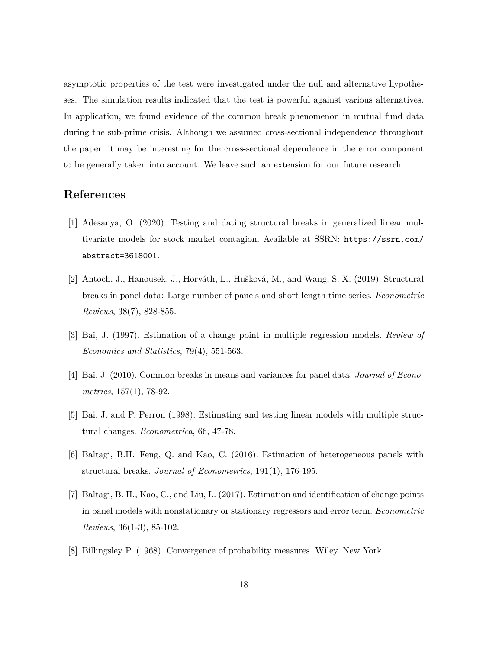asymptotic properties of the test were investigated under the null and alternative hypotheses. The simulation results indicated that the test is powerful against various alternatives. In application, we found evidence of the common break phenomenon in mutual fund data during the sub-prime crisis. Although we assumed cross-sectional independence throughout the paper, it may be interesting for the cross-sectional dependence in the error component to be generally taken into account. We leave such an extension for our future research.

## **References**

- [1] Adesanya, O. (2020). Testing and dating structural breaks in generalized linear multivariate models for stock market contagion. Available at SSRN: https://ssrn.com/ abstract=3618001.
- [2] Antoch, J., Hanousek, J., Horváth, L., Hušková, M., and Wang, S. X. (2019). Structural breaks in panel data: Large number of panels and short length time series. *Econometric Reviews*, 38(7), 828-855.
- [3] Bai, J. (1997). Estimation of a change point in multiple regression models. *Review of Economics and Statistics*, 79(4), 551-563.
- [4] Bai, J. (2010). Common breaks in means and variances for panel data. *Journal of Econometrics*, 157(1), 78-92.
- [5] Bai, J. and P. Perron (1998). Estimating and testing linear models with multiple structural changes. *Econometrica*, 66, 47-78.
- [6] Baltagi, B.H. Feng, Q. and Kao, C. (2016). Estimation of heterogeneous panels with structural breaks. *Journal of Econometrics*, 191(1), 176-195.
- [7] Baltagi, B. H., Kao, C., and Liu, L. (2017). Estimation and identification of change points in panel models with nonstationary or stationary regressors and error term. *Econometric Reviews*, 36(1-3), 85-102.
- [8] Billingsley P. (1968). Convergence of probability measures. Wiley. New York.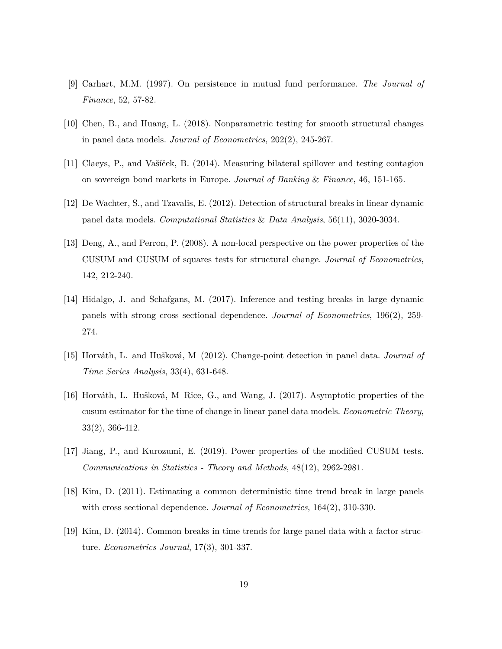- [9] Carhart, M.M. (1997). On persistence in mutual fund performance. *The Journal of Finance*, 52, 57-82.
- [10] Chen, B., and Huang, L. (2018). Nonparametric testing for smooth structural changes in panel data models. *Journal of Econometrics*, 202(2), 245-267.
- [11] Claeys, P., and Vašíček, B. (2014). Measuring bilateral spillover and testing contagion on sovereign bond markets in Europe. *Journal of Banking* & *Finance*, 46, 151-165.
- [12] De Wachter, S., and Tzavalis, E. (2012). Detection of structural breaks in linear dynamic panel data models. *Computational Statistics* & *Data Analysis*, 56(11), 3020-3034.
- [13] Deng, A., and Perron, P. (2008). A non-local perspective on the power properties of the CUSUM and CUSUM of squares tests for structural change. *Journal of Econometrics*, 142, 212-240.
- [14] Hidalgo, J. and Schafgans, M. (2017). Inference and testing breaks in large dynamic panels with strong cross sectional dependence. *Journal of Econometrics*, 196(2), 259- 274.
- [15] Horváth, L. and Hušková, M (2012). Change-point detection in panel data. *Journal of Time Series Analysis*, 33(4), 631-648.
- [16] Horváth, L. Hušková, M Rice, G., and Wang, J. (2017). Asymptotic properties of the cusum estimator for the time of change in linear panel data models. *Econometric Theory*, 33(2), 366-412.
- [17] Jiang, P., and Kurozumi, E. (2019). Power properties of the modified CUSUM tests. *Communications in Statistics - Theory and Methods*, 48(12), 2962-2981.
- [18] Kim, D. (2011). Estimating a common deterministic time trend break in large panels with cross sectional dependence. *Journal of Econometrics*, 164(2), 310-330.
- [19] Kim, D. (2014). Common breaks in time trends for large panel data with a factor structure. *Econometrics Journal*, 17(3), 301-337.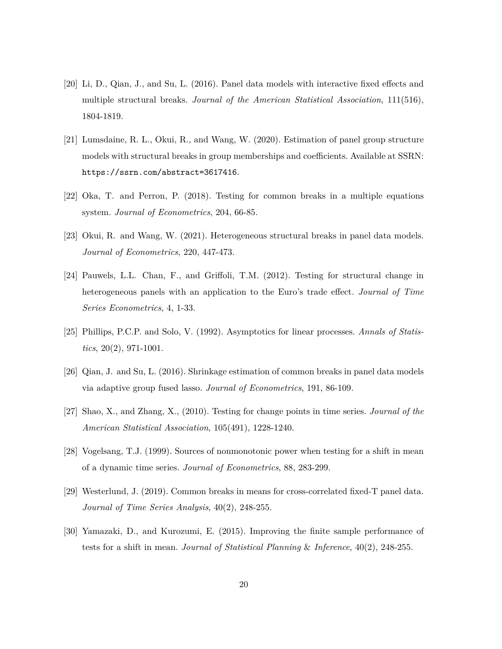- [20] Li, D., Qian, J., and Su, L. (2016). Panel data models with interactive fixed effects and multiple structural breaks. *Journal of the American Statistical Association*, 111(516), 1804-1819.
- [21] Lumsdaine, R. L., Okui, R., and Wang, W. (2020). Estimation of panel group structure models with structural breaks in group memberships and coefficients. Available at SSRN: https://ssrn.com/abstract=3617416.
- [22] Oka, T. and Perron, P. (2018). Testing for common breaks in a multiple equations system. *Journal of Econometrics*, 204, 66-85.
- [23] Okui, R. and Wang, W. (2021). Heterogeneous structural breaks in panel data models. *Journal of Econometrics*, 220, 447-473.
- [24] Pauwels, L.L. Chan, F., and Griffoli, T.M. (2012). Testing for structural change in heterogeneous panels with an application to the Euro's trade effect. *Journal of Time Series Econometrics*, 4, 1-33.
- [25] Phillips, P.C.P. and Solo, V. (1992). Asymptotics for linear processes. *Annals of Statistics*, 20(2), 971-1001.
- [26] Qian, J. and Su, L. (2016). Shrinkage estimation of common breaks in panel data models via adaptive group fused lasso. *Journal of Econometrics*, 191, 86-109.
- [27] Shao, X., and Zhang, X., (2010). Testing for change points in time series. *Journal of the American Statistical Association*, 105(491), 1228-1240.
- [28] Vogelsang, T.J. (1999). Sources of nonmonotonic power when testing for a shift in mean of a dynamic time series. *Journal of Econometrics*, 88, 283-299.
- [29] Westerlund, J. (2019). Common breaks in means for cross-correlated fixed-T panel data. *Journal of Time Series Analysis*, 40(2), 248-255.
- [30] Yamazaki, D., and Kurozumi, E. (2015). Improving the finite sample performance of tests for a shift in mean. *Journal of Statistical Planning* & *Inference*, 40(2), 248-255.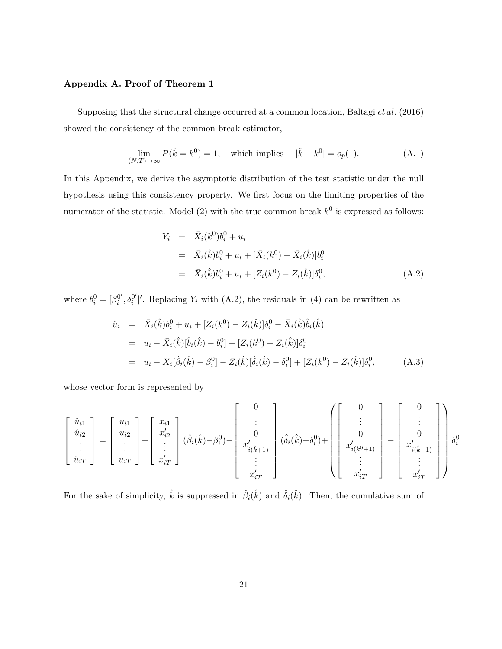### **Appendix A. Proof of Theorem 1**

Supposing that the structural change occurred at a common location, Baltagi *et al.* (2016) showed the consistency of the common break estimator,

$$
\lim_{(N,T)\to\infty} P(\hat{k} = k^0) = 1, \quad \text{which implies} \quad |\hat{k} - k^0| = o_p(1). \tag{A.1}
$$

In this Appendix, we derive the asymptotic distribution of the test statistic under the null hypothesis using this consistency property. We first focus on the limiting properties of the numerator of the statistic. Model  $(2)$  with the true common break  $k^0$  is expressed as follows:

$$
Y_i = \bar{X}_i(k^0)b_i^0 + u_i
$$
  
=  $\bar{X}_i(\hat{k})b_i^0 + u_i + [\bar{X}_i(k^0) - \bar{X}_i(\hat{k})]b_i^0$   
=  $\bar{X}_i(\hat{k})b_i^0 + u_i + [Z_i(k^0) - Z_i(\hat{k})]\delta_i^0,$  (A.2)

where  $b_i^0 = [\beta_i^{0'}, \delta_i^{0'}]$ . Replacing  $Y_i$  with (A.2), the residuals in (4) can be rewritten as

$$
\hat{u}_i = \bar{X}_i(\hat{k})b_i^0 + u_i + [Z_i(k^0) - Z_i(\hat{k})]\delta_i^0 - \bar{X}_i(\hat{k})\hat{b}_i(\hat{k})
$$
\n
$$
= u_i - \bar{X}_i(\hat{k})[\hat{b}_i(\hat{k}) - b_i^0] + [Z_i(k^0) - Z_i(\hat{k})]\delta_i^0
$$
\n
$$
= u_i - X_i[\hat{\beta}_i(\hat{k}) - \beta_i^0] - Z_i(\hat{k})[\hat{\delta}_i(\hat{k}) - \delta_i^0] + [Z_i(k^0) - Z_i(\hat{k})]\delta_i^0,
$$
\n(A.3)

whose vector form is represented by

$$
\begin{bmatrix}\n\hat{u}_{i1} \\
\hat{u}_{i2} \\
\vdots \\
\hat{u}_{iT}\n\end{bmatrix} = \begin{bmatrix}\nu_{i1} \\
u_{i2} \\
\vdots \\
u_{iT}\n\end{bmatrix} - \begin{bmatrix}\nx_{i1} \\
x'_{i2} \\
\vdots \\
x'_{iT}\n\end{bmatrix} (\hat{\beta}_{i}(\hat{k}) - \beta_{i}^{0}) - \begin{bmatrix}\n0 \\
\vdots \\
0 \\
x'_{i(\hat{k}+1)} \\
\vdots \\
x'_{iT}\n\end{bmatrix} (\hat{\delta}_{i}(\hat{k}) - \delta_{i}^{0}) + \begin{bmatrix}\n0 \\
\vdots \\
0 \\
x'_{i(k^{0}+1)} \\
\vdots \\
x'_{iT}\n\end{bmatrix} - \begin{bmatrix}\n0 \\
\vdots \\
0 \\
x'_{i(\hat{k}+1)} \\
\vdots \\
x'_{iT}\n\end{bmatrix} \delta_{i}^{0}
$$

For the sake of simplicity,  $\hat{k}$  is suppressed in  $\hat{\beta}_i(\hat{k})$  and  $\hat{\delta}_i(\hat{k})$ . Then, the cumulative sum of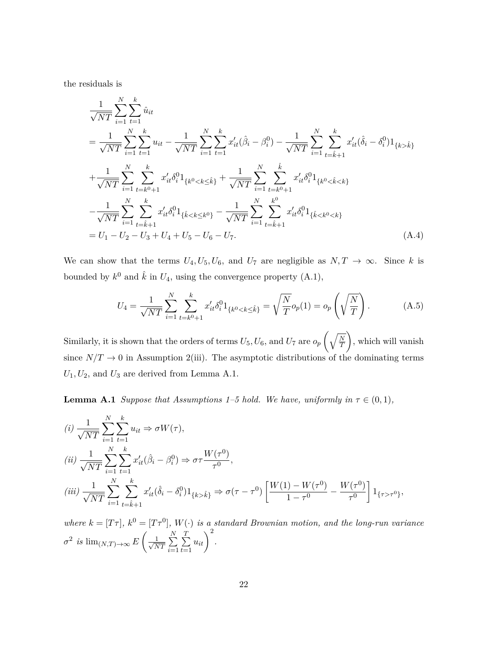the residuals is

$$
\frac{1}{\sqrt{NT}} \sum_{i=1}^{N} \sum_{t=1}^{k} \hat{u}_{it}
$$
\n
$$
= \frac{1}{\sqrt{NT}} \sum_{i=1}^{N} \sum_{t=1}^{k} u_{it} - \frac{1}{\sqrt{NT}} \sum_{i=1}^{N} \sum_{t=1}^{k} x'_{it} (\hat{\beta}_{i} - \beta_{i}^{0}) - \frac{1}{\sqrt{NT}} \sum_{i=1}^{N} \sum_{t=\hat{k}+1}^{k} x'_{it} (\hat{\delta}_{i} - \delta_{i}^{0}) 1_{\{k > \hat{k}\}}
$$
\n
$$
+ \frac{1}{\sqrt{NT}} \sum_{i=1}^{N} \sum_{t=k^{0}+1}^{k} x'_{it} \delta_{i}^{0} 1_{\{k^{0} < k \leq \hat{k}\}} + \frac{1}{\sqrt{NT}} \sum_{i=1}^{N} \sum_{t=k^{0}+1}^{k} x'_{it} \delta_{i}^{0} 1_{\{k^{0} < \hat{k} < k\}}
$$
\n
$$
- \frac{1}{\sqrt{NT}} \sum_{i=1}^{N} \sum_{t=\hat{k}+1}^{k} x'_{it} \delta_{i}^{0} 1_{\{\hat{k} < k \leq k^{0}\}} - \frac{1}{\sqrt{NT}} \sum_{i=1}^{N} \sum_{t=\hat{k}+1}^{k^{0}} x'_{it} \delta_{i}^{0} 1_{\{\hat{k} < k^{0} < k\}}
$$
\n
$$
= U_{1} - U_{2} - U_{3} + U_{4} + U_{5} - U_{6} - U_{7}.
$$
\n(A.4)

We can show that the terms  $U_4, U_5, U_6$ , and  $U_7$  are negligible as  $N, T \rightarrow \infty$ . Since *k* is bounded by  $k^0$  and  $\hat{k}$  in  $U_4$ , using the convergence property  $(A.1)$ ,

$$
U_4 = \frac{1}{\sqrt{NT}} \sum_{i=1}^{N} \sum_{t=k^0+1}^{k} x_{it}' \delta_i^0 1_{\{k^0 < k \leq \hat{k}\}} = \sqrt{\frac{N}{T}} o_p(1) = o_p\left(\sqrt{\frac{N}{T}}\right). \tag{A.5}
$$

Similarly, it is shown that the orders of terms  $U_5, U_6$ , and  $U_7$  are  $o_p\left(\sqrt{\frac{N}{T}}\right)$ *T* , which will vanish since  $N/T \rightarrow 0$  in Assumption 2(iii). The asymptotic distributions of the dominating terms  $U_1, U_2$ , and  $U_3$  are derived from Lemma A.1.

**Lemma A.1** *Suppose that Assumptions 1–5 hold. We have, uniformly in*  $\tau \in (0,1)$ *,* 

$$
(i) \frac{1}{\sqrt{NT}} \sum_{i=1}^{N} \sum_{t=1}^{k} u_{it} \Rightarrow \sigma W(\tau),
$$
  
\n
$$
(ii) \frac{1}{\sqrt{NT}} \sum_{i=1}^{N} \sum_{t=1}^{k} x'_{it} (\hat{\beta}_{i} - \beta_{i}^{0}) \Rightarrow \sigma \tau \frac{W(\tau^{0})}{\tau^{0}},
$$
  
\n
$$
(iii) \frac{1}{\sqrt{NT}} \sum_{i=1}^{N} \sum_{t=\hat{k}+1}^{k} x'_{it} (\hat{\delta}_{i} - \delta_{i}^{0}) 1_{\{k > \hat{k}\}} \Rightarrow \sigma(\tau - \tau^{0}) \left[ \frac{W(1) - W(\tau^{0})}{1 - \tau^{0}} - \frac{W(\tau^{0})}{\tau^{0}} \right] 1_{\{\tau > \tau^{0}\}},
$$

*where*  $k = [T\tau]$ ,  $k^0 = [T\tau^0]$ ,  $W(\cdot)$  *is a standard Brownian motion, and the long-run variance*  $\sigma^2$  *is*  $\lim_{(N,T)\to\infty} E\left(\frac{1}{\sqrt{N}}\right)$  $\frac{1}{NT}$  $\sum$ *N i*=1  $\sum$ *T t*=1  $u_{it}$ <sup>2</sup>.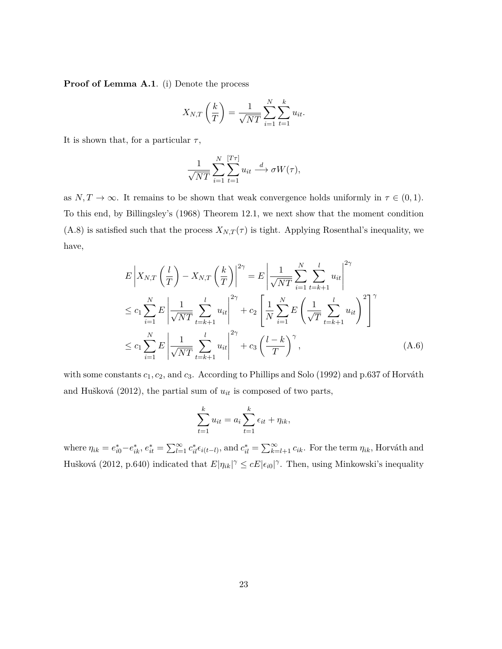**Proof of Lemma A.1.** (i) Denote the process

$$
X_{N,T}\left(\frac{k}{T}\right) = \frac{1}{\sqrt{NT}}\sum_{i=1}^{N}\sum_{t=1}^{k}u_{it}.
$$

It is shown that, for a particular  $\tau$ ,

$$
\frac{1}{\sqrt{NT}}\sum_{i=1}^N\sum_{t=1}^{[T\tau]}u_{it}\stackrel{d}{\longrightarrow}\sigma W(\tau),
$$

as  $N, T \to \infty$ . It remains to be shown that weak convergence holds uniformly in  $\tau \in (0, 1)$ . To this end, by Billingsley's (1968) Theorem 12.1, we next show that the moment condition (A.8) is satisfied such that the process  $X_{N,T}(\tau)$  is tight. Applying Rosenthal's inequality, we have,

$$
E\left|X_{N,T}\left(\frac{l}{T}\right) - X_{N,T}\left(\frac{k}{T}\right)\right|^{2\gamma} = E\left|\frac{1}{\sqrt{NT}}\sum_{i=1}^{N}\sum_{t=k+1}^{l} u_{it}\right|^{2\gamma}
$$
  
\n
$$
\leq c_1 \sum_{i=1}^{N} E\left|\frac{1}{\sqrt{NT}}\sum_{t=k+1}^{l} u_{it}\right|^{2\gamma} + c_2 \left[\frac{1}{N}\sum_{i=1}^{N} E\left(\frac{1}{\sqrt{T}}\sum_{t=k+1}^{l} u_{it}\right)^2\right]^{\gamma}
$$
  
\n
$$
\leq c_1 \sum_{i=1}^{N} E\left|\frac{1}{\sqrt{NT}}\sum_{t=k+1}^{l} u_{it}\right|^{2\gamma} + c_3 \left(\frac{l-k}{T}\right)^{\gamma}, \tag{A.6}
$$

with some constants *c*1*, c*2, and *c*3. According to Phillips and Solo (1992) and p.637 of Horváth and Hušková (2012), the partial sum of *uit* is composed of two parts,

$$
\sum_{t=1}^k u_{it} = a_i \sum_{t=1}^k \epsilon_{it} + \eta_{ik},
$$

where  $\eta_{ik} = e_{i0}^* - e_{ik}^*$ ,  $e_{it}^* = \sum_{l=1}^{\infty} c_{il}^* \epsilon_{i(t-l)}$ , and  $c_{il}^* = \sum_{k=l+1}^{\infty} c_{ik}$ . For the term  $\eta_{ik}$ , Horváth and Hušková (2012, p.640) indicated that  $E|\eta_{ik}|^{\gamma} \le cE|\epsilon_{i0}|^{\gamma}$ . Then, using Minkowski's inequality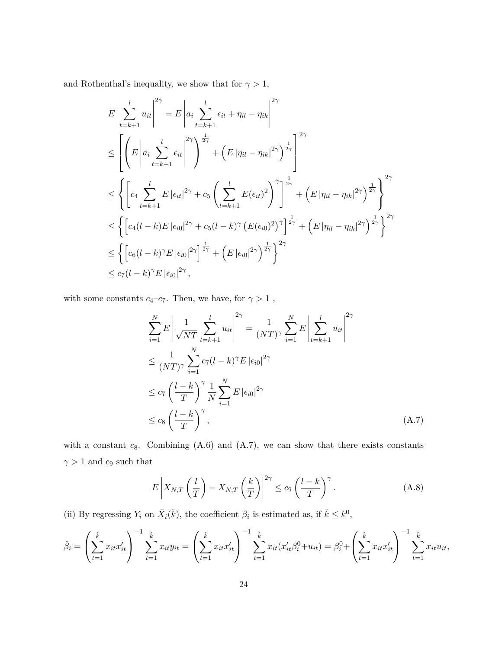and Rothenthal's inequality, we show that for  $\gamma>1,$ 

$$
E\left|\sum_{t=k+1}^{l} u_{it}\right|^{2\gamma} = E\left|a_{i} \sum_{t=k+1}^{l} \epsilon_{it} + \eta_{il} - \eta_{ik}\right|^{2\gamma}
$$
  
\n
$$
\leq \left[\left(E\left|a_{i} \sum_{t=k+1}^{l} \epsilon_{it}\right|^{2\gamma}\right)^{\frac{1}{2\gamma}} + \left(E\left|\eta_{il} - \eta_{ik}\right|^{2\gamma}\right)^{\frac{1}{2\gamma}}\right]^{2\gamma}
$$
  
\n
$$
\leq \left\{\left[c_{4} \sum_{t=k+1}^{l} E\left|\epsilon_{it}\right|^{2\gamma} + c_{5} \left(\sum_{t=k+1}^{l} E(\epsilon_{it})^{2}\right)^{\gamma}\right]^{\frac{1}{2\gamma}} + \left(E\left|\eta_{il} - \eta_{ik}\right|^{2\gamma}\right)^{\frac{1}{2\gamma}}\right\}^{2\gamma}
$$
  
\n
$$
\leq \left\{\left[c_{4}(l-k)E\left|\epsilon_{i0}\right|^{2\gamma} + c_{5}(l-k)^{\gamma}\left(E(\epsilon_{i0})^{2}\right)^{\gamma}\right]^{\frac{1}{2\gamma}} + \left(E\left|\eta_{il} - \eta_{ik}\right|^{2\gamma}\right)^{\frac{1}{2\gamma}}\right\}^{2\gamma}
$$
  
\n
$$
\leq \left\{\left[c_{6}(l-k)^{\gamma}E\left|\epsilon_{i0}\right|^{2\gamma}\right]^{\frac{1}{2\gamma}} + \left(E\left|\epsilon_{i0}\right|^{2\gamma}\right)^{\frac{1}{2\gamma}}\right\}^{2\gamma}
$$
  
\n
$$
\leq c_{7}(l-k)^{\gamma}E\left|\epsilon_{i0}\right|^{2\gamma},
$$

with some constants  $c_4{-}c_7.$  Then, we have, for  $\gamma>1$  ,

$$
\sum_{i=1}^{N} E \left| \frac{1}{\sqrt{NT}} \sum_{t=k+1}^{l} u_{it} \right|^{2\gamma} = \frac{1}{(NT)^{\gamma}} \sum_{i=1}^{N} E \left| \sum_{t=k+1}^{l} u_{it} \right|^{2\gamma}
$$
\n
$$
\leq \frac{1}{(NT)^{\gamma}} \sum_{i=1}^{N} c_{7} (l-k)^{\gamma} E |\epsilon_{i0}|^{2\gamma}
$$
\n
$$
\leq c_{7} \left( \frac{l-k}{T} \right)^{\gamma} \frac{1}{N} \sum_{i=1}^{N} E |\epsilon_{i0}|^{2\gamma}
$$
\n
$$
\leq c_{8} \left( \frac{l-k}{T} \right)^{\gamma}, \tag{A.7}
$$

with a constant  $c_8$ . Combining  $(A.6)$  and  $(A.7)$ , we can show that there exists constants  $\gamma>1$  and  $c_9$  such that

$$
E\left|X_{N,T}\left(\frac{l}{T}\right) - X_{N,T}\left(\frac{k}{T}\right)\right|^{2\gamma} \le c_9 \left(\frac{l-k}{T}\right)^{\gamma}.
$$
 (A.8)

(ii) By regressing  $Y_i$  on  $\bar{X}_i(\hat{k})$ , the coefficient  $\beta_i$  is estimated as, if  $\hat{k} \leq k^0$ ,

$$
\hat{\beta}_i = \left(\sum_{t=1}^{\hat{k}} x_{it} x_{it}'\right)^{-1} \sum_{t=1}^{\hat{k}} x_{it} y_{it} = \left(\sum_{t=1}^{\hat{k}} x_{it} x_{it}'\right)^{-1} \sum_{t=1}^{\hat{k}} x_{it} (x_{it}' \beta_i^0 + u_{it}) = \beta_i^0 + \left(\sum_{t=1}^{\hat{k}} x_{it} x_{it}'\right)^{-1} \sum_{t=1}^{\hat{k}} x_{it} u_{it},
$$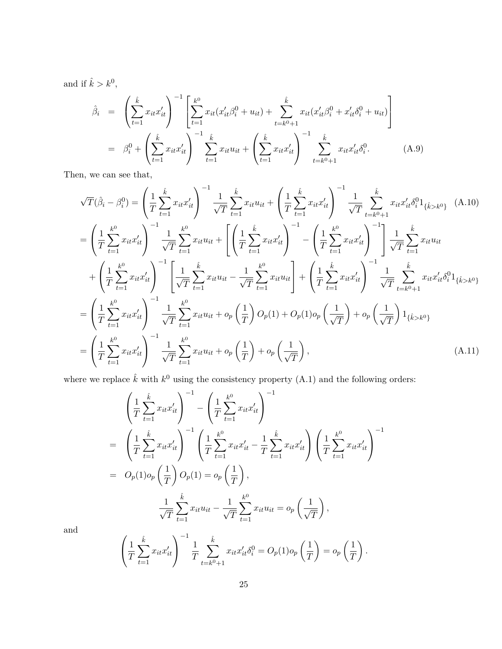and if  $\hat{k} > k^0$ ,

$$
\hat{\beta}_{i} = \left( \sum_{t=1}^{\hat{k}} x_{it} x_{it}' \right)^{-1} \left[ \sum_{t=1}^{k^{0}} x_{it} (x_{it}' \beta_{i}^{0} + u_{it}) + \sum_{t=k^{0}+1}^{\hat{k}} x_{it} (x_{it}' \beta_{i}^{0} + x_{it}' \delta_{i}^{0} + u_{it}) \right]
$$
\n
$$
= \beta_{i}^{0} + \left( \sum_{t=1}^{\hat{k}} x_{it} x_{it}' \right)^{-1} \sum_{t=1}^{\hat{k}} x_{it} u_{it} + \left( \sum_{t=1}^{\hat{k}} x_{it} x_{it}' \right)^{-1} \sum_{t=k^{0}+1}^{\hat{k}} x_{it} x_{it}' \delta_{i}^{0}.
$$
\n(A.9)

Then, we can see that,

$$
\sqrt{T}(\hat{\beta}_{i} - \beta_{i}^{0}) = \left(\frac{1}{T}\sum_{t=1}^{\hat{k}} x_{it}x_{it}'\right)^{-1} \frac{1}{\sqrt{T}}\sum_{t=1}^{\hat{k}} x_{it}u_{it} + \left(\frac{1}{T}\sum_{t=1}^{\hat{k}} x_{it}x_{it}'\right)^{-1} \frac{1}{\sqrt{T}}\sum_{t=k^{0}+1}^{\hat{k}} x_{it}x_{it}'\delta_{i}^{0}1_{\{\hat{k}>k^{0}\}} \quad (A.10)
$$
\n
$$
= \left(\frac{1}{T}\sum_{t=1}^{k^{0}} x_{it}x_{it}'\right)^{-1} \frac{1}{\sqrt{T}}\sum_{t=1}^{k^{0}} x_{it}u_{it} + \left[\left(\frac{1}{T}\sum_{t=1}^{\hat{k}} x_{it}x_{it}'\right)^{-1} - \left(\frac{1}{T}\sum_{t=1}^{k^{0}} x_{it}x_{it}'\right)^{-1}\right] \frac{1}{\sqrt{T}}\sum_{t=1}^{\hat{k}} x_{it}u_{it}
$$
\n
$$
+ \left(\frac{1}{T}\sum_{t=1}^{k^{0}} x_{it}x_{it}'\right)^{-1} \left[\frac{1}{\sqrt{T}}\sum_{t=1}^{\hat{k}} x_{it}u_{it} - \frac{1}{\sqrt{T}}\sum_{t=1}^{k^{0}} x_{it}u_{it}\right] + \left(\frac{1}{T}\sum_{t=1}^{\hat{k}} x_{it}x_{it}'\right)^{-1} \frac{1}{\sqrt{T}}\sum_{t=k^{0}+1}^{\hat{k}} x_{it}x_{it}'\delta_{i}^{0}1_{\{\hat{k}>k^{0}\}}
$$
\n
$$
= \left(\frac{1}{T}\sum_{t=1}^{k^{0}} x_{it}x_{it}'\right)^{-1} \frac{1}{\sqrt{T}}\sum_{t=1}^{\hat{k^{0}}} x_{it}u_{it} + o_{p}\left(\frac{1}{T}\right)O_{p}(1) + O_{p}(1)o_{p}\left(\frac{1}{\sqrt{T}}\right) + o_{p}\left(\frac{1}{\sqrt{T}}\right)1_{\{\hat{k}>k^{0}\}}
$$
\n
$$
= \left(\frac{1}{T}\sum_{t=1}^{k^{0}} x_{it}x_{it}'\right)^{-1} \frac{1}{\sqrt{T}}\sum_{
$$

where we replace  $\hat{k}$  with  $k^0$  using the consistency property  $(A.1)$  and the following orders:

$$
\left(\frac{1}{T}\sum_{t=1}^{\hat{k}}x_{it}x_{it}'\right)^{-1} - \left(\frac{1}{T}\sum_{t=1}^{k^0}x_{it}x_{it}'\right)^{-1}
$$
\n
$$
= \left(\frac{1}{T}\sum_{t=1}^{\hat{k}}x_{it}x_{it}'\right)^{-1} \left(\frac{1}{T}\sum_{t=1}^{k^0}x_{it}x_{it}' - \frac{1}{T}\sum_{t=1}^{\hat{k}}x_{it}x_{it}'\right) \left(\frac{1}{T}\sum_{t=1}^{k^0}x_{it}x_{it}'\right)^{-1}
$$
\n
$$
= O_p(1)o_p\left(\frac{1}{T}\right)O_p(1) = o_p\left(\frac{1}{T}\right),
$$
\n
$$
\frac{1}{\sqrt{T}}\sum_{t=1}^{\hat{k}}x_{it}u_{it} - \frac{1}{\sqrt{T}}\sum_{t=1}^{k^0}x_{it}u_{it} = o_p\left(\frac{1}{\sqrt{T}}\right),
$$

and

$$
\left(\frac{1}{T}\sum_{t=1}^{\hat{k}} x_{it}x_{it}'\right)^{-1} \frac{1}{T}\sum_{t=k^0+1}^{\hat{k}} x_{it}x_{it}'\delta_i^0 = O_p(1) o_p\left(\frac{1}{T}\right) = o_p\left(\frac{1}{T}\right).
$$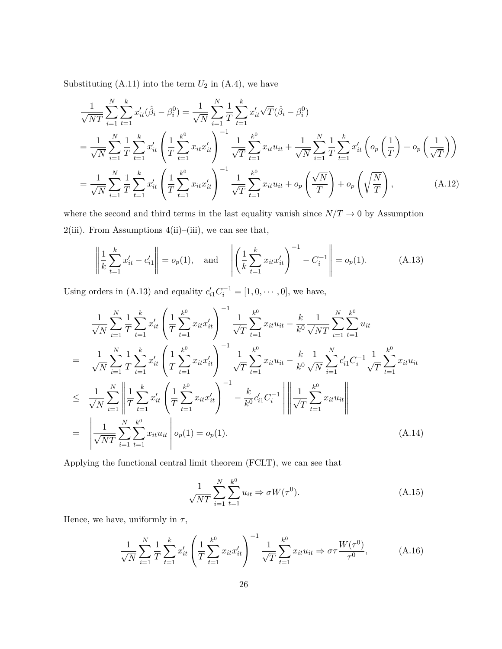Substituting  $(A.11)$  into the term  $U_2$  in  $(A.4)$ , we have

$$
\frac{1}{\sqrt{NT}} \sum_{i=1}^{N} \sum_{t=1}^{k} x'_{it} (\hat{\beta}_{i} - \beta_{i}^{0}) = \frac{1}{\sqrt{N}} \sum_{i=1}^{N} \frac{1}{T} \sum_{t=1}^{k} x'_{it} \sqrt{T} (\hat{\beta}_{i} - \beta_{i}^{0})
$$
\n
$$
= \frac{1}{\sqrt{N}} \sum_{i=1}^{N} \frac{1}{T} \sum_{t=1}^{k} x'_{it} \left( \frac{1}{T} \sum_{t=1}^{k^{0}} x_{it} x'_{it} \right)^{-1} \frac{1}{\sqrt{T}} \sum_{t=1}^{k^{0}} x_{it} u_{it} + \frac{1}{\sqrt{N}} \sum_{i=1}^{N} \frac{1}{T} \sum_{t=1}^{k} x'_{it} \left( o_{p} \left( \frac{1}{T} \right) + o_{p} \left( \frac{1}{\sqrt{T}} \right) \right)
$$
\n
$$
= \frac{1}{\sqrt{N}} \sum_{i=1}^{N} \frac{1}{T} \sum_{t=1}^{k} x'_{it} \left( \frac{1}{T} \sum_{t=1}^{k^{0}} x_{it} x'_{it} \right)^{-1} \frac{1}{\sqrt{T}} \sum_{t=1}^{k^{0}} x_{it} u_{it} + o_{p} \left( \frac{\sqrt{N}}{T} \right) + o_{p} \left( \sqrt{\frac{N}{T}} \right), \tag{A.12}
$$

where the second and third terms in the last equality vanish since  $N/T \rightarrow 0$  by Assumption 2(iii). From Assumptions  $4(ii)$ –(iii), we can see that,

$$
\left\| \frac{1}{k} \sum_{t=1}^{k} x'_{it} - c'_{i1} \right\| = o_p(1), \text{ and } \left\| \left( \frac{1}{k} \sum_{t=1}^{k} x_{it} x'_{it} \right)^{-1} - C_i^{-1} \right\| = o_p(1). \tag{A.13}
$$

Using orders in (A.13) and equality  $c'_{i1}C_i^{-1} = [1, 0, \cdots, 0]$ , we have,

$$
\begin{split}\n&= \left| \frac{1}{\sqrt{N}} \sum_{i=1}^{N} \frac{1}{T} \sum_{t=1}^{k} x_{it}' \left( \frac{1}{T} \sum_{t=1}^{k^{0}} x_{it} x_{it}' \right)^{-1} \frac{1}{\sqrt{T}} \sum_{t=1}^{k^{0}} x_{it} u_{it} - \frac{k}{k^{0}} \frac{1}{\sqrt{NT}} \sum_{i=1}^{N} \sum_{t=1}^{k^{0}} u_{it} \right| \\
&= \left| \frac{1}{\sqrt{N}} \sum_{i=1}^{N} \frac{1}{T} \sum_{t=1}^{k} x_{it}' \left( \frac{1}{T} \sum_{t=1}^{k^{0}} x_{it} x_{it}' \right)^{-1} \frac{1}{\sqrt{T}} \sum_{t=1}^{k^{0}} x_{it} u_{it} - \frac{k}{k^{0}} \frac{1}{\sqrt{N}} \sum_{i=1}^{N} c_{i1}' C_{i}^{-1} \frac{1}{\sqrt{T}} \sum_{t=1}^{k^{0}} x_{it} u_{it} \right| \\
&\leq \frac{1}{\sqrt{N}} \sum_{i=1}^{N} \left| \frac{1}{T} \sum_{t=1}^{k} x_{it}' \left( \frac{1}{T} \sum_{t=1}^{k^{0}} x_{it} x_{it}' \right)^{-1} - \frac{k}{k^{0}} c_{i1}' C_{i}^{-1} \right| \left| \left| \frac{1}{\sqrt{T}} \sum_{t=1}^{k^{0}} x_{it} u_{it} \right| \right| \\
&= \left| \left| \frac{1}{\sqrt{NT}} \sum_{i=1}^{N} \sum_{t=1}^{k^{0}} x_{it} u_{it} \right| \right| o_{p}(1) = o_{p}(1).\n\end{split} \tag{A.14}
$$

Applying the functional central limit theorem (FCLT), we can see that

$$
\frac{1}{\sqrt{NT}} \sum_{i=1}^{N} \sum_{t=1}^{k^0} u_{it} \Rightarrow \sigma W(\tau^0). \tag{A.15}
$$

Hence, we have, uniformly in  $\tau,$ 

$$
\frac{1}{\sqrt{N}} \sum_{i=1}^{N} \frac{1}{T} \sum_{t=1}^{k} x_{it}' \left( \frac{1}{T} \sum_{t=1}^{k^0} x_{it} x_{it}' \right)^{-1} \frac{1}{\sqrt{T}} \sum_{t=1}^{k^0} x_{it} u_{it} \Rightarrow \sigma \tau \frac{W(\tau^0)}{\tau^0}, \tag{A.16}
$$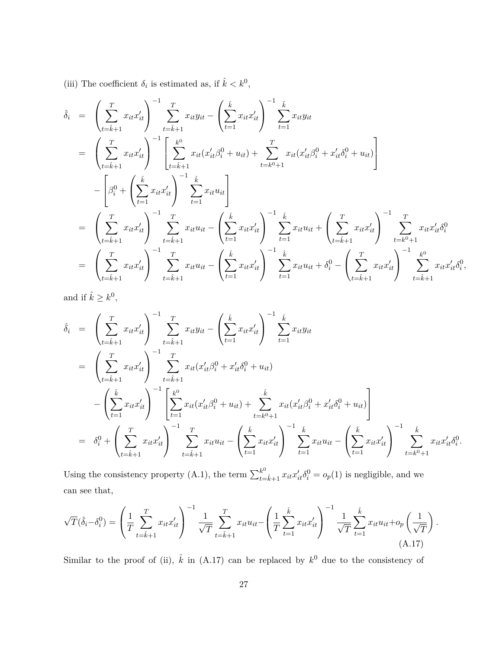(iii) The coefficient  $\delta_i$  is estimated as, if  $\hat{k} < k^0$ ,

$$
\hat{\delta}_{i} = \left(\sum_{t=\hat{k}+1}^{T} x_{it} x_{it}' \right)^{-1} \sum_{t=\hat{k}+1}^{T} x_{it} y_{it} - \left(\sum_{t=1}^{\hat{k}} x_{it} x_{it}' \right)^{-1} \sum_{t=1}^{\hat{k}} x_{it} y_{it}
$$
\n
$$
= \left(\sum_{t=\hat{k}+1}^{T} x_{it} x_{it}' \right)^{-1} \left[ \sum_{t=\hat{k}+1}^{k^{0}} x_{it} (x_{it}' \beta_{i}^{0} + u_{it}) + \sum_{t=k^{0}+1}^{T} x_{it} (x_{it}' \beta_{i}^{0} + x_{it}' \delta_{i}^{0} + u_{it}) \right]
$$
\n
$$
- \left[ \beta_{i}^{0} + \left( \sum_{t=1}^{\hat{k}} x_{it} x_{it}' \right)^{-1} \sum_{t=1}^{\hat{k}} x_{it} u_{it} \right]
$$
\n
$$
= \left(\sum_{t=\hat{k}+1}^{T} x_{it} x_{it}' \right)^{-1} \sum_{t=\hat{k}+1}^{T} x_{it} u_{it} - \left( \sum_{t=1}^{\hat{k}} x_{it} x_{it}' \right)^{-1} \sum_{t=1}^{\hat{k}} x_{it} u_{it} + \left( \sum_{t=\hat{k}+1}^{T} x_{it} x_{it}' \right)^{-1} \sum_{t=k^{0}+1}^{T} x_{it} x_{it}' \delta_{i}^{0}
$$
\n
$$
= \left( \sum_{t=\hat{k}+1}^{T} x_{it} x_{it}' \right)^{-1} \sum_{t=\hat{k}+1}^{T} x_{it} u_{it} - \left( \sum_{t=1}^{\hat{k}} x_{it} x_{it}' \right)^{-1} \sum_{t=1}^{\hat{k}} x_{it} u_{it} + \delta_{i}^{0} - \left( \sum_{t=\hat{k}+1}^{T} x_{it} x_{it}' \right)^{-1} \sum_{t=\hat{k}+1}^{k^{0}} x_{it} x_{it}' \delta_{i}^{0},
$$

and if  $\hat{k} \geq k^0$ ,

$$
\hat{\delta}_{i} = \left(\sum_{t=\hat{k}+1}^{T} x_{it} x_{it}' \right)^{-1} \sum_{t=\hat{k}+1}^{T} x_{it} y_{it} - \left(\sum_{t=1}^{\hat{k}} x_{it} x_{it}' \right)^{-1} \sum_{t=1}^{\hat{k}} x_{it} y_{it}
$$
\n
$$
= \left(\sum_{t=\hat{k}+1}^{T} x_{it} x_{it}' \right)^{-1} \sum_{t=\hat{k}+1}^{T} x_{it} (x_{it}' \beta_{i}^{0} + x_{it}' \delta_{i}^{0} + u_{it})
$$
\n
$$
- \left(\sum_{t=1}^{\hat{k}} x_{it} x_{it}' \right)^{-1} \left[\sum_{t=1}^{k^{0}} x_{it} (x_{it}' \beta_{i}^{0} + u_{it}) + \sum_{t=k^{0}+1}^{k} x_{it} (x_{it}' \beta_{i}^{0} + x_{it}' \delta_{i}^{0} + u_{it})\right]
$$
\n
$$
= \delta_{i}^{0} + \left(\sum_{t=\hat{k}+1}^{T} x_{it} x_{it}' \right)^{-1} \sum_{t=\hat{k}+1}^{T} x_{it} u_{it} - \left(\sum_{t=1}^{\hat{k}} x_{it} x_{it}' \right)^{-1} \sum_{t=1}^{\hat{k}} x_{it} u_{it} - \left(\sum_{t=1}^{\hat{k}} x_{it} x_{it}' \right)^{-1} \sum_{t=1}^{\hat{k}} x_{it} u_{it} - \left(\sum_{t=1}^{\hat{k}} x_{it} x_{it}' \right)^{-1} \sum_{t=k^{0}+1}^{k} x_{it} x_{it}' \delta_{i}^{0}.
$$

Using the consistency property (A.1), the term  $\sum_{t=\hat{k}+1}^{k^0} x_{it} x'_{it} \delta_i^0 = o_p(1)$  is negligible, and we can see that,

$$
\sqrt{T}(\hat{\delta}_i - \delta_i^0) = \left(\frac{1}{T} \sum_{t=\hat{k}+1}^T x_{it} x_{it}'\right)^{-1} \frac{1}{\sqrt{T}} \sum_{t=\hat{k}+1}^T x_{it} u_{it} - \left(\frac{1}{T} \sum_{t=1}^{\hat{k}} x_{it} x_{it}'\right)^{-1} \frac{1}{\sqrt{T}} \sum_{t=1}^{\hat{k}} x_{it} u_{it} + o_p\left(\frac{1}{\sqrt{T}}\right).
$$
\n(A.17)

Similar to the proof of (ii),  $\hat{k}$  in (A.17) can be replaced by  $k^0$  due to the consistency of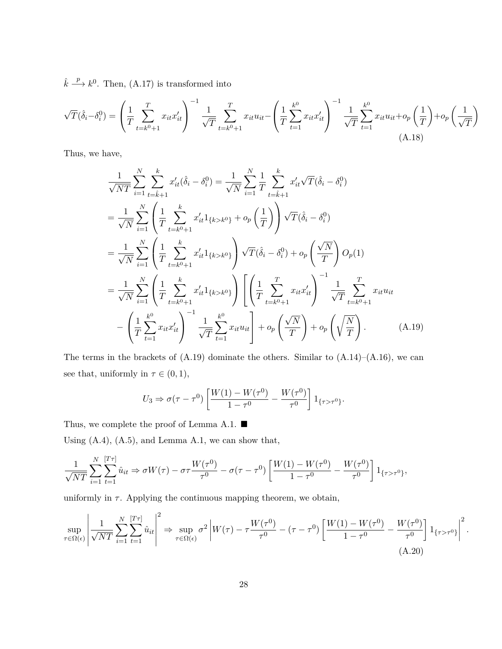$\hat{k} \stackrel{p}{\longrightarrow} k^0$ . Then, (A.17) is transformed into

$$
\sqrt{T}(\hat{\delta}_i - \delta_i^0) = \left(\frac{1}{T} \sum_{t=k^0+1}^T x_{it} x_{it}'\right)^{-1} \frac{1}{\sqrt{T}} \sum_{t=k^0+1}^T x_{it} u_{it} - \left(\frac{1}{T} \sum_{t=1}^{k^0} x_{it} x_{it}'\right)^{-1} \frac{1}{\sqrt{T}} \sum_{t=1}^{k^0} x_{it} u_{it} + o_p\left(\frac{1}{T}\right) + o_p\left(\frac{1}{\sqrt{T}}\right)
$$
\n(A.18)

Thus, we have,

$$
\frac{1}{\sqrt{NT}} \sum_{i=1}^{N} \sum_{t=\hat{k}+1}^{k} x'_{it} (\hat{\delta}_{i} - \delta_{i}^{0}) = \frac{1}{\sqrt{N}} \sum_{i=1}^{N} \frac{1}{T} \sum_{t=\hat{k}+1}^{k} x'_{it} \sqrt{T} (\hat{\delta}_{i} - \delta_{i}^{0})
$$
\n
$$
= \frac{1}{\sqrt{N}} \sum_{i=1}^{N} \left( \frac{1}{T} \sum_{t=k^{0}+1}^{k} x'_{it} 1_{\{k>k^{0}\}} + o_{p} \left( \frac{1}{T} \right) \right) \sqrt{T} (\hat{\delta}_{i} - \delta_{i}^{0})
$$
\n
$$
= \frac{1}{\sqrt{N}} \sum_{i=1}^{N} \left( \frac{1}{T} \sum_{t=k^{0}+1}^{k} x'_{it} 1_{\{k>k^{0}\}} \right) \sqrt{T} (\hat{\delta}_{i} - \delta_{i}^{0}) + o_{p} \left( \frac{\sqrt{N}}{T} \right) O_{p}(1)
$$
\n
$$
= \frac{1}{\sqrt{N}} \sum_{i=1}^{N} \left( \frac{1}{T} \sum_{t=k^{0}+1}^{k} x'_{it} 1_{\{k>k^{0}\}} \right) \left[ \left( \frac{1}{T} \sum_{t=k^{0}+1}^{T} x_{it} x'_{it} \right)^{-1} \frac{1}{\sqrt{T}} \sum_{t=k^{0}+1}^{T} x_{it} u_{it} \right. \left. - \left( \frac{1}{T} \sum_{t=1}^{k^{0}} x_{it} x'_{it} \right)^{-1} \frac{1}{\sqrt{T}} \sum_{t=1}^{k^{0}} x_{it} u_{it} \right] + o_{p} \left( \sqrt{\frac{N}{T}} \right) + o_{p} \left( \sqrt{\frac{N}{T}} \right).
$$
\n(A.19)

The terms in the brackets of  $(A.19)$  dominate the others. Similar to  $(A.14)$ – $(A.16)$ , we can see that, uniformly in  $\tau \in (0, 1)$ ,

$$
U_3 \Rightarrow \sigma(\tau - \tau^0) \left[ \frac{W(1) - W(\tau^0)}{1 - \tau^0} - \frac{W(\tau^0)}{\tau^0} \right] 1_{\{\tau > \tau^0\}}.
$$

Thus, we complete the proof of Lemma A.1. ■

Using (A.4), (A.5), and Lemma A.1, we can show that,

$$
\frac{1}{\sqrt{NT}} \sum_{i=1}^{N} \sum_{t=1}^{[T\tau]} \hat{u}_{it} \Rightarrow \sigma W(\tau) - \sigma \tau \frac{W(\tau^0)}{\tau^0} - \sigma(\tau - \tau^0) \left[ \frac{W(1) - W(\tau^0)}{1 - \tau^0} - \frac{W(\tau^0)}{\tau^0} \right] \mathbb{1}_{\{\tau > \tau^0\}},
$$

uniformly in  $\tau$ . Applying the continuous mapping theorem, we obtain,

$$
\sup_{\tau \in \Omega(\epsilon)} \left| \frac{1}{\sqrt{NT}} \sum_{i=1}^{N} \sum_{t=1}^{[T\tau]} \hat{u}_{it} \right|^2 \Rightarrow \sup_{\tau \in \Omega(\epsilon)} \sigma^2 \left| W(\tau) - \tau \frac{W(\tau^0)}{\tau^0} - (\tau - \tau^0) \left[ \frac{W(1) - W(\tau^0)}{1 - \tau^0} - \frac{W(\tau^0)}{\tau^0} \right] \mathbf{1}_{\{\tau > \tau^0\}} \right|^2.
$$
\n(A.20)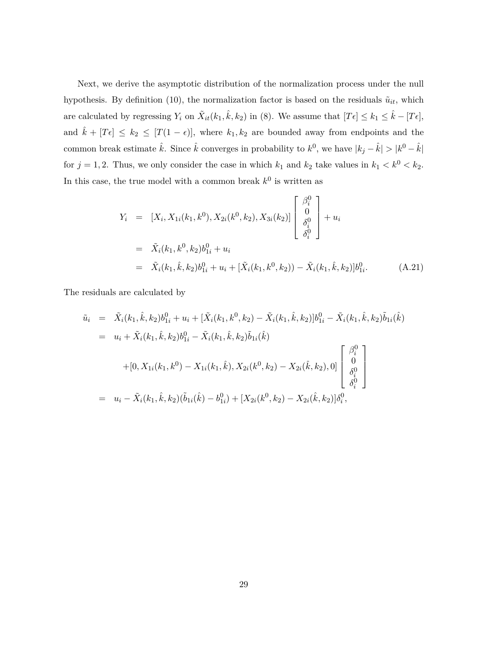Next, we derive the asymptotic distribution of the normalization process under the null hypothesis. By definition (10), the normalization factor is based on the residuals  $\tilde{u}_{it}$ , which are calculated by regressing  $Y_i$  on  $\tilde{X}_{it}(k_1, \hat{k}, k_2)$  in (8). We assume that  $[T\epsilon] \leq k_1 \leq \hat{k} - [T\epsilon]$ , and  $\hat{k} + [T\epsilon] \leq k_2 \leq [T(1 - \epsilon)],$  where  $k_1, k_2$  are bounded away from endpoints and the common break estimate  $\hat{k}$ . Since  $\hat{k}$  converges in probability to  $k^0$ , we have  $|k_j - \hat{k}| > |k^0 - \hat{k}|$ for  $j = 1, 2$ . Thus, we only consider the case in which  $k_1$  and  $k_2$  take values in  $k_1 < k^0 < k_2$ . In this case, the true model with a common break  $k^0$  is written as

$$
Y_i = [X_i, X_{1i}(k_1, k^0), X_{2i}(k^0, k_2), X_{3i}(k_2)] \begin{bmatrix} \beta_i^0 \\ 0 \\ \delta_i^0 \\ \delta_i^0 \end{bmatrix} + u_i
$$
  
=  $\tilde{X}_i(k_1, k^0, k_2) b_{1i}^0 + u_i$   
=  $\tilde{X}_i(k_1, \hat{k}, k_2) b_{1i}^0 + u_i + [\tilde{X}_i(k_1, k^0, k_2)) - \tilde{X}_i(k_1, \hat{k}, k_2)] b_{1i}^0.$  (A.21)

The residuals are calculated by

$$
\tilde{u}_{i} = \tilde{X}_{i}(k_{1}, \hat{k}, k_{2})b_{1i}^{0} + u_{i} + [\tilde{X}_{i}(k_{1}, k^{0}, k_{2}) - \tilde{X}_{i}(k_{1}, \hat{k}, k_{2})]b_{1i}^{0} - \tilde{X}_{i}(k_{1}, \hat{k}, k_{2})\tilde{b}_{1i}(\hat{k})
$$
\n
$$
= u_{i} + \tilde{X}_{i}(k_{1}, \hat{k}, k_{2})b_{1i}^{0} - \tilde{X}_{i}(k_{1}, \hat{k}, k_{2})\tilde{b}_{1i}(\hat{k})
$$
\n
$$
+ [0, X_{1i}(k_{1}, k^{0}) - X_{1i}(k_{1}, \hat{k}), X_{2i}(k^{0}, k_{2}) - X_{2i}(\hat{k}, k_{2}), 0] \begin{bmatrix} \beta_{i}^{0} \\ 0 \\ \delta_{i}^{0} \\ \delta_{i}^{0} \end{bmatrix}
$$
\n
$$
= u_{i} - \tilde{X}_{i}(k_{1}, \hat{k}, k_{2})(\tilde{b}_{1i}(\hat{k}) - b_{1i}^{0}) + [X_{2i}(k^{0}, k_{2}) - X_{2i}(\hat{k}, k_{2})]\delta_{i}^{0},
$$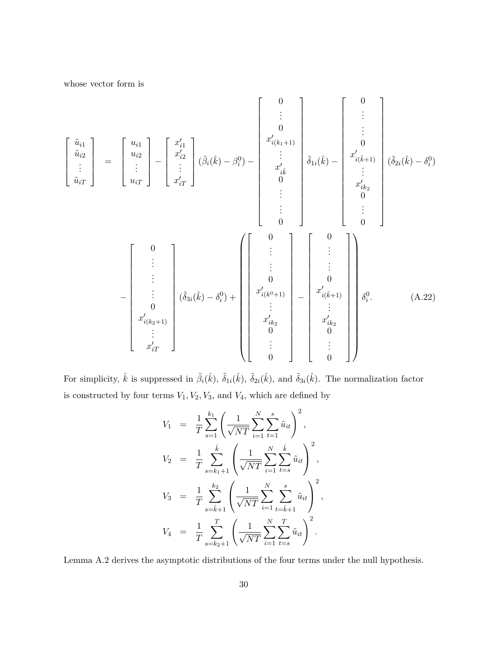whose vector form is

$$
\begin{bmatrix}\n\tilde{u}_{i1} \\
\tilde{u}_{i2} \\
\vdots \\
\tilde{u}_{iT}\n\end{bmatrix} = \begin{bmatrix}\nu_{i1} \\
u_{i2} \\
u_{i2} \\
\vdots \\
u_{iT}\n\end{bmatrix} - \begin{bmatrix}\nu'_{i1} \\
u'_{i2} \\
\vdots \\
u_{iT}\n\end{bmatrix} (\tilde{\beta}_{i}(\hat{k}) - \beta_{i}^{0}) - \begin{bmatrix}\n0 \\
x'_{i(k_{1}+1)} \\
x'_{i(k_{2}+1)} \\
\vdots \\
0 \\
0\n\end{bmatrix} \begin{bmatrix}\n0 \\
\tilde{\delta}_{1i}(\hat{k}) - \begin{bmatrix}\n0 \\
\tilde{\delta}_{1i}(\hat{k}) - \delta_{i}^{0}\n\end{bmatrix} \\
\vdots \\
0\n\end{bmatrix} \begin{bmatrix}\n0 \\
\tilde{\delta}_{2i}(\hat{k}) - \delta_{i}^{0}\n\end{bmatrix}
$$
\n
$$
-\begin{bmatrix}\n0 \\
\vdots \\
\tilde{\delta}_{3i}(\hat{k}) - \delta_{i}^{0}\n\end{bmatrix} + \begin{bmatrix}\n0 \\
\tilde{\delta}_{1i}(\hat{k}) - \begin{bmatrix}\n0 \\
\tilde{\delta}_{1i}(\hat{k}) - \delta_{i}^{0}\n\end{bmatrix} \\
\begin{bmatrix}\n0 \\
\tilde{\delta}_{2i}(\hat{k}) - \delta_{i}^{0}\n\end{bmatrix} + \begin{bmatrix}\n0 \\
\tilde{\delta}_{1i}(\hat{k}) - \delta_{i}^{0}\n\end{bmatrix} + \begin{bmatrix}\n0 \\
\tilde{\delta}_{2i}(\hat{k}) - \delta_{i}^{0}\n\end{bmatrix} + \begin{bmatrix}\n0 \\
\tilde{\delta}_{1i}(\hat{k}) - \delta_{i}^{0}\n\end{bmatrix} + \begin{bmatrix}\n0 \\
\tilde{\delta}_{2i}(\hat{k}) - \delta_{i}^{0}\n\end{bmatrix} + \begin{bmatrix}\n0 \\
\tilde{\delta}_{1i}(\hat{k}) - \delta_{i}^{0}\n\end{bmatrix} + \begin{bmatrix}\n0 \\
\tilde{\delta}_{2i}(\hat{k}) - \delta_{i}^{0}\n\end{bmatrix} + \begin{bmatrix}\n0 \\
\tilde{\delta}_{2i}(\hat{k}) - \delta_{i}^{0}\n\end{bmatrix} + \begin{bmatrix}\n0 \\
\tilde{\delta}_{1i}(\hat{k}) - \delta_{i}^{0}\
$$

For simplicity,  $\hat{k}$  is suppressed in  $\tilde{\beta}_i(\hat{k})$ ,  $\tilde{\delta}_{1i}(\hat{k})$ ,  $\tilde{\delta}_{2i}(\hat{k})$ , and  $\tilde{\delta}_{3i}(\hat{k})$ . The normalization factor is constructed by four terms  $V_1, V_2, V_3$ , and  $V_4$ , which are defined by

$$
V_1 = \frac{1}{T} \sum_{s=1}^{k_1} \left( \frac{1}{\sqrt{NT}} \sum_{i=1}^N \sum_{t=1}^s \tilde{u}_{it} \right)^2,
$$
  
\n
$$
V_2 = \frac{1}{T} \sum_{s=k_1+1}^{\hat{k}} \left( \frac{1}{\sqrt{NT}} \sum_{i=1}^N \sum_{t=s}^{\hat{k}} \tilde{u}_{it} \right)^2,
$$
  
\n
$$
V_3 = \frac{1}{T} \sum_{s=\hat{k}+1}^{k_2} \left( \frac{1}{\sqrt{NT}} \sum_{i=1}^N \sum_{t=\hat{k}+1}^s \tilde{u}_{it} \right)^2,
$$
  
\n
$$
V_4 = \frac{1}{T} \sum_{s=k_2+1}^T \left( \frac{1}{\sqrt{NT}} \sum_{i=1}^N \sum_{t=s}^T \tilde{u}_{it} \right)^2.
$$

Lemma A.2 derives the asymptotic distributions of the four terms under the null hypothesis.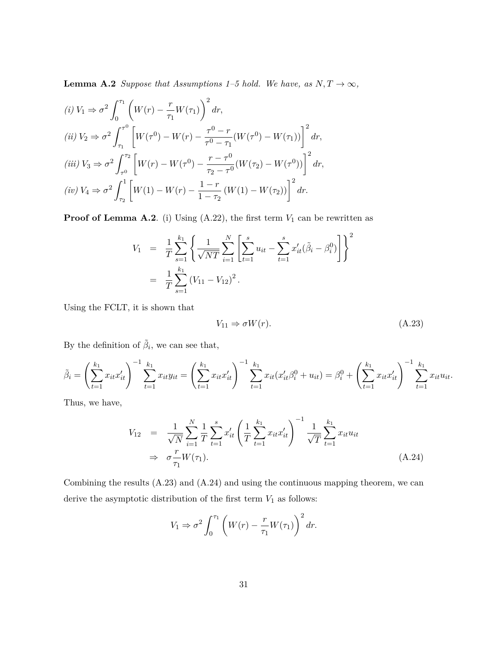**Lemma A.2** *Suppose that Assumptions 1–5 hold. We have, as*  $N, T \rightarrow \infty$ ,

$$
(i) V_1 \Rightarrow \sigma^2 \int_0^{\tau_1} \left( W(r) - \frac{r}{\tau_1} W(\tau_1) \right)^2 dr,
$$
  
\n
$$
(ii) V_2 \Rightarrow \sigma^2 \int_{\tau_1}^{\tau_0} \left[ W(\tau^0) - W(r) - \frac{\tau^0 - r}{\tau^0 - \tau_1} (W(\tau^0) - W(\tau_1)) \right]^2 dr,
$$
  
\n
$$
(iii) V_3 \Rightarrow \sigma^2 \int_{\tau_0}^{\tau_2} \left[ W(r) - W(\tau^0) - \frac{r - \tau^0}{\tau_2 - \tau_0} (W(\tau_2) - W(\tau^0)) \right]^2 dr,
$$
  
\n
$$
(iv) V_4 \Rightarrow \sigma^2 \int_{\tau_2}^1 \left[ W(1) - W(r) - \frac{1 - r}{1 - \tau_2} (W(1) - W(\tau_2)) \right]^2 dr.
$$

**Proof of Lemma A.2**. (i) Using (A.22), the first term  $V_1$  can be rewritten as

$$
V_1 = \frac{1}{T} \sum_{s=1}^{k_1} \left\{ \frac{1}{\sqrt{NT}} \sum_{i=1}^N \left[ \sum_{t=1}^s u_{it} - \sum_{t=1}^s x'_{it} (\tilde{\beta}_i - \beta_i^0) \right] \right\}^2
$$
  
= 
$$
\frac{1}{T} \sum_{s=1}^{k_1} (V_{11} - V_{12})^2.
$$

Using the FCLT, it is shown that

$$
V_{11} \Rightarrow \sigma W(r). \tag{A.23}
$$

By the definition of  $\tilde{\beta}_i$ , we can see that,

$$
\tilde{\beta}_i = \left(\sum_{t=1}^{k_1} x_{it} x_{it}'\right)^{-1} \sum_{t=1}^{k_1} x_{it} y_{it} = \left(\sum_{t=1}^{k_1} x_{it} x_{it}'\right)^{-1} \sum_{t=1}^{k_1} x_{it} \left(x_{it}' \beta_i^0 + u_{it}\right) = \beta_i^0 + \left(\sum_{t=1}^{k_1} x_{it} x_{it}'\right)^{-1} \sum_{t=1}^{k_1} x_{it} u_{it}.
$$

Thus, we have,

$$
V_{12} = \frac{1}{\sqrt{N}} \sum_{i=1}^{N} \frac{1}{T} \sum_{t=1}^{s} x'_{it} \left( \frac{1}{T} \sum_{t=1}^{k_1} x_{it} x'_{it} \right)^{-1} \frac{1}{\sqrt{T}} \sum_{t=1}^{k_1} x_{it} u_{it}
$$
  
\n
$$
\Rightarrow \sigma \frac{r}{\tau_1} W(\tau_1).
$$
 (A.24)

Combining the results (A.23) and (A.24) and using the continuous mapping theorem, we can derive the asymptotic distribution of the first term  ${\cal V}_1$  as follows:

$$
V_1 \Rightarrow \sigma^2 \int_0^{\tau_1} \left( W(r) - \frac{r}{\tau_1} W(\tau_1) \right)^2 dr.
$$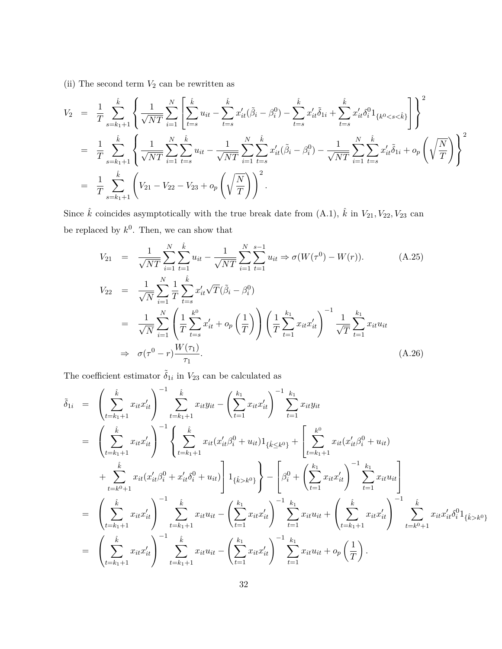(ii) The second term  $V_2$  can be rewritten as

$$
V_2 = \frac{1}{T} \sum_{s=k_1+1}^{\hat{k}} \left\{ \frac{1}{\sqrt{NT}} \sum_{i=1}^N \left[ \sum_{t=s}^{\hat{k}} u_{it} - \sum_{t=s}^{\hat{k}} x'_{it} (\tilde{\beta}_i - \beta_i^0) - \sum_{t=s}^{\hat{k}} x'_{it} \tilde{\delta}_{1i} + \sum_{t=s}^{\hat{k}} x'_{it} \delta_i^0 1_{\{k^0 < s < \hat{k}\}} \right] \right\}^2
$$
  
\n
$$
= \frac{1}{T} \sum_{s=k_1+1}^{\hat{k}} \left\{ \frac{1}{\sqrt{NT}} \sum_{i=1}^N \sum_{t=s}^{\hat{k}} u_{it} - \frac{1}{\sqrt{NT}} \sum_{i=1}^N \sum_{t=s}^{\hat{k}} x'_{it} (\tilde{\beta}_i - \beta_i^0) - \frac{1}{\sqrt{NT}} \sum_{i=1}^N \sum_{t=s}^N x'_{it} \tilde{\delta}_{1i} + o_p \left( \sqrt{\frac{N}{T}} \right) \right\}^2
$$
  
\n
$$
= \frac{1}{T} \sum_{s=k_1+1}^{\hat{k}} \left( V_{21} - V_{22} - V_{23} + o_p \left( \sqrt{\frac{N}{T}} \right) \right)^2.
$$

Since  $\hat{k}$  coincides asymptotically with the true break date from (A.1),  $\hat{k}$  in  $V_{21}, V_{22}, V_{23}$  can be replaced by  $k^0$ . Then, we can show that

$$
V_{21} = \frac{1}{\sqrt{NT}} \sum_{i=1}^{N} \sum_{t=1}^{\hat{k}} u_{it} - \frac{1}{\sqrt{NT}} \sum_{i=1}^{N} \sum_{t=1}^{s-1} u_{it} \Rightarrow \sigma(W(\tau^{0}) - W(r)).
$$
\n
$$
V_{22} = \frac{1}{\sqrt{N}} \sum_{i=1}^{N} \frac{1}{T} \sum_{t=s}^{\hat{k}} x_{it}' \sqrt{T} (\tilde{\beta}_{i} - \beta_{i}^{0})
$$
\n
$$
= \frac{1}{\sqrt{N}} \sum_{i=1}^{N} \left( \frac{1}{T} \sum_{t=s}^{k^{0}} x_{it}' + o_{p} \left( \frac{1}{T} \right) \right) \left( \frac{1}{T} \sum_{t=1}^{k_{1}} x_{it} x_{it}' \right)^{-1} \frac{1}{\sqrt{T}} \sum_{t=1}^{k_{1}} x_{it} u_{it}
$$
\n
$$
\Rightarrow \sigma(\tau^{0} - r) \frac{W(\tau_{1})}{\tau_{1}}.
$$
\n(A.26)

The coefficient estimator  $\tilde{\delta}_{1i}$  in  $V_{23}$  can be calculated as

$$
\tilde{\delta}_{1i} = \left(\sum_{t=k_{1}+1}^{k} x_{it} x_{it}' \right)^{-1} \sum_{t=k_{1}+1}^{k} x_{it} y_{it} - \left(\sum_{t=1}^{k_{1}} x_{it} x_{it}' \right)^{-1} \sum_{t=1}^{k_{1}} x_{it} y_{it}
$$
\n
$$
= \left(\sum_{t=k_{1}+1}^{k} x_{it} x_{it}' \right)^{-1} \left\{ \sum_{t=k_{1}+1}^{k} x_{it} (x_{it}' \beta_{i}^{0} + u_{it}) 1_{\{\hat{k} \leq k^{0}\}} + \left[ \sum_{t=k_{1}+1}^{k^{0}} x_{it} (x_{it}' \beta_{i}^{0} + u_{it}) \right. \right. \\
\left. + \sum_{t=k^{0}+1}^{k} x_{it} (x_{it}' \beta_{i}^{0} + x_{it}' \delta_{i}^{0} + u_{it}) \right] 1_{\{\hat{k} > k^{0}\}} \right\} - \left[ \beta_{i}^{0} + \left( \sum_{t=1}^{k} x_{it} x_{it}' \right)^{-1} \sum_{t=1}^{k_{1}} x_{it} u_{it} \right]
$$
\n
$$
= \left( \sum_{t=k_{1}+1}^{k} x_{it} x_{it}' \right)^{-1} \sum_{t=k_{1}+1}^{k} x_{it} u_{it} - \left( \sum_{t=1}^{k_{1}} x_{it} x_{it}' \right)^{-1} \sum_{t=1}^{k_{1}} x_{it} u_{it} + \left( \sum_{t=k_{1}+1}^{k} x_{it} x_{it}' \right)^{-1} \sum_{t=k^{0}+1}^{k} x_{it} x_{it}' \delta_{i}^{0} 1_{\{\hat{k} > k^{0}\}}
$$
\n
$$
= \left( \sum_{t=k_{1}+1}^{k} x_{it} x_{it}' \right)^{-1} \sum_{t=k_{1}+1}^{k} x_{it} u_{it} - \left( \sum_{t=1}^{k_{1}} x_{it} x_{it}' \right)^{-1} \sum_{t=1}^{k_{1}} x_{it} u_{it} + o_{p} \left( \frac{1}{T} \right).
$$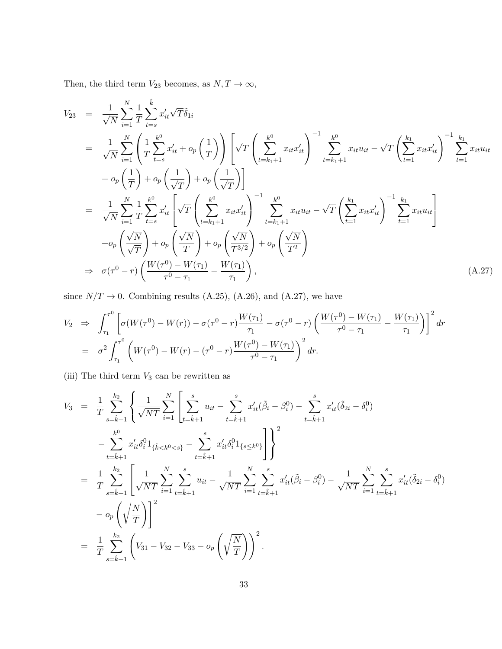Then, the third term  $V_{23}$  becomes, as  $N, T \rightarrow \infty,$ 

*k*ˆ

$$
V_{23} = \frac{1}{\sqrt{N}} \sum_{i=1}^{N} \frac{1}{T} \sum_{t=s}^{k} x'_{it} \sqrt{T} \tilde{\delta}_{1i}
$$
  
\n
$$
= \frac{1}{\sqrt{N}} \sum_{i=1}^{N} \left( \frac{1}{T} \sum_{t=s}^{k} x'_{it} + o_p \left( \frac{1}{T} \right) \right) \left[ \sqrt{T} \left( \sum_{t=k_1+1}^{k^0} x_{it} x'_{it} \right)^{-1} \sum_{t=k_1+1}^{k^0} x_{it} u_{it} - \sqrt{T} \left( \sum_{t=1}^{k_1} x_{it} x'_{it} \right)^{-1} \sum_{t=1}^{k_1} x_{it} u_{it}
$$
  
\n
$$
+ o_p \left( \frac{1}{T} \right) + o_p \left( \frac{1}{\sqrt{T}} \right) + o_p \left( \frac{1}{\sqrt{T}} \right) \right]
$$
  
\n
$$
= \frac{1}{\sqrt{N}} \sum_{i=1}^{N} \frac{1}{T} \sum_{t=s}^{k^0} x'_{it} \left[ \sqrt{T} \left( \sum_{t=k_1+1}^{k^0} x_{it} x'_{it} \right)^{-1} \sum_{t=k_1+1}^{k^0} x_{it} u_{it} - \sqrt{T} \left( \sum_{t=1}^{k_1} x_{it} x'_{it} \right)^{-1} \sum_{t=1}^{k_1} x_{it} u_{it} \right]
$$
  
\n
$$
+ o_p \left( \frac{\sqrt{N}}{\sqrt{T}} \right) + o_p \left( \frac{\sqrt{N}}{T} \right) + o_p \left( \frac{\sqrt{N}}{T^{3/2}} \right) + o_p \left( \frac{\sqrt{N}}{T^2} \right)
$$
  
\n
$$
\Rightarrow \sigma(\tau^0 - r) \left( \frac{W(\tau^0) - W(\tau_1)}{\tau^0 - \tau_1} - \frac{W(\tau_1)}{\tau_1} \right),
$$
  
\n(A.27)

since  $N/T \rightarrow 0$ . Combining results (A.25), (A.26), and (A.27), we have

$$
V_2 \Rightarrow \int_{\tau_1}^{\tau_0} \left[ \sigma(W(\tau_0) - W(r)) - \sigma(\tau_0 - r) \frac{W(\tau_1)}{\tau_1} - \sigma(\tau_0 - r) \left( \frac{W(\tau_0) - W(\tau_1)}{\tau_0 - \tau_1} - \frac{W(\tau_1)}{\tau_1} \right) \right]^2 dr
$$
  
=  $\sigma^2 \int_{\tau_1}^{\tau_0} \left( W(\tau_0) - W(r) - (\tau_0 - r) \frac{W(\tau_0) - W(\tau_1)}{\tau_0 - \tau_1} \right)^2 dr.$ 

(iii) The third term  $V_3$  can be rewritten as

$$
V_3 = \frac{1}{T} \sum_{s=\hat{k}+1}^{k_2} \left\{ \frac{1}{\sqrt{NT}} \sum_{i=1}^N \left[ \sum_{t=\hat{k}+1}^s u_{it} - \sum_{t=\hat{k}+1}^s x'_{it} (\tilde{\beta}_i - \beta_i^0) - \sum_{t=\hat{k}+1}^s x'_{it} (\tilde{\delta}_{2i} - \delta_i^0) \right] \right\}
$$
  
\n
$$
- \sum_{t=\hat{k}+1}^{k_0} x'_{it} \delta_i^0 1_{\{\hat{k} < k_0 < s\}} - \sum_{t=\hat{k}+1}^s x'_{it} \delta_i^0 1_{\{s \le k_0\}} \right\}^2
$$
  
\n
$$
= \frac{1}{T} \sum_{s=\hat{k}+1}^{k_2} \left[ \frac{1}{\sqrt{NT}} \sum_{i=1}^N \sum_{t=\hat{k}+1}^s u_{it} - \frac{1}{\sqrt{NT}} \sum_{i=1}^N \sum_{t=\hat{k}+1}^s x'_{it} (\tilde{\beta}_i - \beta_i^0) - \frac{1}{\sqrt{NT}} \sum_{i=1}^N \sum_{t=\hat{k}+1}^s x'_{it} (\tilde{\delta}_{2i} - \delta_i^0) \right]
$$
  
\n
$$
- o_p \left( \sqrt{\frac{N}{T}} \right)^2
$$
  
\n
$$
= \frac{1}{T} \sum_{s=\hat{k}+1}^{k_2} \left( V_{31} - V_{32} - V_{33} - o_p \left( \sqrt{\frac{N}{T}} \right) \right)^2.
$$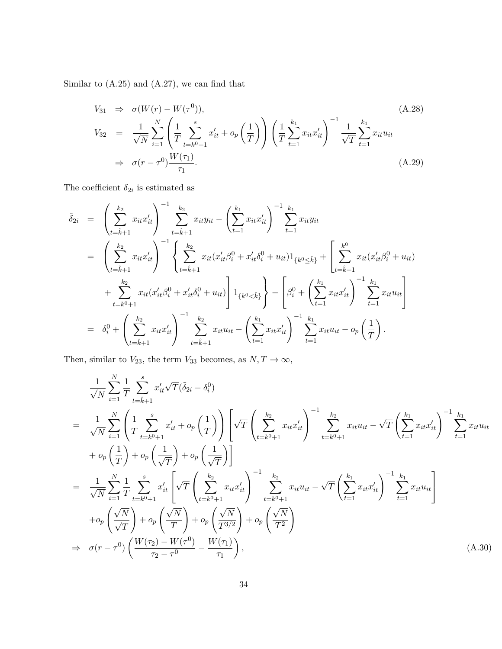Similar to (A.25) and (A.27), we can find that

$$
V_{31} \Rightarrow \sigma(W(r) - W(\tau^{0})),
$$
\n
$$
V_{32} = \frac{1}{\sqrt{N}} \sum_{i=1}^{N} \left( \frac{1}{T} \sum_{t=k^{0}+1}^{s} x'_{it} + o_{p} \left( \frac{1}{T} \right) \right) \left( \frac{1}{T} \sum_{t=1}^{k_{1}} x_{it} x'_{it} \right)^{-1} \frac{1}{\sqrt{T}} \sum_{t=1}^{k_{1}} x_{it} u_{it}
$$
\n
$$
\Rightarrow \sigma(r - \tau^{0}) \frac{W(\tau_{1})}{\tau_{1}}.
$$
\n(A.29)

The coefficient  $\delta_{2i}$  is estimated as

$$
\tilde{\delta}_{2i} = \left(\sum_{t=\hat{k}+1}^{k_2} x_{it} x_{it}' \right)^{-1} \sum_{t=\hat{k}+1}^{k_2} x_{it} y_{it} - \left(\sum_{t=1}^{k_1} x_{it} x_{it}' \right)^{-1} \sum_{t=1}^{k_1} x_{it} y_{it}
$$
\n
$$
= \left(\sum_{t=\hat{k}+1}^{k_2} x_{it} x_{it}' \right)^{-1} \left\{ \sum_{t=\hat{k}+1}^{k_2} x_{it} (x_{it}' \beta_i^0 + x_{it}' \delta_i^0 + u_{it}) 1_{\{k^0 \leq \hat{k}\}} + \left[ \sum_{t=\hat{k}+1}^{k^0} x_{it} (x_{it}' \beta_i^0 + u_{it}) + \sum_{t=k^0+1}^{k_2} x_{it} (x_{it}' \beta_i^0 + x_{it}' \delta_i^0 + u_{it}) \right] 1_{\{k^0 < \hat{k}\}} \right\} - \left[ \beta_i^0 + \left( \sum_{t=1}^{k_1} x_{it} x_{it}' \right)^{-1} \sum_{t=1}^{k_1} x_{it} u_{it} \right]
$$
\n
$$
= \delta_i^0 + \left( \sum_{t=\hat{k}+1}^{k_2} x_{it} x_{it}' \right)^{-1} \sum_{t=\hat{k}+1}^{k_2} x_{it} u_{it} - \left( \sum_{t=1}^{k_1} x_{it} x_{it}' \right)^{-1} \sum_{t=1}^{k_1} x_{it} u_{it} - o_p \left( \frac{1}{T} \right).
$$

Then, similar to  $V_{23}$ , the term  $V_{33}$  becomes, as  $N, T \rightarrow \infty$ ,

$$
\frac{1}{\sqrt{N}} \sum_{i=1}^{N} \frac{1}{T} \sum_{t=\hat{k}+1}^{s} x'_{it} \sqrt{T} (\tilde{\delta}_{2i} - \delta_{i}^{0})
$$
\n
$$
= \frac{1}{\sqrt{N}} \sum_{i=1}^{N} \left( \frac{1}{T} \sum_{t=k^{0}+1}^{s} x'_{it} + o_{p} \left( \frac{1}{T} \right) \right) \left[ \sqrt{T} \left( \sum_{t=k^{0}+1}^{k_{2}} x_{it} x'_{it} \right)^{-1} \sum_{t=k^{0}+1}^{k_{2}} x_{it} u_{it} - \sqrt{T} \left( \sum_{t=1}^{k_{1}} x_{it} x'_{it} \right)^{-1} \sum_{t=1}^{k_{1}} x_{it} u_{it}
$$
\n
$$
+ o_{p} \left( \frac{1}{T} \right) + o_{p} \left( \frac{1}{\sqrt{T}} \right) + o_{p} \left( \frac{1}{\sqrt{T}} \right) \right]
$$
\n
$$
= \frac{1}{\sqrt{N}} \sum_{i=1}^{N} \frac{1}{T} \sum_{t=k^{0}+1}^{s} x'_{it} \left[ \sqrt{T} \left( \sum_{t=k^{0}+1}^{k_{2}} x_{it} x'_{it} \right)^{-1} \sum_{t=k^{0}+1}^{k_{2}} x_{it} u_{it} - \sqrt{T} \left( \sum_{t=1}^{k_{1}} x_{it} x'_{it} \right)^{-1} \sum_{t=1}^{k_{1}} x_{it} u_{it} \right]
$$
\n
$$
+ o_{p} \left( \frac{\sqrt{N}}{\sqrt{T}} \right) + o_{p} \left( \frac{\sqrt{N}}{T} \right) + o_{p} \left( \frac{\sqrt{N}}{T^{3/2}} \right) + o_{p} \left( \frac{\sqrt{N}}{T^{2}} \right)
$$
\n
$$
\Rightarrow o(r - \tau^{0}) \left( \frac{W(\tau_{2}) - W(\tau^{0})}{\tau_{2} - \tau^{0}} - \frac{W(\tau_{1})}{\tau_{1}} \right), \qquad (A.30)
$$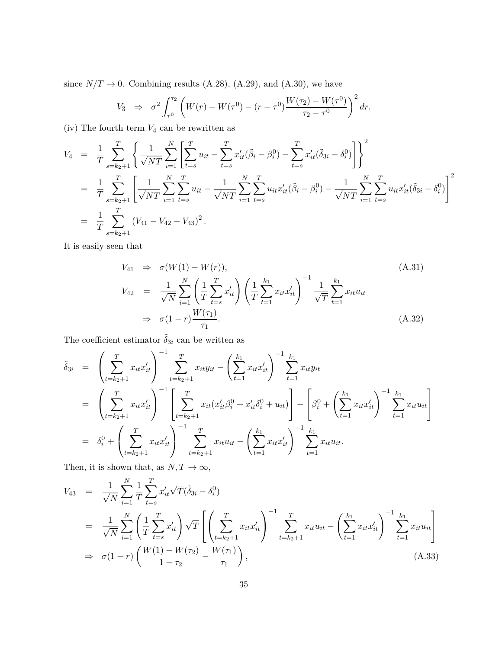since  $N/T \rightarrow 0$ . Combining results (A.28), (A.29), and (A.30), we have

$$
V_3 \Rightarrow \sigma^2 \int_{\tau^0}^{\tau_2} \left( W(r) - W(\tau^0) - (r - \tau^0) \frac{W(\tau_2) - W(\tau^0)}{\tau_2 - \tau^0} \right)^2 dr.
$$

(iv) The fourth term  $V_4$  can be rewritten as

$$
V_4 = \frac{1}{T} \sum_{s=k_2+1}^T \left\{ \frac{1}{\sqrt{NT}} \sum_{i=1}^N \left[ \sum_{t=s}^T u_{it} - \sum_{t=s}^T x'_{it} (\tilde{\beta}_i - \beta_i^0) - \sum_{t=s}^T x'_{it} (\tilde{\delta}_{3i} - \delta_i^0) \right] \right\}^2
$$
  
\n
$$
= \frac{1}{T} \sum_{s=k_2+1}^T \left[ \frac{1}{\sqrt{NT}} \sum_{i=1}^N \sum_{t=s}^T u_{it} - \frac{1}{\sqrt{NT}} \sum_{i=1}^N \sum_{t=s}^T u_{it} x'_{it} (\tilde{\beta}_i - \beta_i^0) - \frac{1}{\sqrt{NT}} \sum_{i=1}^N \sum_{t=s}^T u_{it} x'_{it} (\tilde{\delta}_{3i} - \delta_i^0) \right]^2
$$
  
\n
$$
= \frac{1}{T} \sum_{s=k_2+1}^T (V_{41} - V_{42} - V_{43})^2.
$$

It is easily seen that

$$
V_{41} \Rightarrow \sigma(W(1) - W(r)),
$$
\n
$$
V_{42} = \frac{1}{\sqrt{N}} \sum_{i=1}^{N} \left( \frac{1}{T} \sum_{t=s}^{T} x'_{it} \right) \left( \frac{1}{T} \sum_{t=1}^{k_1} x_{it} x'_{it} \right)^{-1} \frac{1}{\sqrt{T}} \sum_{t=1}^{k_1} x_{it} u_{it}
$$
\n
$$
\Rightarrow \sigma(1-r) \frac{W(\tau_1)}{\tau_1}.
$$
\n(A.32)

The coefficient estimator  $\tilde{\delta}_{3i}$  can be written as

$$
\tilde{\delta}_{3i} = \left(\sum_{t=k_2+1}^{T} x_{it} x_{it}' \right)^{-1} \sum_{t=k_2+1}^{T} x_{it} y_{it} - \left(\sum_{t=1}^{k_1} x_{it} x_{it}' \right)^{-1} \sum_{t=1}^{k_1} x_{it} y_{it}
$$
\n
$$
= \left(\sum_{t=k_2+1}^{T} x_{it} x_{it}' \right)^{-1} \left[\sum_{t=k_2+1}^{T} x_{it} (x_{it}' \beta_i^0 + x_{it}' \delta_i^0 + u_{it})\right] - \left[\beta_i^0 + \left(\sum_{t=1}^{k_1} x_{it} x_{it}' \right)^{-1} \sum_{t=1}^{k_1} x_{it} u_{it}\right]
$$
\n
$$
= \delta_i^0 + \left(\sum_{t=k_2+1}^{T} x_{it} x_{it}' \right)^{-1} \sum_{t=k_2+1}^{T} x_{it} u_{it} - \left(\sum_{t=1}^{k_1} x_{it} x_{it}' \right)^{-1} \sum_{t=1}^{k_1} x_{it} u_{it}.
$$

Then, it is shown that, as  $N, T \rightarrow \infty$ ,

$$
V_{43} = \frac{1}{\sqrt{N}} \sum_{i=1}^{N} \frac{1}{T} \sum_{t=s}^{T} x'_{it} \sqrt{T} (\tilde{\delta}_{3i} - \delta_{i}^{0})
$$
  
\n
$$
= \frac{1}{\sqrt{N}} \sum_{i=1}^{N} \left( \frac{1}{T} \sum_{t=s}^{T} x'_{it} \right) \sqrt{T} \left[ \left( \sum_{t=k_{2}+1}^{T} x_{it} x'_{it} \right)^{-1} \sum_{t=k_{2}+1}^{T} x_{it} u_{it} - \left( \sum_{t=1}^{k_{1}} x_{it} x'_{it} \right)^{-1} \sum_{t=1}^{k_{1}} x_{it} u_{it} \right]
$$
  
\n
$$
\Rightarrow \sigma (1-r) \left( \frac{W(1) - W(\tau_{2})}{1 - \tau_{2}} - \frac{W(\tau_{1})}{\tau_{1}} \right), \qquad (A.33)
$$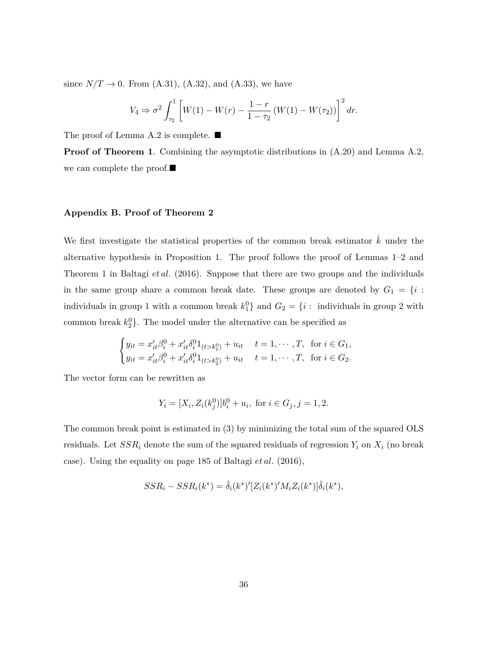since  $N/T \to 0$ . From (A.31), (A.32), and (A.33), we have

$$
V_4 \Rightarrow \sigma^2 \int_{\tau_2}^1 \left[ W(1) - W(r) - \frac{1 - r}{1 - \tau_2} \left( W(1) - W(\tau_2) \right) \right]^2 dr.
$$

The proof of Lemma A.2 is complete. ■

**Proof of Theorem 1.** Combining the asymptotic distributions in  $(A.20)$  and Lemma A.2, we can complete the proof.■

### **Appendix B. Proof of Theorem 2**

We first investigate the statistical properties of the common break estimator  $\hat{k}$  under the alternative hypothesis in Proposition 1. The proof follows the proof of Lemmas 1–2 and Theorem 1 in Baltagi *et al.* (2016). Suppose that there are two groups and the individuals in the same group share a common break date. These groups are denoted by  $G_1 = \{i :$ individuals in group 1 with a common break  $k_1^0$  and  $G_2 = \{i : \text{ individuals in group 2 with } \}$ common break  $k_2^0$ . The model under the alternative can be specified as

$$
\begin{cases} y_{it} = x'_{it}\beta_i^0 + x'_{it}\delta_i^0 1_{(t>k_1^0)} + u_{it} & t = 1, \cdots, T, \text{ for } i \in G_1, \\ y_{it} = x'_{it}\beta_i^0 + x'_{it}\delta_i^0 1_{(t>k_2^0)} + u_{it} & t = 1, \cdots, T, \text{ for } i \in G_2. \end{cases}
$$

The vector form can be rewritten as

$$
Y_i = [X_i, Z_i(k_j^0)]b_i^0 + u_i
$$
, for  $i \in G_j, j = 1, 2$ .

The common break point is estimated in (3) by minimizing the total sum of the squared OLS residuals. Let  $SSR_i$  denote the sum of the squared residuals of regression  $Y_i$  on  $X_i$  (no break case). Using the equality on page 185 of Baltagi *et al.* (2016),

$$
SSR_i - SSR_i(k^*) = \hat{\delta}_i(k^*)'[Z_i(k^*)'M_iZ_i(k^*)]\hat{\delta}_i(k^*),
$$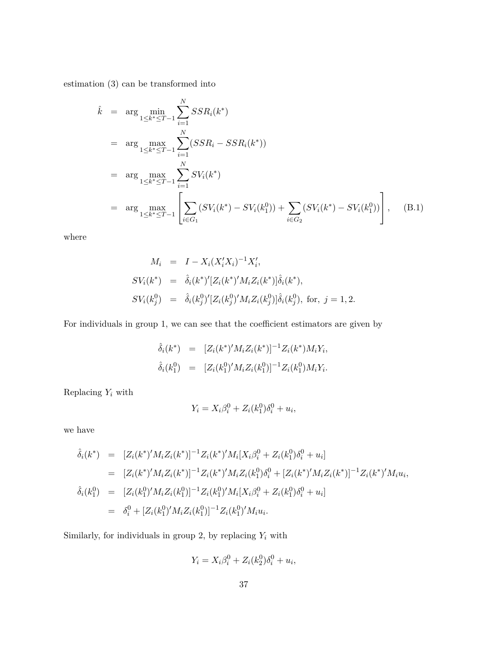estimation (3) can be transformed into

$$
\hat{k} = \arg \min_{1 \le k^* \le T-1} \sum_{i=1}^N SSR_i(k^*)
$$
\n
$$
= \arg \max_{1 \le k^* \le T-1} \sum_{i=1}^N (SSR_i - SSR_i(k^*))
$$
\n
$$
= \arg \max_{1 \le k^* \le T-1} \sum_{i=1}^N SV_i(k^*)
$$
\n
$$
= \arg \max_{1 \le k^* \le T-1} \left[ \sum_{i \in G_1} (SV_i(k^*) - SV_i(k_1^0)) + \sum_{i \in G_2} (SV_i(k^*) - SV_i(k_1^0)) \right], \quad (B.1)
$$

where

$$
M_i = I - X_i (X_i' X_i)^{-1} X_i',
$$
  
\n
$$
SV_i(k^*) = \hat{\delta}_i(k^*)'[Z_i(k^*)' M_i Z_i(k^*)] \hat{\delta}_i(k^*),
$$
  
\n
$$
SV_i(k_j^0) = \hat{\delta}_i(k_j^0)' [Z_i(k_j^0)' M_i Z_i(k_j^0)] \hat{\delta}_i(k_j^0), \text{ for, } j = 1, 2.
$$

For individuals in group 1, we can see that the coefficient estimators are given by

$$
\begin{array}{rcl}\n\hat{\delta}_i(k^*) & = & [Z_i(k^*)'M_iZ_i(k^*)]^{-1}Z_i(k^*)M_iY_i, \\
\hat{\delta}_i(k_1^0) & = & [Z_i(k_1^0)'M_iZ_i(k_1^0)]^{-1}Z_i(k_1^0)M_iY_i.\n\end{array}
$$

Replacing  $Y_i$  with

$$
Y_i = X_i \beta_i^0 + Z_i(k_1^0) \delta_i^0 + u_i,
$$

we have

$$
\hat{\delta}_{i}(k^{*}) = [Z_{i}(k^{*})'M_{i}Z_{i}(k^{*})]^{-1}Z_{i}(k^{*})'M_{i}[X_{i}\beta_{i}^{0} + Z_{i}(k_{1}^{0})\delta_{i}^{0} + u_{i}]
$$
\n
$$
= [Z_{i}(k^{*})'M_{i}Z_{i}(k^{*})]^{-1}Z_{i}(k^{*})'M_{i}Z_{i}(k_{1}^{0})\delta_{i}^{0} + [Z_{i}(k^{*})'M_{i}Z_{i}(k^{*})]^{-1}Z_{i}(k^{*})'M_{i}u_{i},
$$
\n
$$
\hat{\delta}_{i}(k_{1}^{0}) = [Z_{i}(k_{1}^{0})'M_{i}Z_{i}(k_{1}^{0})]^{-1}Z_{i}(k_{1}^{0})'M_{i}[X_{i}\beta_{i}^{0} + Z_{i}(k_{1}^{0})\delta_{i}^{0} + u_{i}]
$$
\n
$$
= \delta_{i}^{0} + [Z_{i}(k_{1}^{0})'M_{i}Z_{i}(k_{1}^{0})]^{-1}Z_{i}(k_{1}^{0})'M_{i}u_{i}.
$$

Similarly, for individuals in group 2, by replacing  $Y_i$  with

$$
Y_i = X_i \beta_i^0 + Z_i(k_2^0)\delta_i^0 + u_i,
$$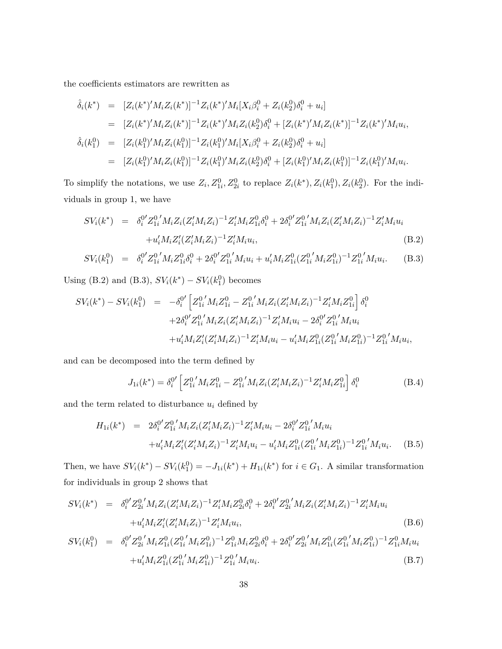the coefficients estimators are rewritten as

$$
\hat{\delta}_{i}(k^{*}) = [Z_{i}(k^{*})'M_{i}Z_{i}(k^{*})]^{-1}Z_{i}(k^{*})'M_{i}[X_{i}\beta_{i}^{0} + Z_{i}(k_{2}^{0})\delta_{i}^{0} + u_{i}]
$$
\n
$$
= [Z_{i}(k^{*})'M_{i}Z_{i}(k^{*})]^{-1}Z_{i}(k^{*})'M_{i}Z_{i}(k_{2}^{0})\delta_{i}^{0} + [Z_{i}(k^{*})'M_{i}Z_{i}(k^{*})]^{-1}Z_{i}(k^{*})'M_{i}u_{i},
$$
\n
$$
\hat{\delta}_{i}(k_{1}^{0}) = [Z_{i}(k_{1}^{0})'M_{i}Z_{i}(k_{1}^{0})]^{-1}Z_{i}(k_{1}^{0})'M_{i}[X_{i}\beta_{i}^{0} + Z_{i}(k_{2}^{0})\delta_{i}^{0} + u_{i}]
$$
\n
$$
= [Z_{i}(k_{1}^{0})'M_{i}Z_{i}(k_{1}^{0})]^{-1}Z_{i}(k_{1}^{0})'M_{i}Z_{i}(k_{2}^{0})\delta_{i}^{0} + [Z_{i}(k_{1}^{0})'M_{i}Z_{i}(k_{1}^{0})]^{-1}Z_{i}(k_{1}^{0})'M_{i}u_{i}.
$$

To simplify the notations, we use  $Z_i$ ,  $Z_{1i}^0$ ,  $Z_{2i}^0$  to replace  $Z_i(k^*)$ ,  $Z_i(k_1^0)$ ,  $Z_i(k_2^0)$ . For the individuals in group 1, we have

$$
SV_i(k^*) = \delta_i^{0'} Z_{1i}^{0'} M_i Z_i (Z_i' M_i Z_i)^{-1} Z_i' M_i Z_{1i}^{0} \delta_i^{0} + 2 \delta_i^{0'} Z_{1i}^{0'} M_i Z_i (Z_i' M_i Z_i)^{-1} Z_i' M_i u_i + u_i' M_i Z_i' (Z_i' M_i Z_i)^{-1} Z_i' M_i u_i,
$$
\n(B.2)

$$
SV_i(k_1^0) = \delta_i^{0'} Z_{1i}^{0'} M_i Z_{1i}^{0} \delta_i^0 + 2\delta_i^{0'} Z_{1i}^{0'} M_i u_i + u_i' M_i Z_{1i}^{0} (Z_{1i}^{0'} M_i Z_{1i}^{0})^{-1} Z_{1i}^{0'} M_i u_i.
$$
 (B.3)

Using (B.2) and (B.3),  $SV_i(k^*) - SV_i(k_1^0)$  becomes

$$
SV_i(k^*) - SV_i(k_1^0) = -\delta_i^{0'} \left[ Z_{1i}^{0'} M_i Z_{1i}^0 - Z_{1i}^{0'} M_i Z_i (Z_i' M_i Z_i)^{-1} Z_i' M_i Z_{1i}^0 \right] \delta_i^0
$$
  
+2\delta\_i^{0'} Z\_{1i}^{0'} M\_i Z\_i (Z\_i' M\_i Z\_i)^{-1} Z\_i' M\_i u\_i - 2\delta\_i^{0'} Z\_{1i}^{0'} M\_i u\_i  
+u\_i' M\_i Z\_i' (Z\_i' M\_i Z\_i)^{-1} Z\_i' M\_i u\_i - u\_i' M\_i Z\_{1i}^0 (Z\_{1i}^{0'} M\_i Z\_{1i}^0)^{-1} Z\_{1i}^{0'} M\_i u\_i,

and can be decomposed into the term defined by

$$
J_{1i}(k^*) = \delta_i^{0'} \left[ Z_{1i}^{0'} M_i Z_{1i}^0 - Z_{1i}^{0'} M_i Z_i (Z_i' M_i Z_i)^{-1} Z_i' M_i Z_{1i}^0 \right] \delta_i^0
$$
(B.4)

and the term related to disturbance  $u_i$  defined by

$$
H_{1i}(k^{*}) = 2\delta_{i}^{0'}Z_{1i}^{0'}M_{i}Z_{i}(Z_{i}'M_{i}Z_{i})^{-1}Z_{i}'M_{i}u_{i} - 2\delta_{i}^{0'}Z_{1i}^{0'}M_{i}u_{i}
$$
  
+ $u'_{i}M_{i}Z_{i}'(Z_{i}'M_{i}Z_{i})^{-1}Z_{i}'M_{i}u_{i} - u'_{i}M_{i}Z_{1i}^{0}(Z_{1i}^{0'}M_{i}Z_{1i}^{0})^{-1}Z_{1i}^{0'}M_{i}u_{i}.$  (B.5)

Then, we have  $SV_i(k^*) - SV_i(k_1^0) = -J_{1i}(k^*) + H_{1i}(k^*)$  for  $i \in G_1$ . A similar transformation for individuals in group 2 shows that

$$
SV_i(k^*) = \delta_i^{0'} Z_{2i}^{0'} M_i Z_i (Z_i' M_i Z_i)^{-1} Z_i' M_i Z_{2i}^{0} \delta_i^{0} + 2 \delta_i^{0'} Z_{2i}^{0'} M_i Z_i (Z_i' M_i Z_i)^{-1} Z_i' M_i u_i + u_i' M_i Z_i' (Z_i' M_i Z_i)^{-1} Z_i' M_i u_i,
$$
\n(B.6)

$$
SV_i(k_1^0) = \delta_i^{0'} Z_{2i}^{0'} M_i Z_{1i}^{0} (Z_{1i}^{0'} M_i Z_{1i}^{0})^{-1} Z_{1i}^{0} M_i Z_{2i}^{0} \delta_i^{0} + 2 \delta_i^{0'} Z_{2i}^{0'} M_i Z_{1i}^{0} (Z_{1i}^{0'} M_i Z_{1i}^{0})^{-1} Z_{1i}^{0} M_i u_i
$$
  
+  $u'_i M_i Z_{1i}^{0} (Z_{1i}^{0'} M_i Z_{1i}^{0})^{-1} Z_{1i}^{0'} M_i u_i.$  (B.7)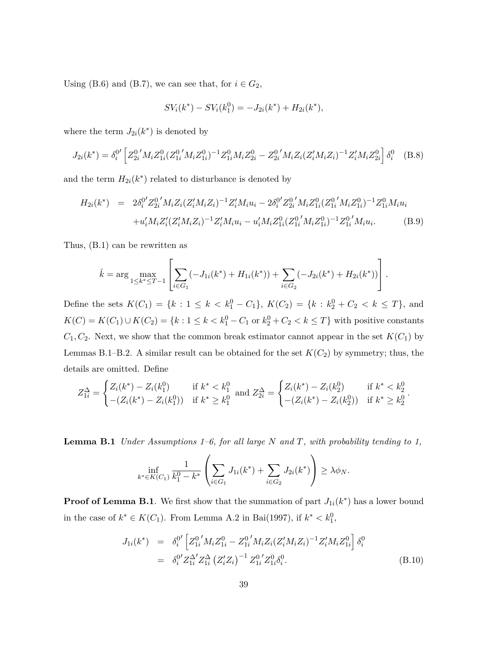Using (B.6) and (B.7), we can see that, for  $i \in G_2$ ,

$$
SV_i(k^*) - SV_i(k_1^0) = -J_{2i}(k^*) + H_{2i}(k^*),
$$

where the term  $J_{2i}(k^*)$  is denoted by

$$
J_{2i}(k^*) = \delta_i^{0'} \left[ Z_{2i}^{0'} M_i Z_{1i}^0 (Z_{1i}^{0'} M_i Z_{1i}^0)^{-1} Z_{1i}^0 M_i Z_{2i}^0 - Z_{2i}^{0'} M_i Z_i (Z_i' M_i Z_i)^{-1} Z_i' M_i Z_{2i}^0 \right] \delta_i^0 \quad \text{(B.8)}
$$

and the term  $H_{2i}(k^*)$  related to disturbance is denoted by

$$
H_{2i}(k^{*}) = 2\delta_{i}^{0'}Z_{2i}^{0'}M_{i}Z_{i}(Z_{i}'M_{i}Z_{i})^{-1}Z_{i}'M_{i}u_{i} - 2\delta_{i}^{0'}Z_{2i}^{0'}M_{i}Z_{1i}^{0}(Z_{1i}^{0'}M_{i}Z_{1i}^{0})^{-1}Z_{1i}^{0}M_{i}u_{i} + u_{i}'M_{i}Z_{i}'(Z_{i}'M_{i}Z_{i})^{-1}Z_{i}'M_{i}u_{i} - u_{i}'M_{i}Z_{1i}^{0}(Z_{1i}^{0'}M_{i}Z_{1i}^{0})^{-1}Z_{1i}^{0'}M_{i}u_{i}.
$$
 (B.9)

Thus, (B.1) can be rewritten as

$$
\hat{k} = \arg \max_{1 \leq k^* \leq T-1} \left[ \sum_{i \in G_1} (-J_{1i}(k^*) + H_{1i}(k^*)) + \sum_{i \in G_2} (-J_{2i}(k^*) + H_{2i}(k^*)) \right].
$$

Define the sets  $K(C_1) = \{k : 1 \le k < k_1^0 - C_1\}$ ,  $K(C_2) = \{k : k_2^0 + C_2 < k \le T\}$ , and  $K(C) = K(C_1) \cup K(C_2) = \{k : 1 \le k < k_1^0 - C_1 \text{ or } k_2^0 + C_2 < k \le T\}$  with positive constants  $C_1, C_2$ . Next, we show that the common break estimator cannot appear in the set  $K(C_1)$  by Lemmas B.1–B.2. A similar result can be obtained for the set  $K(C_2)$  by symmetry; thus, the details are omitted. Define

$$
Z_{1i}^{\Delta} = \begin{cases} Z_i(k^*) - Z_i(k_1^0) & \text{if } k^* < k_1^0\\ - (Z_i(k^*) - Z_i(k_1^0)) & \text{if } k^* \ge k_1^0 \end{cases} \text{ and } Z_{2i}^{\Delta} = \begin{cases} Z_i(k^*) - Z_i(k_2^0) & \text{if } k^* < k_2^0\\ - (Z_i(k^*) - Z_i(k_2^0)) & \text{if } k^* \ge k_2^0 \end{cases}.
$$

**Lemma B.1** *Under Assumptions 1–6, for all large N and T, with probability tending to 1,*

$$
\inf_{k^* \in K(C_1)} \frac{1}{k_1^0 - k^*} \left( \sum_{i \in G_1} J_{1i}(k^*) + \sum_{i \in G_2} J_{2i}(k^*) \right) \ge \lambda \phi_N.
$$

**Proof of Lemma B.1**. We first show that the summation of part  $J_{1i}(k^*)$  has a lower bound in the case of  $k^*$  ∈  $K(C_1)$ . From Lemma A.2 in Bai(1997), if  $k^*$  <  $k_1^0$ ,

$$
J_{1i}(k^*) = \delta_i^{0'} \left[ Z_{1i}^{0'} M_i Z_{1i}^0 - Z_{1i}^{0'} M_i Z_i (Z_i' M_i Z_i)^{-1} Z_i' M_i Z_{1i}^0 \right] \delta_i^0
$$
  

$$
= \delta_i^{0'} Z_{1i}^{\Delta'} Z_{1i}^{\Delta} (Z_i' Z_i)^{-1} Z_{1i}^{0'} Z_{1i}^0 \delta_i^0.
$$
 (B.10)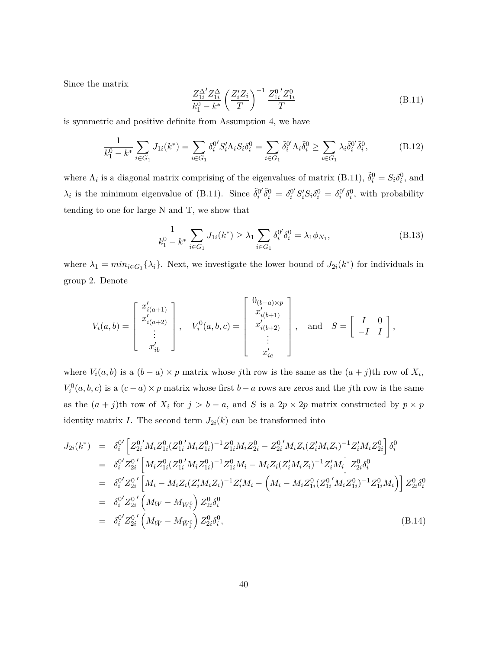Since the matrix

$$
\frac{Z_{1i}^{\Delta'} Z_{1i}^{\Delta}}{k_1^0 - k^*} \left(\frac{Z_i' Z_i}{T}\right)^{-1} \frac{Z_{1i}^0 Z_{1i}^0}{T}
$$
\n(B.11)

is symmetric and positive definite from Assumption 4, we have

$$
\frac{1}{k_1^0 - k^*} \sum_{i \in G_1} J_{1i}(k^*) = \sum_{i \in G_1} \delta_i^{0'} S_i' \Lambda_i S_i \delta_i^0 = \sum_{i \in G_1} \tilde{\delta}_i^{0'} \Lambda_i \tilde{\delta}_i^0 \ge \sum_{i \in G_1} \lambda_i \tilde{\delta}_i^{0'} \tilde{\delta}_i^0,
$$
(B.12)

where  $\Lambda_i$  is a diagonal matrix comprising of the eigenvalues of matrix (B.11),  $\tilde{\delta}_i^0 = S_i \delta_i^0$ , and  $\lambda_i$  is the minimum eigenvalue of (B.11). Since  $\tilde{\delta}_i^{0'}\tilde{\delta}_i^0 = \delta_i^{0'}S_i'S_i\delta_i^0 = \delta_i^{0'}\delta_i^0$ , with probability tending to one for large N and T, we show that

$$
\frac{1}{k_1^0 - k^*} \sum_{i \in G_1} J_{1i}(k^*) \ge \lambda_1 \sum_{i \in G_1} \delta_i^{0'} \delta_i^0 = \lambda_1 \phi_{N_1},\tag{B.13}
$$

where  $\lambda_1 = min_{i \in G_1} {\lambda_i}$ . Next, we investigate the lower bound of  $J_{2i}(k^*)$  for individuals in group 2. Denote

$$
V_i(a,b) = \begin{bmatrix} x'_{i(a+1)} \\ x'_{i(a+2)} \\ \vdots \\ x'_{ib} \end{bmatrix}, \quad V_i^0(a,b,c) = \begin{bmatrix} 0_{(b-a)\times p} \\ x'_{i(b+1)} \\ x'_{i(b+2)} \\ \vdots \\ x'_{ic} \end{bmatrix}, \quad \text{and} \quad S = \begin{bmatrix} I & 0 \\ -I & I \end{bmatrix},
$$

where  $V_i(a, b)$  is a  $(b - a) \times p$  matrix whose *j*th row is the same as the  $(a + j)$ th row of  $X_i$ ,  $V_i^0(a, b, c)$  is a  $(c - a) \times p$  matrix whose first *b* − *a* rows are zeros and the *j*th row is the same as the  $(a + j)$ th row of  $X_i$  for  $j > b - a$ , and  $S$  is a  $2p \times 2p$  matrix constructed by  $p \times p$ identity matrix *I*. The second term  $J_{2i}(k)$  can be transformed into

$$
J_{2i}(k^*) = \delta_i^{0'} \Big[ Z_{2i}^{0'} M_i Z_{1i}^{0} (Z_{1i}^{0'} M_i Z_{1i}^{0})^{-1} Z_{1i}^{0} M_i Z_{2i}^{0} - Z_{2i}^{0'} M_i Z_i (Z_i' M_i Z_i)^{-1} Z_i' M_i Z_{2i}^{0} \Big] \delta_i^{0}
$$
  
\n
$$
= \delta_i^{0'} Z_{2i}^{0'} \Big[ M_i Z_{1i}^{0} (Z_{1i}^{0'} M_i Z_{1i}^{0})^{-1} Z_{1i}^{0} M_i - M_i Z_i (Z_i' M_i Z_i)^{-1} Z_i' M_i \Big] Z_{2i}^{0} \delta_i^{0}
$$
  
\n
$$
= \delta_i^{0'} Z_{2i}^{0'} \Big[ M_i - M_i Z_i (Z_i' M_i Z_i)^{-1} Z_i' M_i - \Big( M_i - M_i Z_{1i}^{0} (Z_{1i}^{0'} M_i Z_{1i}^{0})^{-1} Z_{1i}^{0} M_i \Big) \Big] Z_{2i}^{0} \delta_i^{0}
$$
  
\n
$$
= \delta_i^{0'} Z_{2i}^{0'} \Big( M_W - M_{W_1^0} \Big) Z_{2i}^{0} \delta_i^{0}
$$
  
\n
$$
= \delta_i^{0'} Z_{2i}^{0'} \Big( M_{\bar{W}} - M_{\bar{W}_1^0} \Big) Z_{2i}^{0} \delta_i^{0},
$$
  
\n(B.14)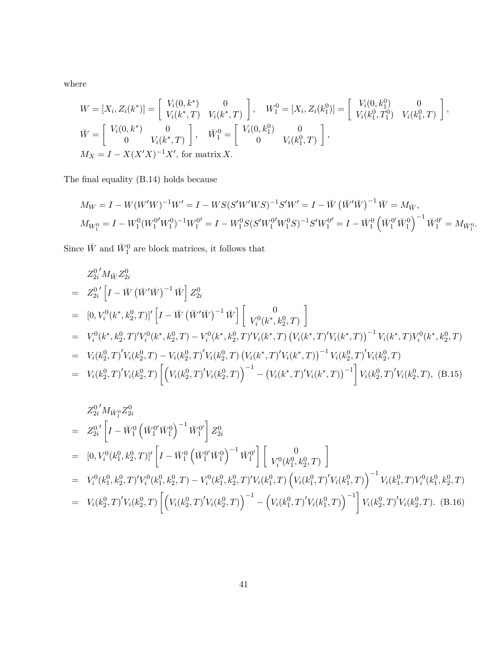where

$$
W = [X_i, Z_i(k^*)] = \begin{bmatrix} V_i(0, k^*) & 0 \\ V_i(k^*, T) & V_i(k^*, T) \end{bmatrix}, \quad W_1^0 = [X_i, Z_i(k_1^0)] = \begin{bmatrix} V_i(0, k_1^0) & 0 \\ V_i(k_1^0, T_1^0) & V_i(k_1^0, T) \end{bmatrix},
$$
  
\n
$$
\bar{W} = \begin{bmatrix} V_i(0, k^*) & 0 \\ 0 & V_i(k^*, T) \end{bmatrix}, \quad \bar{W}_1^0 = \begin{bmatrix} V_i(0, k_1^0) & 0 \\ 0 & V_i(k_1^0, T) \end{bmatrix},
$$
  
\n
$$
M_X = I - X(X'X)^{-1}X',
$$
 for matrix X.

The final equality (B.14) holds because

$$
M_W = I - W(W'W)^{-1}W' = I - WS(S'W'WS)^{-1}S'W' = I - \bar{W} (\bar{W}'\bar{W})^{-1} \bar{W} = M_{\bar{W}},
$$
  
\n
$$
M_{W_1^0} = I - W_1^0 (W_1^0 W_1^0)^{-1} W_1^0' = I - W_1^0 S(S'W_1^0 W_1^0 S)^{-1} S'W_1^0' = I - \bar{W}_1^0 (\bar{W}_1^0 \bar{W}_1^0)^{-1} \bar{W}_1^0' = M_{\bar{W}_1^0}.
$$

Since  $\bar{W}$  and  $\bar{W}^0_1$  are block matrices, it follows that

$$
Z_{2i}^{0'} M_{\bar{W}} Z_{2i}^{0}
$$
  
\n
$$
= Z_{2i}^{0'} [I - \bar{W} (\bar{W}' \bar{W})^{-1} \bar{W}] Z_{2i}^{0}
$$
  
\n
$$
= [0, V_{i}^{0}(k^{*}, k_{2}^{0}, T)]' [I - \bar{W} (\bar{W}' \bar{W})^{-1} \bar{W}] [V_{i}^{0}(k^{*}, k_{2}^{0}, T)]
$$
  
\n
$$
= V_{i}^{0}(k^{*}, k_{2}^{0}, T)' V_{i}^{0}(k^{*}, k_{2}^{0}, T) - V_{i}^{0}(k^{*}, k_{2}^{0}, T)' V_{i}(k^{*}, T) (V_{i}(k^{*}, T)' V_{i}(k^{*}, T))^{-1} V_{i}(k^{*}, T) V_{i}^{0}(k^{*}, k_{2}^{0}, T)
$$
  
\n
$$
= V_{i}(k_{2}^{0}, T)' V_{i}(k_{2}^{0}, T) - V_{i}(k_{2}^{0}, T)' V_{i}(k_{2}^{0}, T) (V_{i}(k^{*}, T)' V_{i}(k^{*}, T))^{-1} V_{i}(k_{2}^{0}, T)' V_{i}(k_{2}^{0}, T)
$$
  
\n
$$
= V_{i}(k_{2}^{0}, T)' V_{i}(k_{2}^{0}, T) \left[ (V_{i}(k_{2}^{0}, T)' V_{i}(k_{2}^{0}, T))^{-1} - (V_{i}(k^{*}, T)' V_{i}(k^{*}, T))^{-1} \right] V_{i}(k_{2}^{0}, T)' V_{i}(k_{2}^{0}, T), (B.15)
$$

$$
Z_{2i}^{0'} M_{\bar{W}_{1}^{0}} Z_{2i}^{0}
$$
\n
$$
= Z_{2i}^{0'} \left[ I - \bar{W}_{1}^{0} \left( \bar{W}_{1}^{0'} \bar{W}_{1}^{0} \right)^{-1} \bar{W}_{1}^{0'} \right] Z_{2i}^{0}
$$
\n
$$
= [0, V_{i}^{0}(k_{1}^{0}, k_{2}^{0}, T)]' \left[ I - \bar{W}_{1}^{0} \left( \bar{W}_{1}^{0'} \bar{W}_{1}^{0} \right)^{-1} \bar{W}_{1}^{0'} \right] \left[ \begin{array}{c} 0 \\ V_{i}^{0}(k_{1}^{0}, k_{2}^{0}, T) \end{array} \right]
$$
\n
$$
= V_{i}^{0}(k_{1}^{0}, k_{2}^{0}, T)' V_{i}^{0}(k_{1}^{0}, k_{2}^{0}, T) - V_{i}^{0}(k_{1}^{0}, k_{2}^{0}, T)' V_{i}(k_{1}^{0}, T) \left( V_{i}(k_{1}^{0}, T)' V_{i}(k_{1}^{0}, T) \right)^{-1} V_{i}(k_{1}^{0}, T) V_{i}^{0}(k_{1}^{0}, k_{2}^{0}, T)
$$
\n
$$
= V_{i}(k_{2}^{0}, T)' V_{i}(k_{2}^{0}, T) \left[ \left( V_{i}(k_{2}^{0}, T)' V_{i}(k_{2}^{0}, T) \right)^{-1} - \left( V_{i}(k_{1}^{0}, T)' V_{i}(k_{1}^{0}, T) \right)^{-1} \right] V_{i}(k_{2}^{0}, T)' V_{i}(k_{2}^{0}, T). \quad (B.16)
$$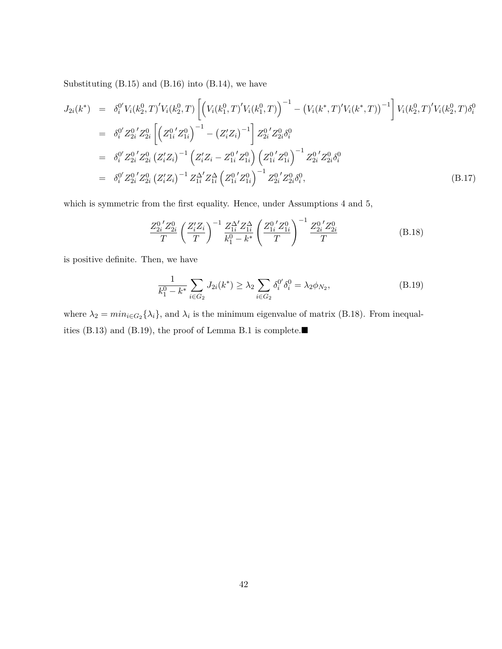Substituting  $(B.15)$  and  $(B.16)$  into  $(B.14)$ , we have

$$
J_{2i}(k^{*}) = \delta_{i}^{0'} V_{i}(k_{2}^{0}, T)^{'} V_{i}(k_{2}^{0}, T) \left[ \left( V_{i}(k_{1}^{0}, T)^{'} V_{i}(k_{1}^{0}, T) \right)^{-1} - \left( V_{i}(k^{*}, T)^{'} V_{i}(k^{*}, T) \right)^{-1} \right] V_{i}(k_{2}^{0}, T)^{'} V_{i}(k_{2}^{0}, T) \delta_{i}^{0}
$$
  
\n
$$
= \delta_{i}^{0'} Z_{2i}^{0'} Z_{2i}^{0} \left[ \left( Z_{1i}^{0'} Z_{1i}^{0} \right)^{-1} - \left( Z_{i}' Z_{i} \right)^{-1} \right] Z_{2i}^{0'} Z_{2i}^{0} \delta_{i}^{0}
$$
  
\n
$$
= \delta_{i}^{0'} Z_{2i}^{0'} Z_{2i}^{0} \left( Z_{i}' Z_{i} \right)^{-1} \left( Z_{i}' Z_{i} - Z_{1i}^{0'} Z_{1i}^{0} \right) \left( Z_{1i}^{0'} Z_{1i}^{0} \right)^{-1} Z_{2i}^{0'} Z_{2i}^{0} \delta_{i}^{0}
$$
  
\n
$$
= \delta_{i}^{0'} Z_{2i}^{0'} Z_{2i}^{0} \left( Z_{i} Z_{i} \right)^{-1} Z_{1i}^{\Delta'} Z_{1i}^{\Delta} \left( Z_{1i}^{0'} Z_{1i}^{0} \right)^{-1} Z_{2i}^{0'} Z_{2i}^{0} \delta_{i}^{0}, \tag{B.17}
$$

which is symmetric from the first equality. Hence, under Assumptions 4 and 5,

$$
\frac{Z_{2i}^{0'}Z_{2i}^{0}}{T} \left(\frac{Z_i'Z_i}{T}\right)^{-1} \frac{Z_{1i}^{\Delta'}Z_{1i}^{\Delta}}{k_1^0 - k^*} \left(\frac{Z_{1i}^{0'}Z_{1i}^0}{T}\right)^{-1} \frac{Z_{2i}^{0'}Z_{2i}^0}{T}
$$
(B.18)

is positive definite. Then, we have

$$
\frac{1}{k_1^0 - k^*} \sum_{i \in G_2} J_{2i}(k^*) \ge \lambda_2 \sum_{i \in G_2} \delta_i^{0'} \delta_i^0 = \lambda_2 \phi_{N_2},
$$
\n(B.19)

where  $\lambda_2 = min_{i \in G_2} {\lambda_i}$ , and  $\lambda_i$  is the minimum eigenvalue of matrix (B.18). From inequalities (B.13) and (B.19), the proof of Lemma B.1 is complete.■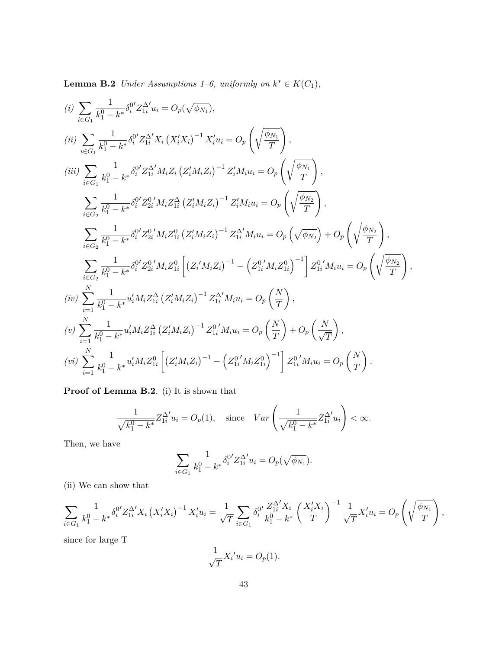**Lemma B.2** *Under Assumptions 1–6, uniformly on*  $k^* \in K(C_1)$ *,* 

$$
(i) \sum_{i \in G_1} \frac{1}{k_1^0 - k^*} \delta_i^0 Z_{1i}^{\Delta'} u_i = O_p(\sqrt{\phi_{N_1}}),
$$
  
\n
$$
(ii) \sum_{i \in G_1} \frac{1}{k_1^0 - k^*} \delta_i^0 Z_{1i}^{\Delta'} X_i (X_i' X_i)^{-1} X_i' u_i = O_p \left( \sqrt{\frac{\phi_{N_1}}{T}} \right),
$$
  
\n
$$
(iii) \sum_{i \in G_1} \frac{1}{k_1^0 - k^*} \delta_i^0 Z_{1i}^{\Delta'} M_i Z_i (Z_i' M_i Z_i)^{-1} Z_i' M_i u_i = O_p \left( \sqrt{\frac{\phi_{N_1}}{T}} \right),
$$
  
\n
$$
\sum_{i \in G_2} \frac{1}{k_1^0 - k^*} \delta_i^0 Z_{2i}^0 M_i Z_{1i}^{\Delta} (Z_i' M_i Z_i)^{-1} Z_i' M_i u_i = O_p \left( \sqrt{\frac{\phi_{N_2}}{T}} \right),
$$
  
\n
$$
\sum_{i \in G_2} \frac{1}{k_1^0 - k^*} \delta_i^0 Z_{2i}^0 M_i Z_{1i}^0 (Z_i' M_i Z_i)^{-1} Z_{1i}^{\Delta'} M_i u_i = O_p \left( \sqrt{\phi_{N_2}} \right) + O_p \left( \sqrt{\frac{\phi_{N_2}}{T}} \right),
$$
  
\n
$$
\sum_{i \in G_2} \frac{1}{k_1^0 - k^*} \delta_i^0 Z_{2i}^0 M_i Z_{1i}^0 \left[ (Z_i' M_i Z_i)^{-1} - (Z_{1i}^0' M_i Z_{1i}^0)^{-1} \right] Z_{1i}^0 M_i u_i = O_p \left( \sqrt{\frac{\phi_{N_2}}{T}} \right),
$$
  
\n
$$
(iv) \sum_{i=1}^N \frac{1}{k_1^0 - k^*} u_i' M_i Z_{1i}^{\Delta} (Z_i' M_i Z_i)^{-1} Z_{1i}^{\Delta'} M_i u_i = O_p \left( \frac{N}{T} \right),
$$
  
\n
$$
(v) \sum_{i=1}^N \frac{1}{k_1^0 - k^*} u_i' M_i Z_{1i}^{\Delta} (Z_i' M_i Z_i)^{-
$$

**Proof of Lemma B.2**. (i) It is shown that

$$
\frac{1}{\sqrt{k_1^0 - k^*}} Z_{1i}^{\Delta'} u_i = O_p(1), \text{ since } Var\left(\frac{1}{\sqrt{k_1^0 - k^*}} Z_{1i}^{\Delta'} u_i\right) < \infty.
$$

Then, we have

$$
\sum_{i \in G_1} \frac{1}{k_1^0 - k^*} \delta_i^{0'} Z_{1i}^{\Delta'} u_i = O_p(\sqrt{\phi_{N_1}}).
$$

(ii) We can show that

$$
\sum_{i \in G_1} \frac{1}{k_1^0 - k^*} \delta_i^{0'} Z_{1i}^{\Delta'} X_i \left(X_i' X_i\right)^{-1} X_i' u_i = \frac{1}{\sqrt{T}} \sum_{i \in G_1} \delta_i^{0'} \frac{Z_{1i}^{\Delta'} X_i}{k_1^0 - k^*} \left(\frac{X_i' X_i}{T}\right)^{-1} \frac{1}{\sqrt{T}} X_i' u_i = O_p\left(\sqrt{\frac{\phi_{N_1}}{T}}\right),
$$

since for large T

$$
\frac{1}{\sqrt{T}}X_i'u_i = O_p(1).
$$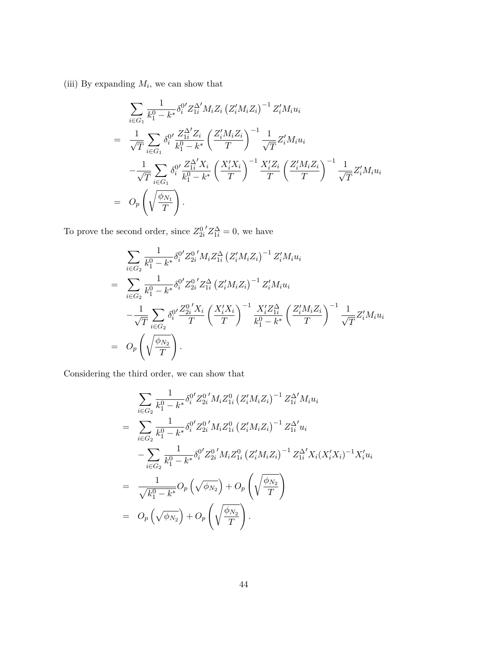(iii) By expanding  $M_i$ , we can show that

$$
\sum_{i \in G_1} \frac{1}{k_1^0 - k^*} \delta_i^{0'} Z_{1i}^{\Delta'} M_i Z_i (Z_i' M_i Z_i)^{-1} Z_i' M_i u_i
$$
\n
$$
= \frac{1}{\sqrt{T}} \sum_{i \in G_1} \delta_i^{0'} \frac{Z_{1i}^{\Delta'} Z_i}{k_1^0 - k^*} \left(\frac{Z_i' M_i Z_i}{T}\right)^{-1} \frac{1}{\sqrt{T}} Z_i' M_i u_i
$$
\n
$$
- \frac{1}{\sqrt{T}} \sum_{i \in G_1} \delta_i^{0'} \frac{Z_{1i}^{\Delta'} X_i}{k_1^0 - k^*} \left(\frac{X_i' X_i}{T}\right)^{-1} \frac{X_i' Z_i}{T} \left(\frac{Z_i' M_i Z_i}{T}\right)^{-1} \frac{1}{\sqrt{T}} Z_i' M_i u_i
$$
\n
$$
= O_p\left(\sqrt{\frac{\phi_{N_1}}{T}}\right).
$$

To prove the second order, since  $Z_{2i}^0$  $'Z_{1i}^{\Delta} = 0$ , we have

$$
\sum_{i \in G_2} \frac{1}{k_1^0 - k^*} \delta_i^{0'} Z_{2i}^{0'} M_i Z_{1i}^{\Delta} (Z_i' M_i Z_i)^{-1} Z_i' M_i u_i
$$
\n
$$
= \sum_{i \in G_2} \frac{1}{k_1^0 - k^*} \delta_i^{0'} Z_{2i}^{0'} Z_{1i}^{\Delta} (Z_i' M_i Z_i)^{-1} Z_i' M_i u_i
$$
\n
$$
- \frac{1}{\sqrt{T}} \sum_{i \in G_2} \delta_i^{0'} \frac{Z_{2i}^{0'} X_i}{T} \left(\frac{X_i' X_i}{T}\right)^{-1} \frac{X_i' Z_{1i}^{\Delta}}{k_1^0 - k^*} \left(\frac{Z_i' M_i Z_i}{T}\right)^{-1} \frac{1}{\sqrt{T}} Z_i' M_i u_i
$$
\n
$$
= O_p\left(\sqrt{\frac{\phi_{N_2}}{T}}\right).
$$

Considering the third order, we can show that

$$
\sum_{i \in G_2} \frac{1}{k_1^0 - k^*} \delta_i^{0'} Z_{2i}^{0'} M_i Z_{1i}^0 (Z_i' M_i Z_i)^{-1} Z_{1i}^{\Delta'} M_i u_i
$$
\n
$$
= \sum_{i \in G_2} \frac{1}{k_1^0 - k^*} \delta_i^{0'} Z_{2i}^{0'} M_i Z_{1i}^0 (Z_i' M_i Z_i)^{-1} Z_{1i}^{\Delta'} u_i
$$
\n
$$
- \sum_{i \in G_2} \frac{1}{k_1^0 - k^*} \delta_i^{0'} Z_{2i}^{0'} M_i Z_{1i}^0 (Z_i' M_i Z_i)^{-1} Z_{1i}^{\Delta'} X_i (X_i' X_i)^{-1} X_i' u_i
$$
\n
$$
= \frac{1}{\sqrt{k_1^0 - k^*}} O_p (\sqrt{\phi_{N_2}}) + O_p (\sqrt{\frac{\phi_{N_2}}{T}})
$$
\n
$$
= O_p (\sqrt{\phi_{N_2}}) + O_p (\sqrt{\frac{\phi_{N_2}}{T}}).
$$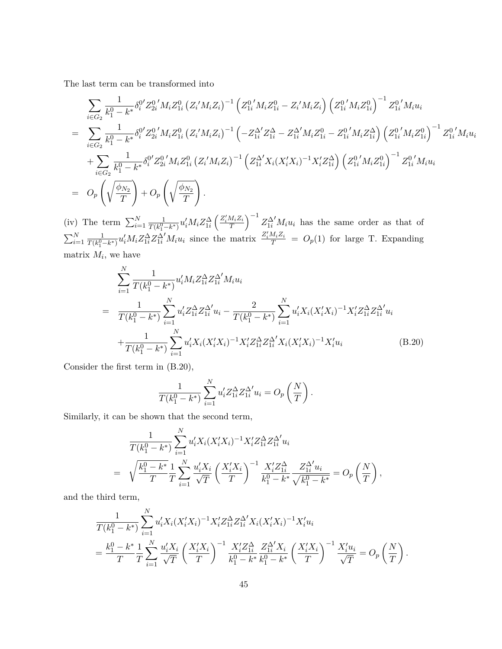The last term can be transformed into

$$
\sum_{i \in G_2} \frac{1}{k_1^0 - k^*} \delta_i^{0'} Z_{2i}^{0'} M_i Z_{1i}^0 (Z_i' M_i Z_i)^{-1} (Z_{1i}^{0'} M_i Z_{1i}^0 - Z_i' M_i Z_i) (Z_{1i}^{0'} M_i Z_{1i}^0)^{-1} Z_{1i}^{0'} M_i u_i
$$
\n
$$
= \sum_{i \in G_2} \frac{1}{k_1^0 - k^*} \delta_i^{0'} Z_{2i}^{0'} M_i Z_{1i}^0 (Z_i' M_i Z_i)^{-1} (-Z_{1i}^{\Delta'} Z_{1i}^{\Delta} - Z_{1i}^{\Delta'} M_i Z_{1i}^0 - Z_{1i}^{0'} M_i Z_{1i}^{\Delta}) (Z_{1i}^{0'} M_i Z_{1i}^0)^{-1} Z_{1i}^{0'} M_i u_i
$$
\n
$$
+ \sum_{i \in G_2} \frac{1}{k_1^0 - k^*} \delta_i^{0'} Z_{2i}^{0'} M_i Z_{1i}^0 (Z_i' M_i Z_i)^{-1} (Z_{1i}^{\Delta'} X_i (X_i' X_i)^{-1} X_i' Z_{1i}^{\Delta}) (Z_{1i}^{0'} M_i Z_{1i}^0)^{-1} Z_{1i}^{0'} M_i u_i
$$
\n
$$
= O_p \left( \sqrt{\frac{\phi_{N_2}}{T}} \right) + O_p \left( \sqrt{\frac{\phi_{N_2}}{T}} \right).
$$

(iv) The term  $\sum_{i=1}^{N} \frac{1}{T(k_i^0)}$  $\frac{1}{T(k_1^0-k^*)}u'_iM_iZ_{1i}^{\Delta}\left(\frac{Z_i'M_iZ_i}{T}\right)^{-1}Z_{1i}^{\Delta'}M_iu_i$  has the same order as that of  $\sum_{i=1}^{N} \frac{1}{T(k_i^0)}$  $\frac{1}{T(k_1^0-k^*)}u'_iM_iZ_{1i}^{\Delta}Z_{1i}^{\Delta'}M_iu_i$  since the matrix  $\frac{Z_i'M_iZ_i}{T} = O_p(1)$  for large T. Expanding matrix  $M_i$ , we have

$$
\sum_{i=1}^{N} \frac{1}{T(k_1^0 - k^*)} u_i' M_i Z_{1i}^{\Delta} Z_{1i}^{\Delta'} M_i u_i
$$
\n
$$
= \frac{1}{T(k_1^0 - k^*)} \sum_{i=1}^{N} u_i' Z_{1i}^{\Delta} Z_{1i}^{\Delta'} u_i - \frac{2}{T(k_1^0 - k^*)} \sum_{i=1}^{N} u_i' X_i (X_i' X_i)^{-1} X_i' Z_{1i}^{\Delta} Z_{1i}^{\Delta'} u_i
$$
\n
$$
+ \frac{1}{T(k_1^0 - k^*)} \sum_{i=1}^{N} u_i' X_i (X_i' X_i)^{-1} X_i' Z_{1i}^{\Delta} Z_{1i}^{\Delta'} X_i (X_i' X_i)^{-1} X_i' u_i
$$
\n(B.20)

Consider the first term in (B.20),

$$
\frac{1}{T(k_1^0 - k^*)} \sum_{i=1}^N u'_i Z_{1i}^{\Delta} Z_{1i}^{\Delta'} u_i = O_p\left(\frac{N}{T}\right).
$$

Similarly, it can be shown that the second term,

$$
\frac{1}{T(k_1^0 - k^*)} \sum_{i=1}^N u_i' X_i (X_i' X_i)^{-1} X_i' Z_{1i}^{\Delta} Z_{1i}^{\Delta'} u_i
$$
\n
$$
= \sqrt{\frac{k_1^0 - k^*}{T}} \frac{1}{T} \sum_{i=1}^N \frac{u_i' X_i}{\sqrt{T}} \left(\frac{X_i' X_i}{T}\right)^{-1} \frac{X_i' Z_{1i}^{\Delta}}{k_1^0 - k^*} \frac{Z_{1i}^{\Delta'} u_i}{\sqrt{k_1^0 - k^*}} = O_p\left(\frac{N}{T}\right),
$$

and the third term,

$$
\frac{1}{T(k_1^0 - k^*)} \sum_{i=1}^N u_i' X_i (X_i' X_i)^{-1} X_i' Z_{1i}^{\Delta} Z_{1i}^{\Delta'} X_i (X_i' X_i)^{-1} X_i' u_i
$$
\n
$$
= \frac{k_1^0 - k^*}{T} \frac{1}{T} \sum_{i=1}^N \frac{u_i' X_i}{\sqrt{T}} \left(\frac{X_i' X_i}{T}\right)^{-1} \frac{X_i' Z_{1i}^{\Delta}}{k_1^0 - k^*} \frac{Z_{1i}^{\Delta'} X_i}{k_1^0 - k^*} \left(\frac{X_i' X_i}{T}\right)^{-1} \frac{X_i' u_i}{\sqrt{T}} = O_p\left(\frac{N}{T}\right).
$$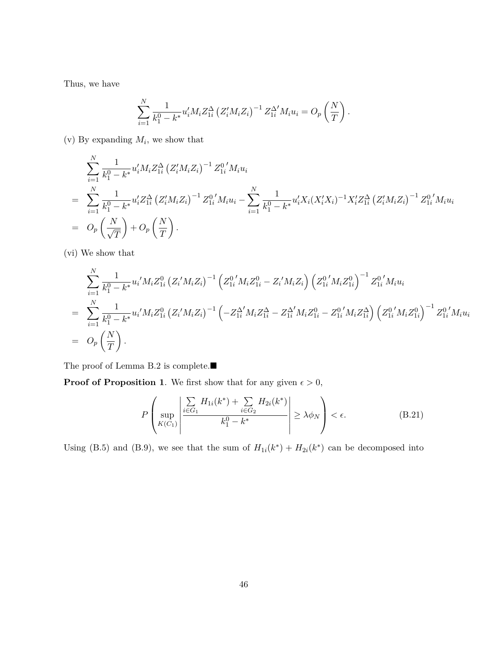Thus, we have

$$
\sum_{i=1}^{N} \frac{1}{k_1^0 - k^*} u'_i M_i Z_{1i}^{\Delta} (Z'_i M_i Z_i)^{-1} Z_{1i}^{\Delta'} M_i u_i = O_p \left( \frac{N}{T} \right).
$$

 $(v)$  By expanding  $M_i$ , we show that

$$
\sum_{i=1}^{N} \frac{1}{k_1^0 - k^*} u_i' M_i Z_{1i}^{\Delta} (Z_i' M_i Z_i)^{-1} Z_{1i}^{0'} M_i u_i
$$
\n
$$
= \sum_{i=1}^{N} \frac{1}{k_1^0 - k^*} u_i' Z_{1i}^{\Delta} (Z_i' M_i Z_i)^{-1} Z_{1i}^{0'} M_i u_i - \sum_{i=1}^{N} \frac{1}{k_1^0 - k^*} u_i' X_i (X_i' X_i)^{-1} X_i' Z_{1i}^{\Delta} (Z_i' M_i Z_i)^{-1} Z_{1i}^{0'} M_i u_i
$$
\n
$$
= O_p\left(\frac{N}{\sqrt{T}}\right) + O_p\left(\frac{N}{T}\right).
$$

(vi) We show that

$$
\sum_{i=1}^{N} \frac{1}{k_1^0 - k^*} u_i' M_i Z_{1i}^0 (Z_i' M_i Z_i)^{-1} (Z_{1i}^0' M_i Z_{1i}^0 - Z_i' M_i Z_i) (Z_{1i}^0' M_i Z_{1i}^0)^{-1} Z_{1i}^0' M_i u_i
$$
\n
$$
= \sum_{i=1}^{N} \frac{1}{k_1^0 - k^*} u_i' M_i Z_{1i}^0 (Z_i' M_i Z_i)^{-1} (-Z_{1i}^{\Delta'} M_i Z_{1i}^{\Delta} - Z_{1i}^{\Delta'} M_i Z_{1i}^0 - Z_{1i}^0' M_i Z_{1i}^{\Delta}) (Z_{1i}^0' M_i Z_{1i}^0)^{-1} Z_{1i}^0' M_i u_i
$$
\n
$$
= O_p\left(\frac{N}{T}\right).
$$

The proof of Lemma B.2 is complete.■

**Proof of Proposition 1**. We first show that for any given  $\epsilon > 0$ ,

$$
P\left(\sup_{K(C_1)}\left|\frac{\sum_{i\in G_1}H_{1i}(k^*)+\sum_{i\in G_2}H_{2i}(k^*)}{k_1^0-k^*}\right|\geq \lambda \phi_N\right)<\epsilon.
$$
 (B.21)

Using (B.5) and (B.9), we see that the sum of  $H_{1i}(k^*) + H_{2i}(k^*)$  can be decomposed into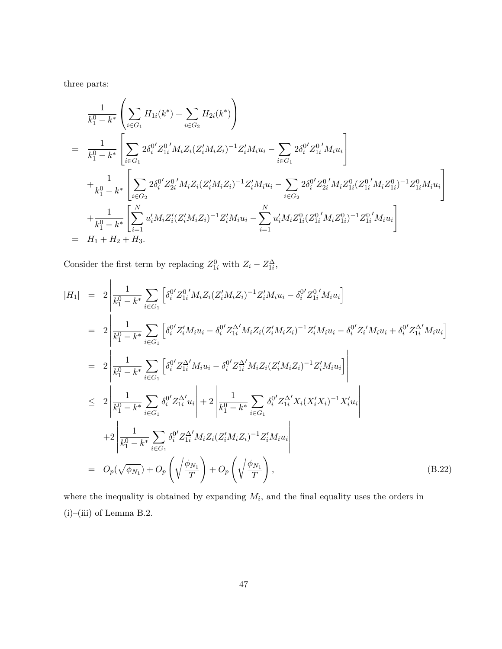three parts:

$$
\frac{1}{k_1^0 - k^*} \left( \sum_{i \in G_1} H_{1i}(k^*) + \sum_{i \in G_2} H_{2i}(k^*) \right)
$$
\n
$$
= \frac{1}{k_1^0 - k^*} \left[ \sum_{i \in G_1} 2 \delta_i^{0'} Z_{1i}^{0'} M_i Z_i (Z_i' M_i Z_i)^{-1} Z_i' M_i u_i - \sum_{i \in G_1} 2 \delta_i^{0'} Z_{1i}^{0'} M_i u_i \right]
$$
\n
$$
+ \frac{1}{k_1^0 - k^*} \left[ \sum_{i \in G_2} 2 \delta_i^{0'} Z_{2i}^{0'} M_i Z_i (Z_i' M_i Z_i)^{-1} Z_i' M_i u_i - \sum_{i \in G_2} 2 \delta_i^{0'} Z_{2i}^{0'} M_i Z_{1i}^{0} (Z_{1i}^{0'} M_i Z_{1i}^{0})^{-1} Z_{1i}^{0} M_i u_i \right]
$$
\n
$$
+ \frac{1}{k_1^0 - k^*} \left[ \sum_{i=1}^N u_i' M_i Z_i' (Z_i' M_i Z_i)^{-1} Z_i' M_i u_i - \sum_{i=1}^N u_i' M_i Z_{1i}^{0} (Z_{1i}^{0'} M_i Z_{1i}^{0})^{-1} Z_{1i}^{0'} M_i u_i \right]
$$
\n
$$
= H_1 + H_2 + H_3.
$$

Consider the first term by replacing  $Z_{1i}^0$  with  $Z_i - Z_{1i}^{\Delta}$ ,

$$
|H_{1}| = 2\left|\frac{1}{k_{1}^{0} - k^{*}} \sum_{i \in G_{1}} \left[\delta_{i}^{0\prime} Z_{1i}^{0\prime} M_{i} Z_{i} (Z_{i}^{\prime} M_{i} Z_{i})^{-1} Z_{i}^{\prime} M_{i} u_{i} - \delta_{i}^{0\prime} Z_{1i}^{0\prime} M_{i} u_{i}\right]\right|
$$
  
\n
$$
= 2\left|\frac{1}{k_{1}^{0} - k^{*}} \sum_{i \in G_{1}} \left[\delta_{i}^{0\prime} Z_{i}^{\prime} M_{i} u_{i} - \delta_{i}^{0\prime} Z_{1i}^{\Delta} M_{i} Z_{i} (Z_{i}^{\prime} M_{i} Z_{i})^{-1} Z_{i}^{\prime} M_{i} u_{i} - \delta_{i}^{0\prime} Z_{i}^{\Delta} M_{i} u_{i} + \delta_{i}^{0\prime} Z_{1i}^{\Delta} M_{i} u_{i}\right]\right|
$$
  
\n
$$
= 2\left|\frac{1}{k_{1}^{0} - k^{*}} \sum_{i \in G_{1}} \left[\delta_{i}^{0\prime} Z_{1i}^{\Delta} M_{i} u_{i} - \delta_{i}^{0\prime} Z_{1i}^{\Delta} M_{i} Z_{i} (Z_{i}^{\prime} M_{i} Z_{i})^{-1} Z_{i}^{\prime} M_{i} u_{i}\right]\right|
$$
  
\n
$$
\leq 2\left|\frac{1}{k_{1}^{0} - k^{*}} \sum_{i \in G_{1}} \delta_{i}^{0\prime} Z_{1i}^{\Delta} M_{i} u_{i}\right| + 2\left|\frac{1}{k_{1}^{0} - k^{*}} \sum_{i \in G_{1}} \delta_{i}^{0\prime} Z_{1i}^{\Delta} X_{i} (X_{i}^{\prime} X_{i})^{-1} X_{i}^{\prime} u_{i}\right|
$$
  
\n
$$
+ 2\left|\frac{1}{k_{1}^{0} - k^{*}} \sum_{i \in G_{1}} \delta_{i}^{0\prime} Z_{1i}^{\Delta} M_{i} Z_{i} (Z_{i}^{\prime} M_{i} Z_{i})^{-1} Z_{i}^{\prime} M_{i} u_{i}\right|
$$
  
\n
$$
= O_{p}(\sqrt
$$

where the inequality is obtained by expanding  $M_i$ , and the final equality uses the orders in  $(i)$ –(iii) of Lemma B.2.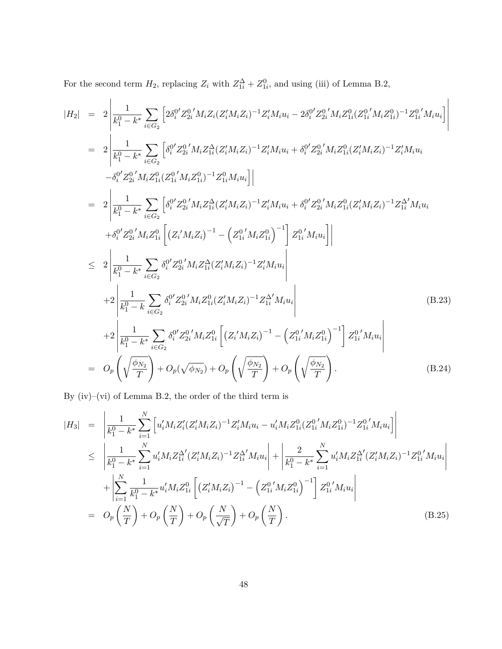For the second term  $H_2$ , replacing  $Z_i$  with  $Z_{1i}^{\Delta} + Z_{1i}^0$ , and using (iii) of Lemma B.2,

$$
|H_{2}| = 2 \left| \frac{1}{k_{1}^{0} - k^{*}} \sum_{i \in G_{2}} \left[ 2\delta_{i}^{0\prime} Z_{2i}^{0\prime} M_{i} Z_{i} (Z_{i}^{\prime} M_{i} Z_{i})^{-1} Z_{i}^{\prime} M_{i} u_{i} - 2\delta_{i}^{0\prime} Z_{2i}^{0\prime} M_{i} Z_{1i}^{0} (Z_{1i}^{0\prime} M_{i} Z_{1i}^{0})^{-1} Z_{1i}^{0\prime} M_{i} u_{i} \right] \right|
$$
  
\n
$$
= 2 \left| \frac{1}{k_{1}^{0} - k^{*}} \sum_{i \in G_{2}} \left[ \delta_{i}^{0\prime} Z_{2i}^{0\prime} M_{i} Z_{1i}^{2} (Z_{i}^{\prime} M_{i} Z_{i})^{-1} Z_{i}^{\prime} M_{i} u_{i} + \delta_{i}^{0\prime} Z_{2i}^{0\prime} M_{i} Z_{1i}^{0} (Z_{i}^{\prime} M_{i} Z_{i})^{-1} Z_{i}^{\prime} M_{i} u_{i} \right] \right|
$$
  
\n
$$
= 2 \left| \frac{1}{k_{1}^{0} - k^{*}} \sum_{i \in G_{2}} \left[ \delta_{i}^{0\prime} Z_{2i}^{0\prime} M_{i} Z_{1i}^{0})^{-1} Z_{1i}^{0} M_{i} u_{i} \right] \right|
$$
  
\n
$$
= 2 \left| \frac{1}{k_{1}^{0} - k^{*}} \sum_{i \in G_{2}} \left[ \delta_{i}^{0\prime} Z_{2i}^{0\prime} M_{i} Z_{1i}^{2} (Z_{i}^{\prime} M_{i} Z_{i})^{-1} Z_{i}^{\prime} M_{i} u_{i} + \delta_{i}^{0\prime} Z_{2i}^{0\prime} M_{i} Z_{1i}^{0} (Z_{i}^{\prime} M_{i} Z_{i})^{-1} Z_{1i}^{\prime} M_{i} u_{i} \right| \right|
$$
  
\n
$$
\leq 2 \left| \frac{1}{k_{1}^{0} - k^{*}} \sum_{i \in G_{2}} \delta_{i}^{0\prime} Z_{2i}^{0\prime} M_{i} Z_{1i}^{2} (
$$

By (iv)–(vi) of Lemma B.2, the order of the third term is

$$
|H_{3}| = \left| \frac{1}{k_{1}^{0} - k^{*}} \sum_{i=1}^{N} \left[ u_{i}'M_{i}Z_{i}'(Z_{i}'M_{i}Z_{i})^{-1}Z_{i}'M_{i}u_{i} - u_{i}'M_{i}Z_{1i}^{0}(Z_{1i}^{0'}M_{i}Z_{1i}^{0})^{-1}Z_{1i}^{0'}M_{i}u_{i} \right] \right|
$$
  
\n
$$
\leq \left| \frac{1}{k_{1}^{0} - k^{*}} \sum_{i=1}^{N} u_{i}'M_{i}Z_{1i}^{\Delta'}(Z_{i}'M_{i}Z_{i})^{-1}Z_{1i}^{\Delta'}M_{i}u_{i} \right| + \left| \frac{2}{k_{1}^{0} - k^{*}} \sum_{i=1}^{N} u_{i}'M_{i}Z_{1i}^{\Delta'}(Z_{i}'M_{i}Z_{i})^{-1}Z_{1i}^{0'}M_{i}u_{i} \right|
$$
  
\n
$$
+ \left| \sum_{i=1}^{N} \frac{1}{k_{1}^{0} - k^{*}} u_{i}'M_{i}Z_{1i}^{0} \left[ (Z_{i}'M_{i}Z_{i})^{-1} - (Z_{1i}'M_{i}Z_{1i}^{0})^{-1} \right] Z_{1i}^{0'}M_{i}u_{i} \right|
$$
  
\n
$$
= O_{p}\left(\frac{N}{T}\right) + O_{p}\left(\frac{N}{T}\right) + O_{p}\left(\frac{N}{\sqrt{T}}\right) + O_{p}\left(\frac{N}{T}\right).
$$
 (B.25)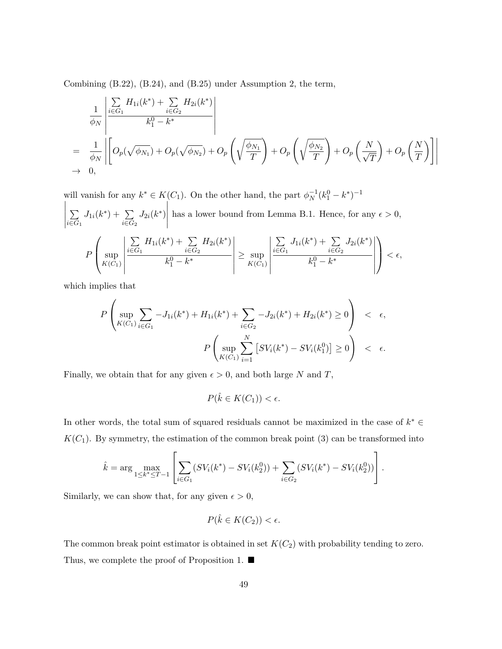Combining (B.22), (B.24), and (B.25) under Assumption 2, the term,

$$
\frac{1}{\phi_N} \left| \frac{\sum\limits_{i \in G_1} H_{1i}(k^*) + \sum\limits_{i \in G_2} H_{2i}(k^*)}{k_1^0 - k^*} \right|
$$
\n
$$
= \frac{1}{\phi_N} \left| \left[ O_p(\sqrt{\phi_{N_1}}) + O_p(\sqrt{\phi_{N_2}}) + O_p\left(\sqrt{\frac{\phi_{N_1}}{T}}\right) + O_p\left(\sqrt{\frac{\phi_{N_2}}{T}}\right) + O_p\left(\frac{N}{\sqrt{T}}\right) + O_p\left(\frac{N}{T}\right) \right] \right|
$$
\n
$$
\to 0,
$$

will vanish for any  $k^* \in K(C_1)$ . On the other hand, the part  $\phi_N^{-1}(k_1^0 - k^*)^{-1}$   $\sum$ *i∈G*<sup>1</sup>  $J_{1i}(k^*) + \sum_{i}$ *i∈G*<sup>2</sup>  $J_{2i}(k^*)$  $\begin{array}{c} \hline \end{array}$ has a lower bound from Lemma B.1. Hence, for any  $\epsilon > 0$ , *P*  $\sqrt{ }$  $\left\{ \begin{array}{l} \sup\n\\ K(C_1)\end{array} \right.$   $\sum$ *i∈G*<sup>1</sup>  $H_{1i}(k^*) + \sum$ *i∈G*<sup>2</sup>  $H_{2i}(k^*)$  $k_1^0 - k^*$  *≥* sup  $K(C_1)$   $\sum$ *i∈G*<sup>1</sup>  $J_{1i}(k^*) + \sum_{i}$ *i∈G*<sup>2</sup>  $J_{2i}(k^*)$  $k_1^0 - k^*$   $\setminus$  $\Big\vert < \epsilon,$ 

which implies that

$$
P\left(\sup_{K(C_1)} \sum_{i \in G_1} -J_{1i}(k^*) + H_{1i}(k^*) + \sum_{i \in G_2} -J_{2i}(k^*) + H_{2i}(k^*) \ge 0\right) < \epsilon,
$$
  

$$
P\left(\sup_{K(C_1)} \sum_{i=1}^N \left[SV_i(k^*) - SV_i(k_1^0)\right] \ge 0\right) < \epsilon.
$$

Finally, we obtain that for any given  $\epsilon > 0$ , and both large *N* and *T*,

$$
P(\hat{k} \in K(C_1)) < \epsilon.
$$

In other words, the total sum of squared residuals cannot be maximized in the case of *k <sup>∗</sup> ∈*  $K(C_1)$ . By symmetry, the estimation of the common break point (3) can be transformed into

$$
\hat{k} = \arg \max_{1 \leq k^* \leq T-1} \left[ \sum_{i \in G_1} (SV_i(k^*) - SV_i(k_2^0)) + \sum_{i \in G_2} (SV_i(k^*) - SV_i(k_2^0)) \right].
$$

Similarly, we can show that, for any given  $\epsilon > 0$ ,

$$
P(\hat{k} \in K(C_2)) < \epsilon.
$$

The common break point estimator is obtained in set  $K(C_2)$  with probability tending to zero. Thus, we complete the proof of Proposition 1. ■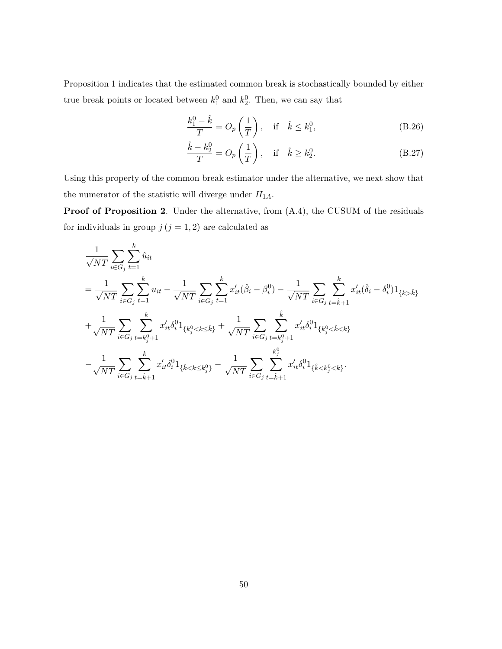Proposition 1 indicates that the estimated common break is stochastically bounded by either true break points or located between  $k_1^0$  and  $k_2^0$ . Then, we can say that

$$
\frac{k_1^0 - \hat{k}}{T} = O_p\left(\frac{1}{T}\right), \quad \text{if} \quad \hat{k} \le k_1^0,
$$
\n(B.26)

$$
\frac{\hat{k} - k_2^0}{T} = O_p\left(\frac{1}{T}\right), \quad \text{if} \quad \hat{k} \ge k_2^0. \tag{B.27}
$$

Using this property of the common break estimator under the alternative, we next show that the numerator of the statistic will diverge under  ${\cal H}_{1A}.$ 

**Proof of Proposition 2**. Under the alternative, from (A.4), the CUSUM of the residuals for individuals in group  $j$  ( $j = 1, 2$ ) are calculated as

$$
\begin{split} &\frac{1}{\sqrt{NT}}\sum_{i\in G_j}\sum_{t=1}^k \hat{u}_{it}\\ &=\frac{1}{\sqrt{NT}}\sum_{i\in G_j}\sum_{t=1}^k u_{it}-\frac{1}{\sqrt{NT}}\sum_{i\in G_j}\sum_{t=1}^k x_{it}'(\hat{\beta}_i-\beta_i^0)-\frac{1}{\sqrt{NT}}\sum_{i\in G_j}\sum_{t=k+1}^k x_{it}'(\hat{\delta}_i-\delta_i^0)1_{\{k>\hat{k}\}}\\ &+\frac{1}{\sqrt{NT}}\sum_{i\in G_j}\sum_{t=k_j^0+1}^k x_{it}'\delta_i^01_{\{k_j^0
$$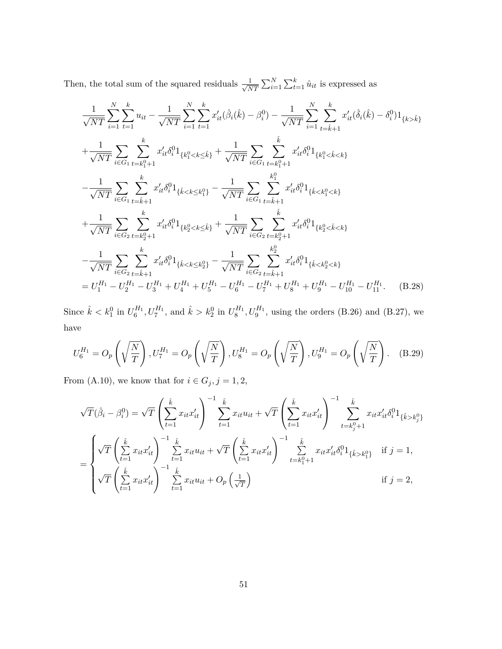Then, the total sum of the squared residuals  $\frac{1}{\sqrt{\lambda}}$  $\frac{1}{NT} \sum_{i=1}^{N} \sum_{t=1}^{k} \hat{u}_{it}$  is expressed as

$$
\frac{1}{\sqrt{NT}} \sum_{i=1}^{N} \sum_{t=1}^{k} u_{it} - \frac{1}{\sqrt{NT}} \sum_{i=1}^{N} \sum_{t=1}^{k} x'_{it} (\hat{\beta}_{i}(\hat{k}) - \beta_{i}^{0}) - \frac{1}{\sqrt{NT}} \sum_{i=1}^{N} \sum_{t=\hat{k}+1}^{k} x'_{it} (\hat{\delta}_{i}(\hat{k}) - \delta_{i}^{0}) \mathbf{1}_{\{k > \hat{k}\}}
$$
\n
$$
+ \frac{1}{\sqrt{NT}} \sum_{i \in G_{1}} \sum_{t=k_{1}^{0}+1} x'_{it} \delta_{i}^{0} \mathbf{1}_{\{k_{1}^{0} < k \leq \hat{k}\}} + \frac{1}{\sqrt{NT}} \sum_{i \in G_{1}} \sum_{t=k_{1}^{0}+1} x'_{it} \delta_{i}^{0} \mathbf{1}_{\{k_{1}^{0} < \hat{k} < k\}}
$$
\n
$$
- \frac{1}{\sqrt{NT}} \sum_{i \in G_{1}} \sum_{t=\hat{k}+1} x'_{it} \delta_{i}^{0} \mathbf{1}_{\{\hat{k} < k \leq k_{1}^{0}\}} - \frac{1}{\sqrt{NT}} \sum_{i \in G_{1}} \sum_{t=\hat{k}+1} x'_{it} \delta_{i}^{0} \mathbf{1}_{\{\hat{k} < k_{1}^{0} < k\}}
$$
\n
$$
+ \frac{1}{\sqrt{NT}} \sum_{i \in G_{2}} \sum_{t=k_{2}^{0}+1} x'_{it} \delta_{i}^{0} \mathbf{1}_{\{k_{2}^{0} < k \leq \hat{k}\}} + \frac{1}{\sqrt{NT}} \sum_{i \in G_{2}} \sum_{t=k_{2}^{0}+1} x'_{it} \delta_{i}^{0} \mathbf{1}_{\{k_{2}^{0} < \hat{k} < k\}}
$$
\n
$$
- \frac{1}{\sqrt{NT}} \sum_{i \in G_{2}} \sum_{t=k_{1}^{0}+1} x'_{it} \delta_{i}^{0} \mathbf{1}_{\{\hat{k} < k \leq k_{2}^{0}\}} - \frac{1}{\sqrt{NT}} \sum_{i \in G_{2}} \sum_{t=k_{1}^{0}+1} x'_{it}
$$

Since  $\hat{k} < k_1^0$  in  $U_6^{H_1}$ ,  $U_7^{H_1}$ , and  $\hat{k} > k_2^0$  in  $U_8^{H_1}$ ,  $U_9^{H_1}$ , using the orders (B.26) and (B.27), we have

$$
U_6^{H_1} = O_p\left(\sqrt{\frac{N}{T}}\right), U_7^{H_1} = O_p\left(\sqrt{\frac{N}{T}}\right), U_8^{H_1} = O_p\left(\sqrt{\frac{N}{T}}\right), U_9^{H_1} = O_p\left(\sqrt{\frac{N}{T}}\right). \tag{B.29}
$$

From (A.10), we know that for  $i \in G_j$ ,  $j = 1, 2$ ,

$$
\sqrt{T}(\hat{\beta}_{i} - \beta_{i}^{0}) = \sqrt{T} \left( \sum_{t=1}^{\hat{k}} x_{it} x_{it}' \right)^{-1} \sum_{t=1}^{\hat{k}} x_{it} u_{it} + \sqrt{T} \left( \sum_{t=1}^{\hat{k}} x_{it} x_{it}' \right)^{-1} \sum_{t=k_{j}^{0}+1}^{\hat{k}} x_{it} x_{it}' \delta_{i}^{0} 1_{\{\hat{k} > k_{j}^{0}\}}
$$

$$
= \begin{cases} \sqrt{T} \left( \sum_{t=1}^{\hat{k}} x_{it} x_{it}' \right)^{-1} \sum_{t=1}^{\hat{k}} x_{it} u_{it} + \sqrt{T} \left( \sum_{t=1}^{\hat{k}} x_{it} x_{it}' \right)^{-1} \sum_{t=k_{j}^{0}+1}^{\hat{k}} x_{it} x_{it}' \delta_{i}^{0} 1_{\{\hat{k} > k_{j}^{0}\}} & \text{if } j = 1, \\ \sqrt{T} \left( \sum_{t=1}^{\hat{k}} x_{it} x_{it}' \right)^{-1} \sum_{t=1}^{\hat{k}} x_{it} u_{it} + O_{p} \left( \frac{1}{\sqrt{T}} \right) & \text{if } j = 2, \end{cases}
$$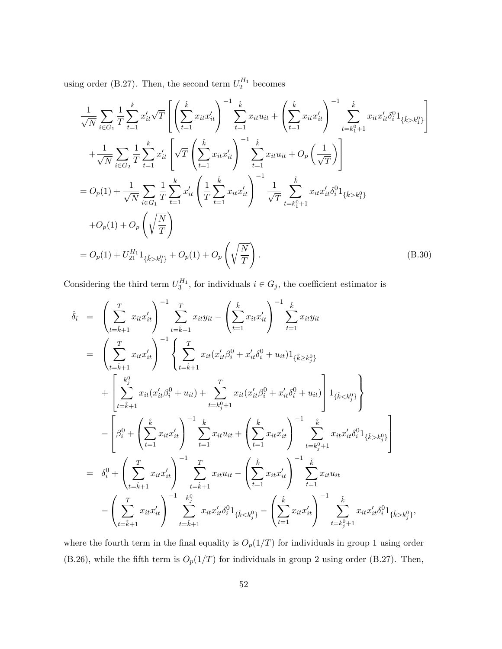using order (B.27). Then, the second term  $U_2^{H_1}$  becomes

$$
\frac{1}{\sqrt{N}} \sum_{i \in G_1} \frac{1}{T} \sum_{t=1}^k x'_{it} \sqrt{T} \left[ \left( \sum_{t=1}^{\hat{k}} x_{it} x'_{it} \right)^{-1} \sum_{t=1}^{\hat{k}} x_{it} u_{it} + \left( \sum_{t=1}^{\hat{k}} x_{it} x'_{it} \right)^{-1} \sum_{t=k_1^0+1}^{\hat{k}} x_{it} x'_{it} \delta_i^0 1_{\{\hat{k} > k_1^0\}} \right]
$$
\n
$$
+ \frac{1}{\sqrt{N}} \sum_{i \in G_2} \frac{1}{T} \sum_{t=1}^k x'_{it} \left[ \sqrt{T} \left( \sum_{t=1}^{\hat{k}} x_{it} x'_{it} \right)^{-1} \sum_{t=1}^{\hat{k}} x_{it} u_{it} + O_p \left( \frac{1}{\sqrt{T}} \right) \right]
$$
\n
$$
= O_p(1) + \frac{1}{\sqrt{N}} \sum_{i \in G_1} \frac{1}{T} \sum_{t=1}^k x'_{it} \left( \frac{1}{T} \sum_{t=1}^{\hat{k}} x_{it} x'_{it} \right)^{-1} \frac{1}{\sqrt{T}} \sum_{t=k_1^0+1}^{\hat{k}} x_{it} x'_{it} \delta_i^0 1_{\{\hat{k} > k_1^0\}}
$$
\n
$$
+ O_p(1) + O_p \left( \sqrt{\frac{N}{T}} \right)
$$
\n
$$
= O_p(1) + U_{21}^{H_1} 1_{\{\hat{k} > k_1^0\}} + O_p(1) + O_p \left( \sqrt{\frac{N}{T}} \right).
$$
\n(B.30)

Considering the third term  $U_3^{H_1}$ , for individuals  $i \in G_j$ , the coefficient estimator is

$$
\hat{\delta}_{i} = \left(\sum_{t=\hat{k}+1}^{T} x_{it} x_{it}' \right)^{-1} \sum_{t=\hat{k}+1}^{T} x_{it} y_{it} - \left(\sum_{t=1}^{\hat{k}} x_{it} x_{it}' \right)^{-1} \sum_{t=1}^{\hat{k}} x_{it} y_{it}
$$
\n
$$
= \left(\sum_{t=\hat{k}+1}^{T} x_{it} x_{it}' \right)^{-1} \left(\sum_{t=\hat{k}+1}^{T} x_{it} (x_{it}' \beta_{i}^{0} + x_{it}' \delta_{i}^{0} + u_{it}) 1_{\{\hat{k} \geq k_{j}^{0}\}} + \left[\sum_{t=\hat{k}+1}^{k_{j}^{0}} x_{it} (x_{it}' \beta_{i}^{0} + u_{it}) + \sum_{t=k_{j}^{0}+1}^{T} x_{it} (x_{it}' \beta_{i}^{0} + x_{it}' \delta_{i}^{0} + u_{it}) \right] 1_{\{\hat{k} < k_{j}^{0}\}} \right\}
$$
\n
$$
- \left[\beta_{i}^{0} + \left(\sum_{t=1}^{\hat{k}} x_{it} x_{it}' \right)^{-1} \sum_{t=1}^{\hat{k}} x_{it} u_{it} + \left(\sum_{t=1}^{\hat{k}} x_{it} x_{it}' \right)^{-1} \sum_{t=k_{j}^{0}+1}^{k} x_{it} x_{it}' \delta_{i}^{0} 1_{\{\hat{k} > k_{j}^{0}\}} \right]
$$
\n
$$
= \delta_{i}^{0} + \left(\sum_{t=\hat{k}+1}^{T} x_{it} x_{it}' \right)^{-1} \sum_{t=\hat{k}+1}^{T} x_{it} u_{it} - \left(\sum_{t=1}^{\hat{k}} x_{it} x_{it}' \right)^{-1} \sum_{t=1}^{\hat{k}} x_{it} u_{it}
$$
\n
$$
- \left(\sum_{t=\hat{k}+1}^{T} x_{it} x_{it}' \right)^{-1} \sum_{t=\hat{k}+1}^{k_{j}^{0}} x_{it} x_{it}' \delta_{i}^{0} 1_{\{\hat{k} < k_{j}^{0}\}} - \left(\sum_{t=1}^{\hat{k}} x_{it} x_{it}' \right)^{-1} \sum_{t=k_{j}^{0}+1}^{k} x_{it} x
$$

where the fourth term in the final equality is  $O_p(1/T)$  for individuals in group 1 using order (B.26), while the fifth term is  $O_p(1/T)$  for individuals in group 2 using order (B.27). Then,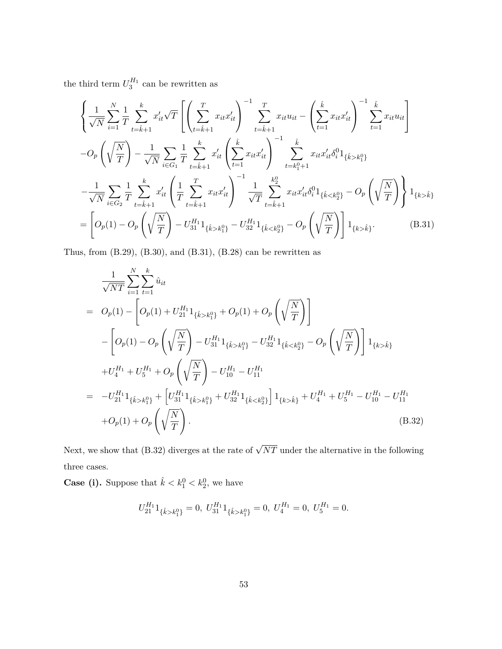the third term  $U_3^{H_1}$  can be rewritten as

$$
\begin{split}\n&\left\{\frac{1}{\sqrt{N}}\sum_{i=1}^{N}\frac{1}{T}\sum_{t=\hat{k}+1}^{k}x_{it}'\sqrt{T}\left[\left(\sum_{t=\hat{k}+1}^{T}x_{it}x_{it}'\right)^{-1}\sum_{t=\hat{k}+1}^{T}x_{it}u_{it} - \left(\sum_{t=1}^{\hat{k}}x_{it}x_{it}'\right)^{-1}\sum_{t=1}^{k}x_{it}u_{it}\right] \\
&-O_{p}\left(\sqrt{\frac{N}{T}}\right) - \frac{1}{\sqrt{N}}\sum_{i\in G_{1}}\frac{1}{T}\sum_{t=\hat{k}+1}^{k}x_{it}'\left(\sum_{t=1}^{\hat{k}}x_{it}x_{it}'\right)^{-1}\sum_{t=k_{1}^{0}+1}^{k}x_{it}x_{it}'\delta_{i}^{0}1_{\{\hat{k}>k_{1}^{0}\}} \\
&- \frac{1}{\sqrt{N}}\sum_{i\in G_{2}}\frac{1}{T}\sum_{t=\hat{k}+1}^{k}x_{it}'\left(\frac{1}{T}\sum_{t=\hat{k}+1}^{T}x_{it}x_{it}'\right)^{-1}\frac{1}{\sqrt{T}}\sum_{t=\hat{k}+1}^{k_{2}^{0}}x_{it}x_{it}'\delta_{i}^{0}1_{\{\hat{k}\hat{k}\}} \\
&=\left[O_{p}(1)-O_{p}\left(\sqrt{\frac{N}{T}}\right)-U_{31}^{H_{1}}1_{\{\hat{k}>k_{1}^{0}\}} - U_{32}^{H_{1}}1_{\{\hat{k}\hat{k}\}}.\n\end{split} \tag{B.31}
$$

Thus, from (B.29), (B.30), and (B.31), (B.28) can be rewritten as

$$
\frac{1}{\sqrt{NT}} \sum_{i=1}^{N} \sum_{t=1}^{k} \hat{u}_{it}
$$
\n
$$
= O_p(1) - \left[ O_p(1) + U_{21}^{H_1} 1_{\{\hat{k} > k_1^0\}} + O_p(1) + O_p\left(\sqrt{\frac{N}{T}}\right) \right]
$$
\n
$$
- \left[ O_p(1) - O_p\left(\sqrt{\frac{N}{T}}\right) - U_{31}^{H_1} 1_{\{\hat{k} > k_1^0\}} - U_{32}^{H_1} 1_{\{\hat{k} < k_2^0\}} - O_p\left(\sqrt{\frac{N}{T}}\right) \right] 1_{\{k > \hat{k}\}}
$$
\n
$$
+ U_4^{H_1} + U_5^{H_1} + O_p\left(\sqrt{\frac{N}{T}}\right) - U_{10}^{H_1} - U_{11}^{H_1}
$$
\n
$$
= -U_{21}^{H_1} 1_{\{\hat{k} > k_1^0\}} + \left[ U_{31}^{H_1} 1_{\{\hat{k} > k_1^0\}} + U_{32}^{H_1} 1_{\{\hat{k} < k_2^0\}} \right] 1_{\{k > \hat{k}\}} + U_4^{H_1} + U_5^{H_1} - U_{10}^{H_1} - U_{11}^{H_1}
$$
\n
$$
+ O_p(1) + O_p\left(\sqrt{\frac{N}{T}}\right).
$$
\n(B.32)

Next, we show that (B.32) diverges at the rate of  $\sqrt{NT}$  under the alternative in the following three cases.

**Case (i).** Suppose that  $\hat{k} < k_1^0 < k_2^0$ , we have

$$
U_{21}^{H_1} 1_{\{\hat{k} > k_1^0\}} = 0, U_{31}^{H_1} 1_{\{\hat{k} > k_1^0\}} = 0, U_4^{H_1} = 0, U_5^{H_1} = 0.
$$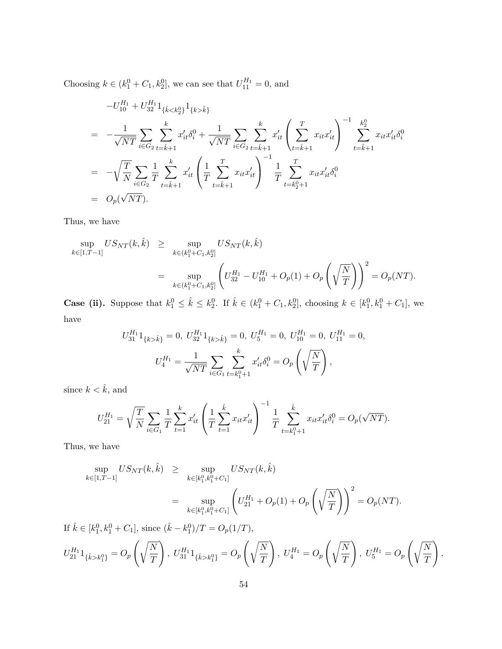Choosing  $k \in (k_1^0 + C_1, k_2^0]$ , we can see that  $U_{11}^{H_1} = 0$ , and

$$
-U_{10}^{H_1} + U_{32}^{H_1} 1_{\{\hat{k} < k_2^0\}} 1_{\{k > \hat{k}\}}
$$
\n
$$
= -\frac{1}{\sqrt{NT}} \sum_{i \in G_2} \sum_{t = \hat{k} + 1}^k x_{it}' \delta_i^0 + \frac{1}{\sqrt{NT}} \sum_{i \in G_2} \sum_{t = \hat{k} + 1}^k x_{it}' \left(\sum_{t = \hat{k} + 1}^T x_{it} x_{it}'\right)^{-1} \sum_{t = \hat{k} + 1}^{k_2^0} x_{it} x_{it}' \delta_i^0
$$
\n
$$
= -\sqrt{\frac{T}{N}} \sum_{i \in G_2} \frac{1}{T} \sum_{t = \hat{k} + 1}^k x_{it}' \left(\frac{1}{T} \sum_{t = \hat{k} + 1}^T x_{it} x_{it}'\right)^{-1} \frac{1}{T} \sum_{t = k_2^0 + 1}^T x_{it} x_{it}' \delta_i^0
$$
\n
$$
= O_p(\sqrt{NT}).
$$

Thus, we have

$$
\sup_{k \in [1,T-1]} US_{NT}(k, \hat{k}) \ge \sup_{k \in (k_1^0 + C_1, k_2^0]} US_{NT}(k, \hat{k})
$$
  
= 
$$
\sup_{k \in (k_1^0 + C_1, k_2^0]} \left( U_{32}^{H_1} - U_{10}^{H_1} + O_p(1) + O_p\left(\sqrt{\frac{N}{T}}\right) \right)^2 = O_p(NT).
$$

**Case (ii).** Suppose that  $k_1^0 \leq \hat{k} \leq k_2^0$ . If  $\hat{k} \in (k_1^0 + C_1, k_2^0]$ , choosing  $k \in [k_1^0, k_1^0 + C_1]$ , we have

$$
U_{31}^{H_1}1_{\{k>\hat{k}\}} = 0, U_{32}^{H_1}1_{\{k>\hat{k}\}} = 0, U_{5}^{H_1} = 0, U_{10}^{H_1} = 0, U_{11}^{H_1} = 0,
$$
  

$$
U_{4}^{H_1} = \frac{1}{\sqrt{NT}} \sum_{i \in G_1} \sum_{t=k_1^0+1}^k x_{it}' \delta_i^0 = O_p\left(\sqrt{\frac{N}{T}}\right),
$$

since  $k < \hat{k}$ , and

$$
U_{21}^{H_1} = \sqrt{\frac{T}{N}} \sum_{i \in G_1} \frac{1}{T} \sum_{t=1}^k x_{it}' \left( \frac{1}{T} \sum_{t=1}^{\hat{k}} x_{it} x_{it}' \right)^{-1} \frac{1}{T} \sum_{t=k_1^0+1}^{\hat{k}} x_{it} x_{it}' \delta_i^0 = O_p(\sqrt{NT}).
$$

Thus, we have

$$
\sup_{k \in [1,T-1]} US_{NT}(k, \hat{k}) \ge \sup_{k \in [k_1^0, k_1^0 + C_1]} US_{NT}(k, \hat{k})
$$
  
= 
$$
\sup_{k \in [k_1^0, k_1^0 + C_1]} \left( U_{21}^{H_1} + O_p(1) + O_p\left(\sqrt{\frac{N}{T}}\right) \right)^2 = O_p(NT).
$$

If  $\hat{k} \in [k_1^0, k_1^0 + C_1]$ , since  $(\hat{k} - k_1^0)/T = O_p(1/T)$ ,  $U_{21}^{H_1} 1_{\{\hat{k} > k_1^0\}} = O_p$  $\sqrt{N}$ *T*  $\Bigg), U_{31}^{H_1} 1_{\{\hat{k} > k_1^0\}} = O_p$  $\sqrt{N}$ *T*  $\Bigg), U_4^{H_1} = O_p$  $\sqrt{N}$ *T*  $\Bigg), U_5^{H_1} = O_p$  $\sqrt{N}$ *T*  $\setminus$ *.*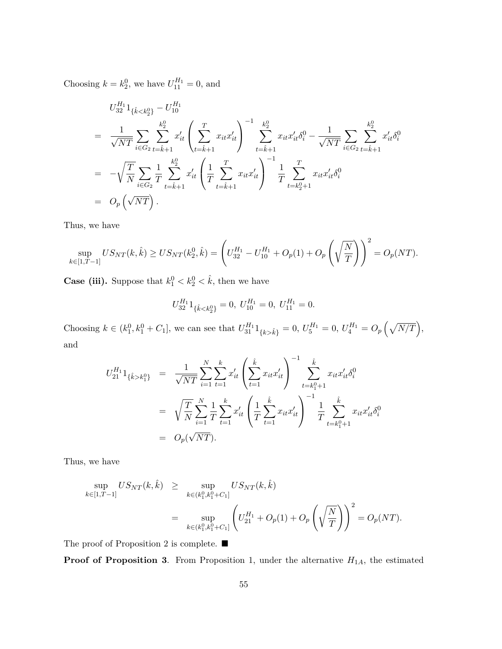Choosing  $k = k_2^0$ , we have  $U_{11}^{H_1} = 0$ , and

$$
U_{32}^{H_1} 1_{\{\hat{k} < k_2^0\}} - U_{10}^{H_1}
$$
\n
$$
= \frac{1}{\sqrt{NT}} \sum_{i \in G_2} \sum_{t=\hat{k}+1}^{k_2^0} x'_{it} \left( \sum_{t=\hat{k}+1}^T x_{it} x'_{it} \right)^{-1} \sum_{t=\hat{k}+1}^{k_2^0} x_{it} x'_{it} \delta_i^0 - \frac{1}{\sqrt{NT}} \sum_{i \in G_2} \sum_{t=\hat{k}+1}^{k_2^0} x'_{it} \delta_i^0
$$
\n
$$
= -\sqrt{\frac{T}{N}} \sum_{i \in G_2} \frac{1}{T} \sum_{t=\hat{k}+1}^{k_2^0} x'_{it} \left( \frac{1}{T} \sum_{t=\hat{k}+1}^T x_{it} x'_{it} \right)^{-1} \frac{1}{T} \sum_{t=k_2^0+1}^T x_{it} x'_{it} \delta_i^0
$$
\n
$$
= O_p\left(\sqrt{NT}\right).
$$

Thus, we have

$$
\sup_{k \in [1,T-1]} US_{NT}(k, \hat{k}) \ge US_{NT}(k_2^0, \hat{k}) = \left( U_{32}^{H_1} - U_{10}^{H_1} + O_p(1) + O_p\left(\sqrt{\frac{N}{T}}\right) \right)^2 = O_p(NT).
$$

**Case (iii).** Suppose that  $k_1^0 < k_2^0 < \hat{k}$ , then we have

$$
U_{32}^{H_1} 1_{\{\hat{k} < k_2^0\}} = 0, \ U_{10}^{H_1} = 0, \ U_{11}^{H_1} = 0.
$$

Choosing  $k \in (k_1^0, k_1^0 + C_1]$ , we can see that  $U_{31}^{H_1}1_{\{k > \hat{k}\}} = 0$ ,  $U_5^{H_1} = 0$ ,  $U_4^{H_1} = O_p\left(\sqrt{N/T}\right)$ , and

$$
U_{21}^{H_1}1_{\{\hat{k}>k_1^0\}} = \frac{1}{\sqrt{NT}} \sum_{i=1}^N \sum_{t=1}^k x_{it}' \left(\sum_{t=1}^{\hat{k}} x_{it} x_{it}'\right)^{-1} \sum_{t=k_1^0+1}^{\hat{k}} x_{it} x_{it}' \delta_i^0
$$
  

$$
= \sqrt{\frac{T}{N}} \sum_{i=1}^N \frac{1}{T} \sum_{t=1}^k x_{it}' \left(\frac{1}{T} \sum_{t=1}^{\hat{k}} x_{it} x_{it}'\right)^{-1} \frac{1}{T} \sum_{t=k_1^0+1}^{\hat{k}} x_{it} x_{it}' \delta_i^0
$$
  

$$
= O_p(\sqrt{NT}).
$$

Thus, we have

$$
\sup_{k \in [1,T-1]} US_{NT}(k, \hat{k}) \ge \sup_{k \in (k_1^0, k_1^0 + C_1]} US_{NT}(k, \hat{k})
$$
  
= 
$$
\sup_{k \in (k_1^0, k_1^0 + C_1]} \left( U_{21}^{H_1} + O_p(1) + O_p\left(\sqrt{\frac{N}{T}}\right) \right)^2 = O_p(NT).
$$

The proof of Proposition 2 is complete.  $\blacksquare$ 

**Proof of Proposition 3.** From Proposition 1, under the alternative  $H_{1A}$ , the estimated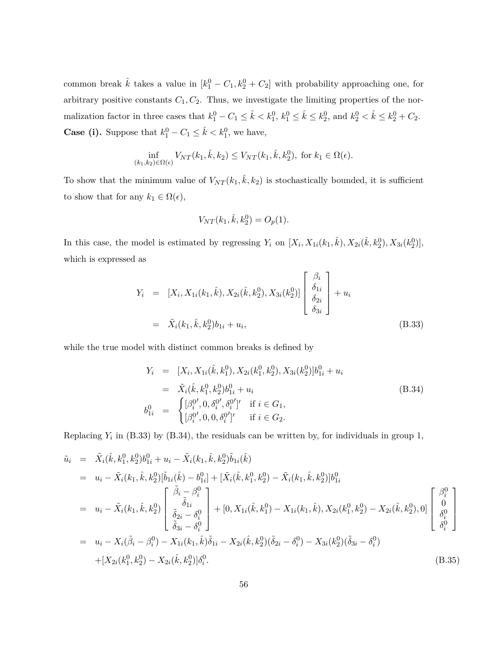common break  $\hat{k}$  takes a value in  $[k_1^0 - C_1, k_2^0 + C_2]$  with probability approaching one, for arbitrary positive constants  $C_1, C_2$ . Thus, we investigate the limiting properties of the nor- $\text{malization factor in three cases that } k_1^0 - C_1 \leq \hat{k} < k_1^0, k_1^0 \leq \hat{k} \leq k_2^0, \text{ and } k_2^0 < \hat{k} \leq k_2^0 + C_2.$ **Case (i).** Suppose that  $k_1^0 - C_1 \leq \hat{k} < k_1^0$ , we have,

$$
\inf_{(k_1,k_2)\in\Omega(\epsilon)} V_{NT}(k_1,\hat{k},k_2) \leq V_{NT}(k_1,\hat{k},k_2^0), \text{ for } k_1 \in \Omega(\epsilon).
$$

To show that the minimum value of  $V_{NT}(k_1, k, k_2)$  is stochastically bounded, it is sufficient to show that for any  $k_1 \in \Omega(\epsilon)$ ,

$$
V_{NT}(k_1, \hat{k}, k_2^0) = O_p(1).
$$

In this case, the model is estimated by regressing  $Y_i$  on  $[X_i, X_{1i}(k_1, \hat{k}), X_{2i}(\hat{k}, k_2^0), X_{3i}(k_2^0)],$ which is expressed as

$$
Y_i = [X_i, X_{1i}(k_1, \hat{k}), X_{2i}(\hat{k}, k_2^0), X_{3i}(k_2^0)] \begin{bmatrix} \beta_i \\ \delta_{1i} \\ \delta_{2i} \\ \delta_{3i} \end{bmatrix} + u_i
$$
  
=  $\tilde{X}_i(k_1, \hat{k}, k_2^0) b_{1i} + u_i,$  (B.33)

while the true model with distinct common breaks is defined by

$$
Y_i = [X_i, X_{1i}(\hat{k}, k_1^0), X_{2i}(k_1^0, k_2^0), X_{3i}(k_2^0)]b_{1i}^0 + u_i
$$
  
\n
$$
= \tilde{X}_i(\hat{k}, k_1^0, k_2^0)b_{1i}^0 + u_i
$$
  
\n
$$
b_{1i}^0 = \begin{cases} [\beta_i^{0'}, 0, \delta_i^{0'}, \delta_i^{0'}]' & \text{if } i \in G_1, \\ [\beta_i^{0'}, 0, 0, \delta_i^{0'}]' & \text{if } i \in G_2. \end{cases}
$$
\n(B.34)

Replacing  $Y_i$  in (B.33) by (B.34), the residuals can be written by, for individuals in group 1,

$$
\tilde{u}_{i} = \tilde{X}_{i}(\hat{k}, k_{1}^{0}, k_{2}^{0})b_{1i}^{0} + u_{i} - \tilde{X}_{i}(k_{1}, \hat{k}, k_{2}^{0})\tilde{b}_{1i}(\hat{k}) \n= u_{i} - \tilde{X}_{i}(k_{1}, \hat{k}, k_{2}^{0})[\tilde{b}_{1i}(\hat{k}) - b_{1i}^{0}] + [\tilde{X}_{i}(\hat{k}, k_{1}^{0}, k_{2}^{0}) - \tilde{X}_{i}(k_{1}, \hat{k}, k_{2}^{0})]b_{1i}^{0} \n= u_{i} - \tilde{X}_{i}(k_{1}, \hat{k}, k_{2}^{0})\begin{bmatrix} \tilde{\beta}_{i} - \beta_{i}^{0} \\ \tilde{\delta}_{1i} \\ \tilde{\delta}_{2i} - \delta_{i}^{0} \\ \tilde{\delta}_{3i} - \delta_{i}^{0} \end{bmatrix} + [0, X_{1i}(\hat{k}, k_{1}^{0}) - X_{1i}(k_{1}, \hat{k}), X_{2i}(k_{1}^{0}, k_{2}^{0}) - X_{2i}(\hat{k}, k_{2}^{0}), 0] \begin{bmatrix} \beta_{i}^{0} \\ 0 \\ \delta_{i}^{0} \\ \delta_{i}^{0} \end{bmatrix} \n= u_{i} - X_{i}(\tilde{\beta}_{i} - \beta_{i}^{0}) - X_{1i}(k_{1}, \hat{k})\tilde{\delta}_{1i} - X_{2i}(\hat{k}, k_{2}^{0})(\tilde{\delta}_{2i} - \delta_{i}^{0}) - X_{3i}(k_{2}^{0})(\tilde{\delta}_{3i} - \delta_{i}^{0}) \n+ [X_{2i}(k_{1}^{0}, k_{2}^{0}) - X_{2i}(\hat{k}, k_{2}^{0})]\delta_{i}^{0}.
$$
\n(B.35)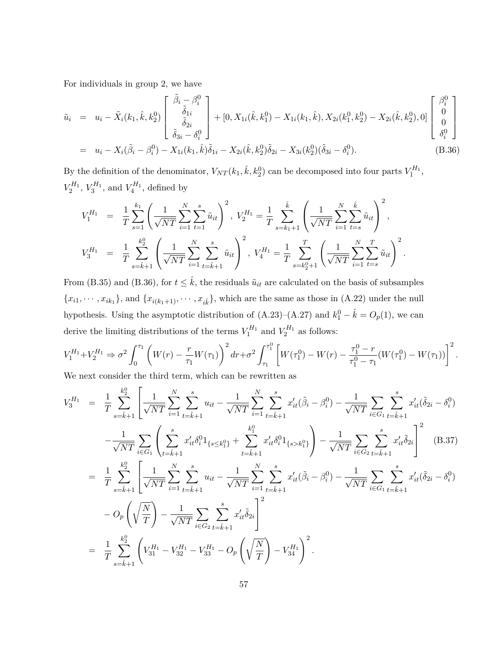For individuals in group 2, we have

$$
\tilde{u}_i = u_i - \tilde{X}_i(k_1, \hat{k}, k_2^0) \begin{bmatrix} \tilde{\beta}_i - \beta_i^0 \\ \tilde{\delta}_{1i} \\ \tilde{\delta}_{2i} \\ \tilde{\delta}_{3i} - \delta_i^0 \end{bmatrix} + [0, X_{1i}(\hat{k}, k_1^0) - X_{1i}(k_1, \hat{k}), X_{2i}(k_1^0, k_2^0) - X_{2i}(\hat{k}, k_2^0), 0] \begin{bmatrix} \beta_i^0 \\ 0 \\ 0 \\ \delta_i^0 \end{bmatrix}
$$

$$
= u_i - X_i(\tilde{\beta}_i - \beta_i^0) - X_{1i}(k_1, \hat{k})\tilde{\delta}_{1i} - X_{2i}(\hat{k}, k_2^0)\tilde{\delta}_{2i} - X_{3i}(k_2^0)(\tilde{\delta}_{3i} - \delta_i^0). \tag{B.36}
$$

By the definition of the denominator,  $V_{NT}(k_1, \hat{k}, k_2^0)$  can be decomposed into four parts  $V_1^{H_1}$ ,  $V_2^{H_1}$ ,  $V_3^{H_1}$ , and  $V_4^{H_1}$ , defined by

$$
V_1^{H_1} = \frac{1}{T} \sum_{s=1}^{k_1} \left( \frac{1}{\sqrt{NT}} \sum_{i=1}^N \sum_{t=1}^s \tilde{u}_{it} \right)^2, V_2^{H_1} = \frac{1}{T} \sum_{s=k_1+1}^{\hat{k}} \left( \frac{1}{\sqrt{NT}} \sum_{i=1}^N \sum_{t=s}^{\hat{k}} \tilde{u}_{it} \right)^2,
$$
  

$$
V_3^{H_1} = \frac{1}{T} \sum_{s=\hat{k}+1}^{k_2} \left( \frac{1}{\sqrt{NT}} \sum_{i=1}^N \sum_{t=\hat{k}+1}^s \tilde{u}_{it} \right)^2, V_4^{H_1} = \frac{1}{T} \sum_{s=k_2^0+1}^T \left( \frac{1}{\sqrt{NT}} \sum_{i=1}^N \sum_{t=s}^T \tilde{u}_{it} \right)^2.
$$

From (B.35) and (B.36), for  $t \leq \hat{k}$ , the residuals  $\tilde{u}_{it}$  are calculated on the basis of subsamples  ${x_{i1}, \cdots, x_{ik_1}}$ , and  ${x_{i(k_1+1)}, \cdots, x_{ik}}$ , which are the same as those in (A.22) under the null hypothesis. Using the asymptotic distribution of  $(A.23)$ – $(A.27)$  and  $k_1^0 - \hat{k} = O_p(1)$ , we can derive the limiting distributions of the terms  $V_1^{H_1}$  and  $V_2^{H_1}$  as follows:

$$
V_1^{H_1} + V_2^{H_1} \Rightarrow \sigma^2 \int_0^{\tau_1} \left( W(r) - \frac{r}{\tau_1} W(\tau_1) \right)^2 dr + \sigma^2 \int_{\tau_1}^{\tau_1^0} \left[ W(\tau_1^0) - W(r) - \frac{\tau_1^0 - r}{\tau_1^0 - \tau_1} (W(\tau_1^0) - W(\tau_1)) \right]^2.
$$
  
We next consider the third term, which can be rewritten as

We next consider the third term, which can be rewritten as

$$
V_3^{H_1} = \frac{1}{T} \sum_{s=\hat{k}+1}^{k_2^0} \left[ \frac{1}{\sqrt{NT}} \sum_{i=1}^N \sum_{t=\hat{k}+1}^s u_{it} - \frac{1}{\sqrt{NT}} \sum_{i=1}^N \sum_{t=\hat{k}+1}^s x'_{it} (\tilde{\beta}_i - \beta_i^0) - \frac{1}{\sqrt{NT}} \sum_{i \in G_1} \sum_{t=\hat{k}+1}^s x'_{it} (\tilde{\delta}_{2i} - \delta_i^0) \right] - \frac{1}{\sqrt{NT}} \sum_{i \in G_1} \left( \sum_{t=\hat{k}+1}^s x'_{it} \delta_i^0 1_{\{s \le k_1^0\}} + \sum_{t=\hat{k}+1}^k x'_{it} \delta_i^0 1_{\{s > k_1^0\}} \right) - \frac{1}{\sqrt{NT}} \sum_{i \in G_2} \sum_{t=\hat{k}+1}^s x'_{it} \tilde{\delta}_{2i} \right]^2 \quad (B.37)
$$
  
= 
$$
\frac{1}{T} \sum_{s=\hat{k}+1}^{k_2^0} \left[ \frac{1}{\sqrt{NT}} \sum_{i=1}^N \sum_{t=\hat{k}+1}^s u_{it} - \frac{1}{\sqrt{NT}} \sum_{i=1}^N \sum_{t=\hat{k}+1}^s x'_{it} (\tilde{\beta}_i - \beta_i^0) - \frac{1}{\sqrt{NT}} \sum_{i \in G_1} \sum_{t=\hat{k}+1}^s x'_{it} (\tilde{\delta}_{2i} - \delta_i^0) \right]
$$
  
- 
$$
O_p\left(\sqrt{\frac{N}{T}}\right) - \frac{1}{\sqrt{NT}} \sum_{i \in G_2} \sum_{t=\hat{k}+1}^s x'_{it} \tilde{\delta}_{2i} \right]^2
$$
  
= 
$$
\frac{1}{T} \sum_{s=\hat{k}+1}^{k_2^0} \left( V_{31}^{H_1} - V_{32}^{H_1} - V_{33}^{H_1} - O_p\left(\sqrt{\frac{N}{T}}\right) - V_{34}^{H_1} \right)^2.
$$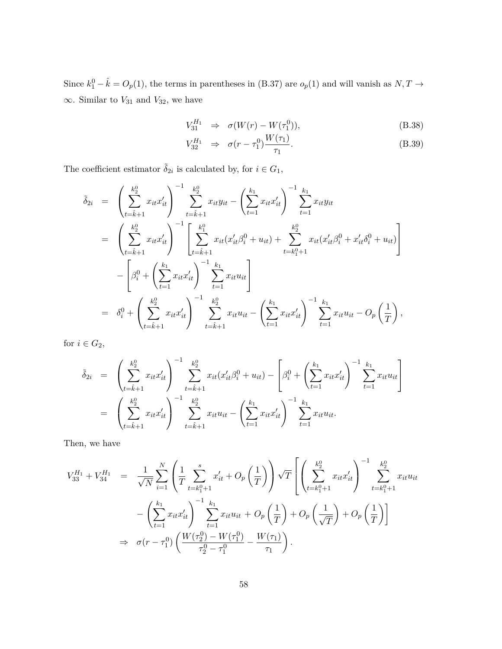Since  $k_1^0 - \hat{k} = O_p(1)$ , the terms in parentheses in (B.37) are  $o_p(1)$  and will vanish as  $N, T \rightarrow$  $\infty$ . Similar to *V*<sub>31</sub> and *V*<sub>32</sub>, we have

$$
V_{31}^{H_1} \Rightarrow \sigma(W(r) - W(\tau_1^0)), \tag{B.38}
$$

$$
V_{32}^{H_1} \Rightarrow \sigma(r - \tau_1^0) \frac{W(\tau_1)}{\tau_1}.
$$
 (B.39)

The coefficient estimator  $\tilde{\delta}_{2i}$  is calculated by, for  $i \in G_1$ ,

$$
\tilde{\delta}_{2i} = \left( \sum_{t=\hat{k}+1}^{k_2^0} x_{it} x_{it}' \right)^{-1} \sum_{t=\hat{k}+1}^{k_2^0} x_{it} y_{it} - \left( \sum_{t=1}^{k_1} x_{it} x_{it}' \right)^{-1} \sum_{t=1}^{k_1} x_{it} y_{it}
$$
\n
$$
= \left( \sum_{t=\hat{k}+1}^{k_2^0} x_{it} x_{it}' \right)^{-1} \left[ \sum_{t=\hat{k}+1}^{k_1^0} x_{it} (x_{it}' \beta_i^0 + u_{it}) + \sum_{t=k_1^0+1}^{k_2^0} x_{it} (x_{it}' \beta_i^0 + x_{it}' \delta_i^0 + u_{it}) \right]
$$
\n
$$
- \left[ \beta_i^0 + \left( \sum_{t=1}^{k_1} x_{it} x_{it}' \right)^{-1} \sum_{t=1}^{k_1} x_{it} u_{it} \right]
$$
\n
$$
= \delta_i^0 + \left( \sum_{t=\hat{k}+1}^{k_2^0} x_{it} x_{it}' \right)^{-1} \sum_{t=\hat{k}+1}^{k_2^0} x_{it} u_{it} - \left( \sum_{t=1}^{k_1} x_{it} x_{it}' \right)^{-1} \sum_{t=1}^{k_1} x_{it} u_{it} - O_p \left( \frac{1}{T} \right),
$$

for  $i \in G_2$ ,

$$
\tilde{\delta}_{2i} = \left( \sum_{t=\hat{k}+1}^{k_2^0} x_{it} x_{it}' \right)^{-1} \sum_{t=\hat{k}+1}^{k_2^0} x_{it} (x_{it}' \beta_i^0 + u_{it}) - \left[ \beta_i^0 + \left( \sum_{t=1}^{k_1} x_{it} x_{it}' \right)^{-1} \sum_{t=1}^{k_1} x_{it} u_{it} \right]
$$
\n
$$
= \left( \sum_{t=\hat{k}+1}^{k_2^0} x_{it} x_{it}' \right)^{-1} \sum_{t=\hat{k}+1}^{k_2^0} x_{it} u_{it} - \left( \sum_{t=1}^{k_1} x_{it} x_{it}' \right)^{-1} \sum_{t=1}^{k_1} x_{it} u_{it}.
$$

Then, we have

$$
V_{33}^{H_1} + V_{34}^{H_1} = \frac{1}{\sqrt{N}} \sum_{i=1}^N \left( \frac{1}{T} \sum_{t=k_1^0+1}^s x'_{it} + O_p\left(\frac{1}{T}\right) \right) \sqrt{T} \left[ \left( \sum_{t=k_1^0+1}^{k_2^0} x_{it} x'_{it} \right)^{-1} \sum_{t=k_1^0+1}^{k_2^0} x_{it} u_{it} \right. \\ - \left( \sum_{t=1}^{k_1} x_{it} x'_{it} \right)^{-1} \sum_{t=1}^{k_1} x_{it} u_{it} + O_p\left(\frac{1}{T}\right) + O_p\left(\frac{1}{\sqrt{T}}\right) + O_p\left(\frac{1}{T}\right) \right] \\ \Rightarrow \sigma(r - \tau_1^0) \left( \frac{W(\tau_2^0) - W(\tau_1^0)}{\tau_2^0 - \tau_1^0} - \frac{W(\tau_1)}{\tau_1} \right).
$$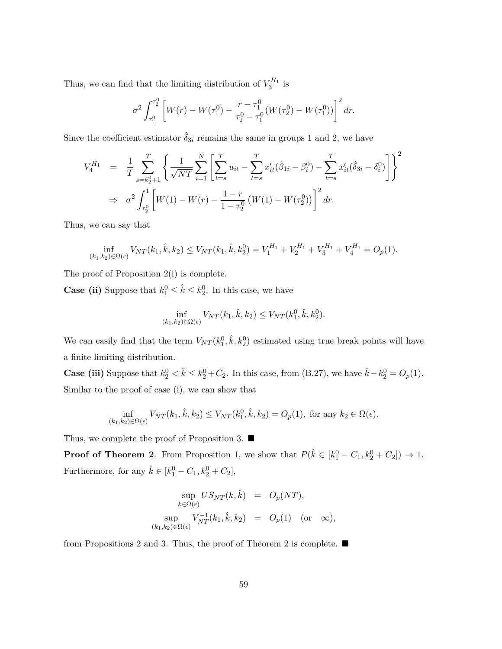Thus, we can find that the limiting distribution of  $V_3^{H_1}$  is

$$
\sigma^2 \int_{\tau_1^0}^{\tau_2^0} \left[ W(r) - W(\tau_1^0) - \frac{r - \tau_1^0}{\tau_2^0 - \tau_1^0} (W(\tau_2^0) - W(\tau_1^0)) \right]^2 dr.
$$

Since the coefficient estimator  $\hat{\delta}_{3i}$  remains the same in groups 1 and 2, we have

$$
V_4^{H_1} = \frac{1}{T} \sum_{s=k_2^0+1}^T \left\{ \frac{1}{\sqrt{NT}} \sum_{i=1}^N \left[ \sum_{t=s}^T u_{it} - \sum_{t=s}^T x'_{it} (\hat{\beta}_{1i} - \beta_i^0) - \sum_{t=s}^T x'_{it} (\hat{\delta}_{3i} - \delta_i^0) \right] \right\}^2
$$
  
\n
$$
\Rightarrow \sigma^2 \int_{\tau_2^0}^1 \left[ W(1) - W(r) - \frac{1-r}{1-\tau_2^0} \left( W(1) - W(\tau_2^0) \right) \right]^2 dr.
$$

Thus, we can say that

$$
\inf_{(k_1,k_2)\in\Omega(\epsilon)} V_{NT}(k_1,\hat{k},k_2) \leq V_{NT}(k_1,\hat{k},k_2^0) = V_1^{H_1} + V_2^{H_1} + V_3^{H_1} + V_4^{H_1} = O_p(1).
$$

The proof of Proposition 2(i) is complete.

**Case (ii)** Suppose that  $k_1^0 \leq \hat{k} \leq k_2^0$ . In this case, we have

$$
\inf_{(k_1,k_2)\in\Omega(\epsilon)} V_{NT}(k_1,\hat{k},k_2) \leq V_{NT}(k_1^0,\hat{k},k_2^0).
$$

We can easily find that the term  $V_{NT}(k_1^0, \hat{k}, k_2^0)$  estimated using true break points will have a finite limiting distribution.

**Case (iii)** Suppose that  $k_2^0 < \hat{k} \leq k_2^0 + C_2$ . In this case, from (B.27), we have  $\hat{k} - k_2^0 = O_p(1)$ . Similar to the proof of case (i), we can show that

$$
\inf_{(k_1,k_2)\in\Omega(\epsilon)} V_{NT}(k_1,\hat{k},k_2) \le V_{NT}(k_1^0,\hat{k},k_2) = O_p(1), \text{ for any } k_2 \in \Omega(\epsilon).
$$

Thus, we complete the proof of Proposition 3. ■

**Proof of Theorem 2**. From Proposition 1, we show that  $P(\hat{k} \in [k_1^0 - C_1, k_2^0 + C_2]) \rightarrow 1$ . Furthermore, for any  $\hat{k} \in [k_1^0 - C_1, k_2^0 + C_2],$ 

$$
\sup_{k \in \Omega(\epsilon)} US_{NT}(k, \hat{k}) = O_p(NT),
$$
  
\n
$$
\sup_{(k_1, k_2) \in \Omega(\epsilon)} V_{NT}^{-1}(k_1, \hat{k}, k_2) = O_p(1) \text{ (or } \infty),
$$

from Propositions 2 and 3. Thus, the proof of Theorem 2 is complete. ■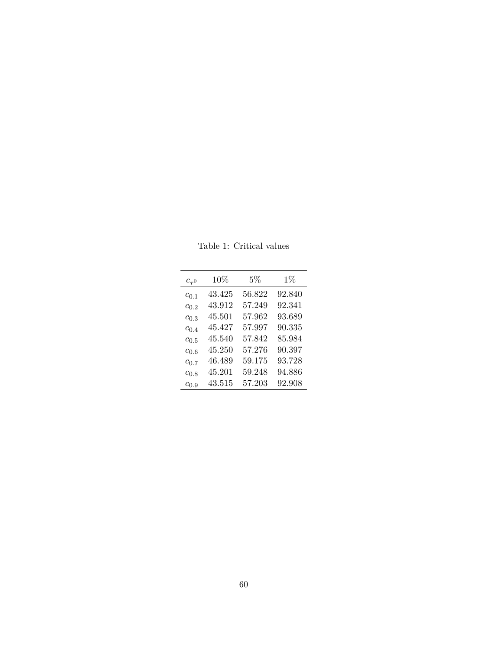| $c_{\tau^0}$ | 10%    | $5\%$  | $1\%$  |
|--------------|--------|--------|--------|
| $c_{0.1}$    | 43.425 | 56.822 | 92.840 |
| $c_{0,2}$    | 43.912 | 57 249 | 92.341 |
| $c_{0.3}$    | 45.501 | 57.962 | 93.689 |
| $c_{0.4}$    | 45.427 | 57.997 | 90.335 |
| $c_{0.5}$    | 45.540 | 57.842 | 85.984 |
| $c_{0.6}$    | 45.250 | 57 276 | 90.397 |
| $c_{0.7}$    | 46.489 | 59.175 | 93.728 |
| $c_{0.8}$    | 45.201 | 59.248 | 94.886 |
| $c_{0.9}$    | 43.515 | 57.203 | 92.908 |
|              |        |        |        |

Table 1: Critical values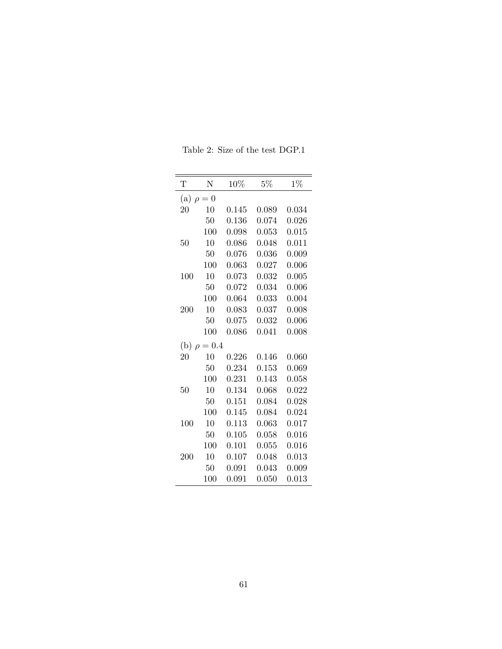| Τ                    | N          | 10%       | $5\%$ | $1\%$ |
|----------------------|------------|-----------|-------|-------|
| (a)                  | $\rho = 0$ |           |       |       |
| 20                   | 10         | 0.145     | 0.089 | 0.034 |
|                      | 50         | 0.136     | 0.074 | 0.026 |
|                      | 100        | 0.098     | 0.053 | 0.015 |
| 50                   | 10         | 0.086     | 0.048 | 0.011 |
|                      | 50         | 0.076     | 0.036 | 0.009 |
|                      | 100        | 0.063     | 0.027 | 0.006 |
| 100                  | 10         | 0.073     | 0.032 | 0.005 |
|                      | 50         | 0.072     | 0.034 | 0.006 |
|                      | 100        | 0.064     | 0.033 | 0.004 |
| 200                  | 10         | 0.083     | 0.037 | 0.008 |
|                      | 50         | 0.075     | 0.032 | 0.006 |
|                      | 100        | 0.086     | 0.041 | 0.008 |
| (b)<br>$\mathcal{D}$ | $= 0.4$    |           |       |       |
| 20                   | 10         | ${0.226}$ | 0.146 | 0.060 |
|                      | 50         | 0.234     | 0.153 | 0.069 |
|                      | 100        | 0.231     | 0.143 | 0.058 |
| 50                   | 10         | 0.134     | 0.068 | 0.022 |
|                      | 50         | 0.151     | 0.084 | 0.028 |
|                      | 100        | 0.145     | 0.084 | 0.024 |
| 100                  | 10         | 0.113     | 0.063 | 0.017 |
|                      | 50         | 0.105     | 0.058 | 0.016 |
|                      | 100        | 0.101     | 0.055 | 0.016 |
| 200                  | 10         | 0.107     | 0.048 | 0.013 |
|                      | 50         | 0.091     | 0.043 | 0.009 |
|                      | 100        | 0.091     | 0.050 | 0.013 |

Table 2: Size of the test DGP.1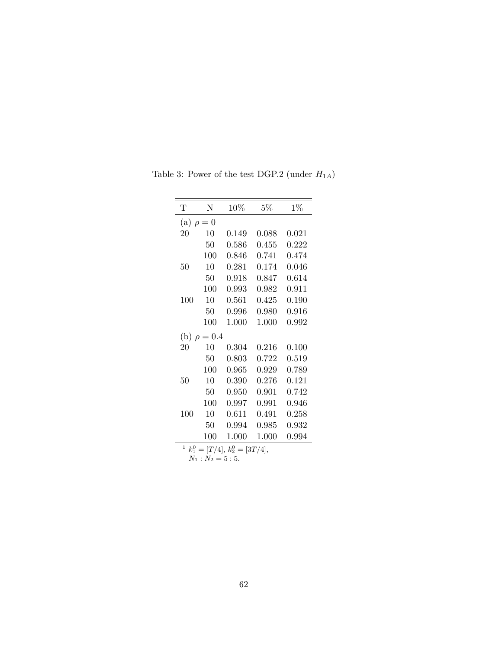| Τ   | N                | 10%   | $5\%$ | $1\%$ |  |  |  |
|-----|------------------|-------|-------|-------|--|--|--|
|     | (a) $\rho = 0$   |       |       |       |  |  |  |
| 20  | 10               | 0.149 | 0.088 | 0.021 |  |  |  |
|     | 50               | 0.586 | 0.455 | 0.222 |  |  |  |
|     | 100              | 0.846 | 0.741 | 0.474 |  |  |  |
| 50  | 10               | 0.281 | 0.174 | 0.046 |  |  |  |
|     | 50               | 0.918 | 0.847 | 0.614 |  |  |  |
|     | 100              | 0.993 | 0.982 | 0.911 |  |  |  |
| 100 | 10               | 0.561 | 0.425 | 0.190 |  |  |  |
|     | 50               | 0.996 | 0.980 | 0.916 |  |  |  |
|     | 100              | 1.000 | 1.000 | 0.992 |  |  |  |
|     | (b) $\rho = 0.4$ |       |       |       |  |  |  |
| 20  | 10               | 0.304 | 0.216 | 0.100 |  |  |  |
|     | 50               | 0.803 | 0.722 | 0.519 |  |  |  |
|     | 100              | 0.965 | 0.929 | 0.789 |  |  |  |
| 50  | 10               | 0.390 | 0.276 | 0.121 |  |  |  |
|     | 50               | 0.950 | 0.901 | 0.742 |  |  |  |
|     | 100              | 0.997 | 0.991 | 0.946 |  |  |  |
| 100 | 10               | 0.611 | 0.491 | 0.258 |  |  |  |
|     | 50               | 0.994 | 0.985 | 0.932 |  |  |  |
|     | 100              | 1.000 | 1.000 | 0.994 |  |  |  |

Table 3: Power of the test DGP.2 (under  $H_{1A}$ )

<sup>1</sup>  $k_1^0 = [T/4], k_2^0 = [3T/4],$ 

 $N_1$  :  $N_2 = 5:5$ .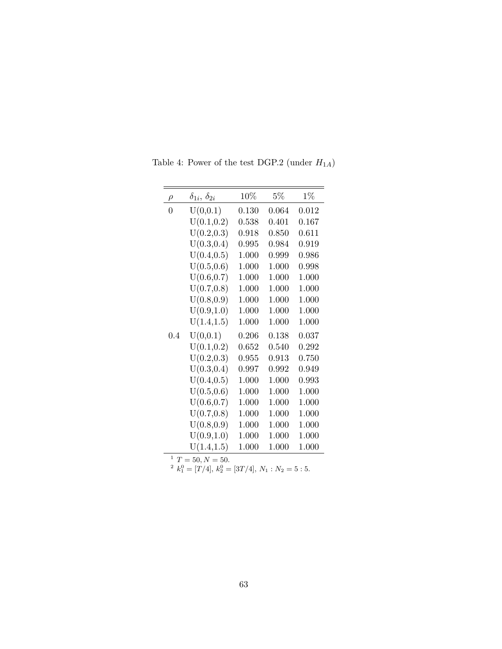| $\rho$      | $\delta_{1i}, \, \delta_{2i}$ | 10%   | $5\%$ | $1\%$ |
|-------------|-------------------------------|-------|-------|-------|
| $\Omega$    | U(0,0.1)                      | 0.130 | 0.064 | 0.012 |
|             | U(0.1, 0.2)                   | 0.538 | 0.401 | 0.167 |
|             | U(0.2, 0.3)                   | 0.918 | 0.850 | 0.611 |
|             | U(0.3, 0.4)                   | 0.995 | 0.984 | 0.919 |
|             | U(0.4, 0.5)                   | 1.000 | 0.999 | 0.986 |
|             | U(0.5, 0.6)                   | 1.000 | 1.000 | 0.998 |
|             | U(0.6, 0.7)                   | 1.000 | 1.000 | 1.000 |
|             | U(0.7, 0.8)                   | 1.000 | 1.000 | 1.000 |
|             | U(0.8, 0.9)                   | 1.000 | 1.000 | 1.000 |
|             | U(0.9, 1.0)                   | 1.000 | 1.000 | 1.000 |
|             | U(1.4, 1.5)                   | 1.000 | 1.000 | 1.000 |
| 0.4         | U(0,0.1)                      | 0.206 | 0.138 | 0.037 |
|             | U(0.1, 0.2)                   | 0.652 | 0.540 | 0.292 |
|             | U(0.2, 0.3)                   | 0.955 | 0.913 | 0.750 |
|             | U(0.3, 0.4)                   | 0.997 | 0.992 | 0.949 |
|             | U(0.4, 0.5)                   | 1.000 | 1.000 | 0.993 |
|             | U(0.5, 0.6)                   | 1.000 | 1.000 | 1.000 |
|             | U(0.6, 0.7)                   | 1.000 | 1.000 | 1.000 |
|             | U(0.7, 0.8)                   | 1.000 | 1.000 | 1.000 |
|             | U(0.8, 0.9)                   | 1.000 | 1.000 | 1.000 |
|             | U(0.9, 1.0)                   | 1.000 | 1.000 | 1.000 |
|             | U(1.4, 1.5)                   | 1.000 | 1.000 | 1.000 |
| 1<br>$\tau$ | $E \cap M = E \cap$           |       |       |       |

Table 4: Power of the test DGP.2 (under  ${\cal H}_{1A})$ 

<sup>1</sup>  $T = 50, N = 50.$ <br>
<sup>2</sup>  $k_1^0 = [T/4], k_2^0 = [3T/4], N_1 : N_2 = 5 : 5.$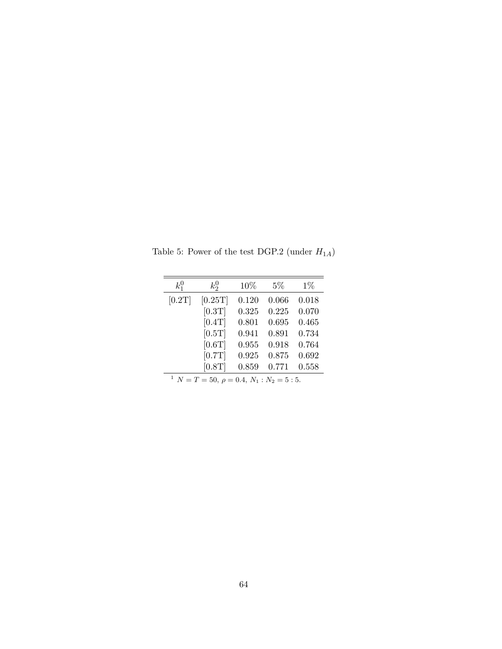| $k_1^0$                                                       | $k_2^0$ | 10%   | $5\%$ | $1\%$ |  |  |
|---------------------------------------------------------------|---------|-------|-------|-------|--|--|
| [0.2T]                                                        | [0.25T] | 0.120 | 0.066 | 0.018 |  |  |
|                                                               | [0.3T]  | 0.325 | 0.225 | 0.070 |  |  |
|                                                               | [0.4T]  | 0.801 | 0.695 | 0.465 |  |  |
|                                                               | [0.5T]  | 0.941 | 0.891 | 0.734 |  |  |
|                                                               | [0.6T]  | 0.955 | 0.918 | 0.764 |  |  |
|                                                               | [0.7T]  | 0.925 | 0.875 | 0.692 |  |  |
|                                                               | [0.8T]  | 0.859 | 0.771 | 0.558 |  |  |
| <sup>1</sup> $N = T = 50, \ \rho = 0.4, \ N_1 : N_2 = 5 : 5.$ |         |       |       |       |  |  |

Table 5: Power of the test DGP.2 (under  ${\cal H}_{1A})$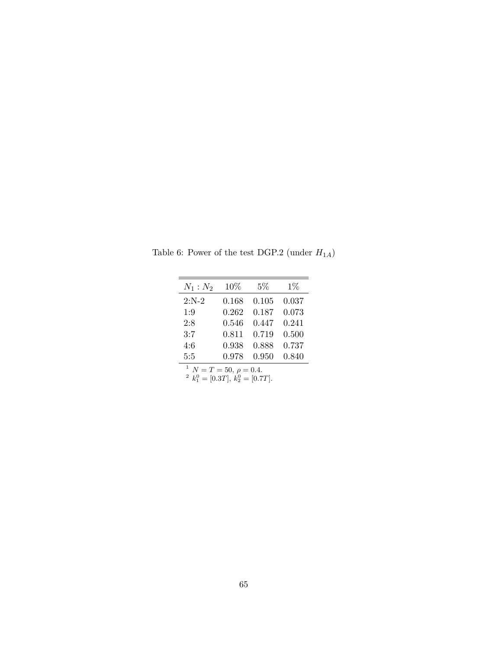| $N_1:N_2$ | 10%   | $5\%$ | $1\%$ |
|-----------|-------|-------|-------|
| $2:N-2$   | 0.168 | 0.105 | 0.037 |
| 1:9       | 0.262 | 0.187 | 0.073 |
| 2:8       | 0.546 | 0.447 | 0.241 |
| 3:7       | 0.811 | 0.719 | 0.500 |
| 4:6       | 0.938 | 0.888 | 0.737 |
| 5:5       | 0.978 | 0.950 | 0.840 |

Table 6: Power of the test DGP.2 (under  ${\cal H}_{1A})$ 

 $\frac{1}{2}$   $N = T = 50, \ \rho = 0.4.$ <br>  $\frac{1}{2}$   $k_1^0 = [0.3T], \ k_2^0 = [0.7T].$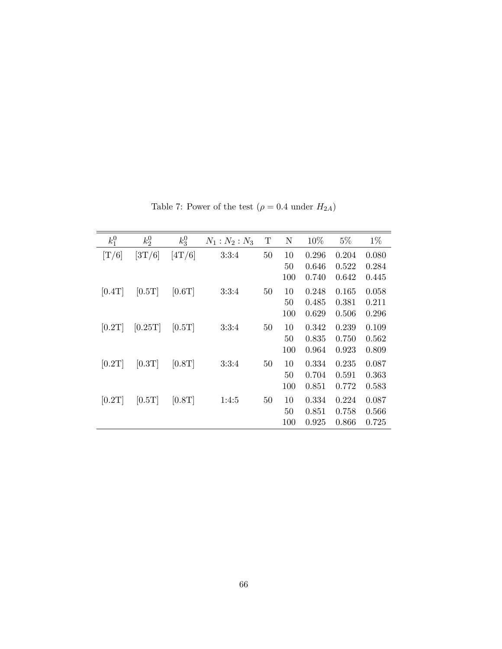| $k_1^0$ | $k_2^0$ | $k_3^0$ | $N_1 : N_2 : N_3$ | T      | N               | 10%                     | $5\%$                   | $1\%$                   |
|---------|---------|---------|-------------------|--------|-----------------|-------------------------|-------------------------|-------------------------|
| [T/6]   | [3T/6]  | [4T/6]  | 3:3:4             | $50\,$ | 10<br>50<br>100 | 0.296<br>0.646<br>0.740 | 0.204<br>0.522<br>0.642 | 0.080<br>0.284<br>0.445 |
| [0.4T]  | [0.5T]  | [0.6T]  | 3:3:4             | 50     | 10<br>50<br>100 | 0.248<br>0.485<br>0.629 | 0.165<br>0.381<br>0.506 | 0.058<br>0.211<br>0.296 |
| [0.2T]  | [0.25T] | [0.5T]  | 3:3:4             | 50     | 10<br>50<br>100 | 0.342<br>0.835<br>0.964 | 0.239<br>0.750<br>0.923 | 0.109<br>0.562<br>0.809 |
| [0.2T]  | [0.3T]  | [0.8T]  | 3:3:4             | 50     | 10<br>50<br>100 | 0.334<br>0.704<br>0.851 | 0.235<br>0.591<br>0.772 | 0.087<br>0.363<br>0.583 |
| [0.2T]  | [0.5T]  | [0.8T]  | 1:4:5             | 50     | 10<br>50<br>100 | 0.334<br>0.851<br>0.925 | 0.224<br>0.758<br>0.866 | 0.087<br>0.566<br>0.725 |

Table 7: Power of the test  $(\rho=0.4$  under  $H_{2A})$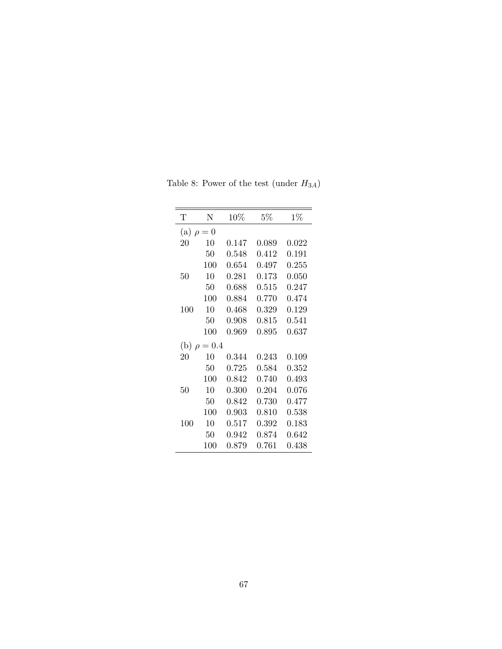| N                             | 10%         | $5\%$       | $1\%$ |  |  |  |
|-------------------------------|-------------|-------------|-------|--|--|--|
| (a)<br>$= 0$<br>$\mathcal{D}$ |             |             |       |  |  |  |
| 10                            | 0.147       | 0.089       | 0.022 |  |  |  |
| 50                            | 0.548       | 0.412       | 0.191 |  |  |  |
| 100                           | 0.654       | 0.497       | 0.255 |  |  |  |
| 10                            | 0.281       | 0.173       | 0.050 |  |  |  |
| 50                            | 0.688       | 0.515       | 0.247 |  |  |  |
| 100                           | 0.884       | 0.770       | 0.474 |  |  |  |
| 10                            | 0.468       | 0.329       | 0.129 |  |  |  |
| 50                            | 0.908       | $\,0.815\,$ | 0.541 |  |  |  |
| $100\,$                       | 0.969       | 0.895       | 0.637 |  |  |  |
|                               |             |             |       |  |  |  |
| 10                            | 0.344       | 0.243       | 0.109 |  |  |  |
| 50                            | 0.725       | 0.584       | 0.352 |  |  |  |
| 100                           | 0.842       | 0.740       | 0.493 |  |  |  |
| 10                            | 0.300       | 0.204       | 0.076 |  |  |  |
| 50                            | 0.842       | 0.730       | 0.477 |  |  |  |
| 100                           | $\,0.903\,$ | 0.810       | 0.538 |  |  |  |
| 10                            | 0.517       | ${0.392}$   | 0.183 |  |  |  |
| 50                            | 0.942       | 0.874       | 0.642 |  |  |  |
| $100\,$                       | 0.879       | 0.761       | 0.438 |  |  |  |
|                               |             | $= 0.4$     |       |  |  |  |

Table 8: Power of the test (under  ${\cal H}_{3A})$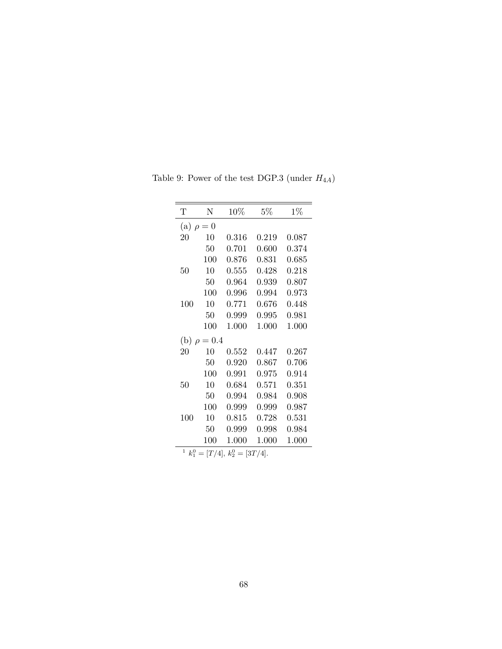| Τ           | N                                | 10%   | $5\%$ | $1\%$ |  |  |  |  |
|-------------|----------------------------------|-------|-------|-------|--|--|--|--|
|             | (a) $\rho =$<br>$\theta$         |       |       |       |  |  |  |  |
| 20          | 10                               | 0.316 | 0.219 | 0.087 |  |  |  |  |
|             | 50                               | 0.701 | 0.600 | 0.374 |  |  |  |  |
|             | 100                              | 0.876 | 0.831 | 0.685 |  |  |  |  |
| 50          | 10                               | 0.555 | 0.428 | 0.218 |  |  |  |  |
|             | 50                               | 0.964 | 0.939 | 0.807 |  |  |  |  |
|             | 100                              | 0.996 | 0.994 | 0.973 |  |  |  |  |
| 100         | 10                               | 0.771 | 0.676 | 0.448 |  |  |  |  |
|             | 50                               | 0.999 | 0.995 | 0.981 |  |  |  |  |
|             | 100                              | 1.000 | 1.000 | 1.000 |  |  |  |  |
| (b)         | $\rho = 0.4$                     |       |       |       |  |  |  |  |
| 20          | 10                               | 0.552 | 0.447 | 0.267 |  |  |  |  |
|             | 50                               | 0.920 | 0.867 | 0.706 |  |  |  |  |
|             | 100                              | 0.991 | 0.975 | 0.914 |  |  |  |  |
| 50          | 10                               | 0.684 | 0.571 | 0.351 |  |  |  |  |
|             | 50                               | 0.994 | 0.984 | 0.908 |  |  |  |  |
|             | 100                              | 0.999 | 0.999 | 0.987 |  |  |  |  |
| 100         | 10                               | 0.815 | 0.728 | 0.531 |  |  |  |  |
|             | 50                               | 0.999 | 0.998 | 0.984 |  |  |  |  |
|             | 100                              | 1.000 | 1.000 | 1.000 |  |  |  |  |
| $\mathbf 1$ | $k_1^0 = [T/4], k_2^0 = [3T/4].$ |       |       |       |  |  |  |  |

Table 9: Power of the test DGP.3 (under *H*4*A*)